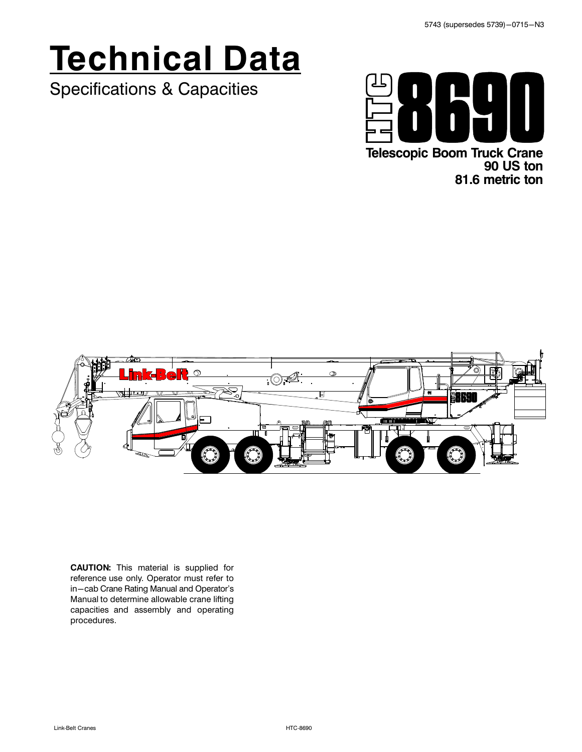# **Technical Data**

Specifications & Capacities



**90 US ton 81.6 metric ton**



**CAUTION:** This material is supplied for reference use only. Operator must refer to in-cab Crane Rating Manual and Operator's Manual to determine allowable crane lifting capacities and assembly and operating procedures.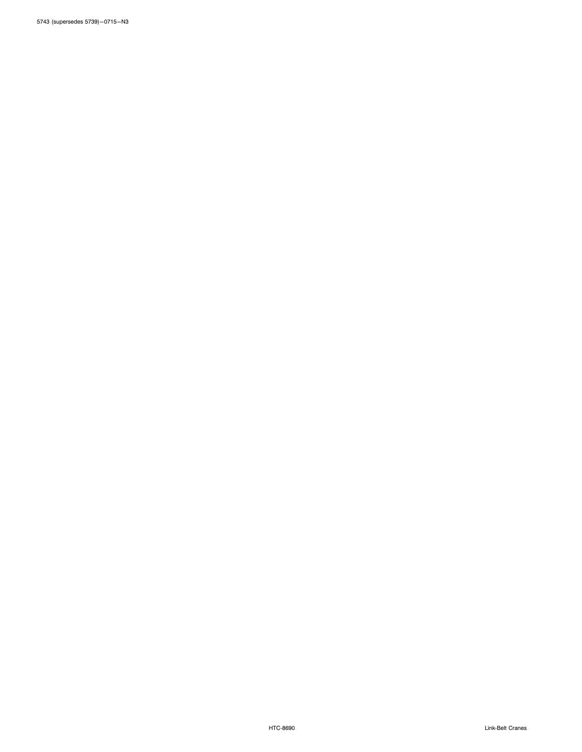5743 (supersedes 5739)-0715-N3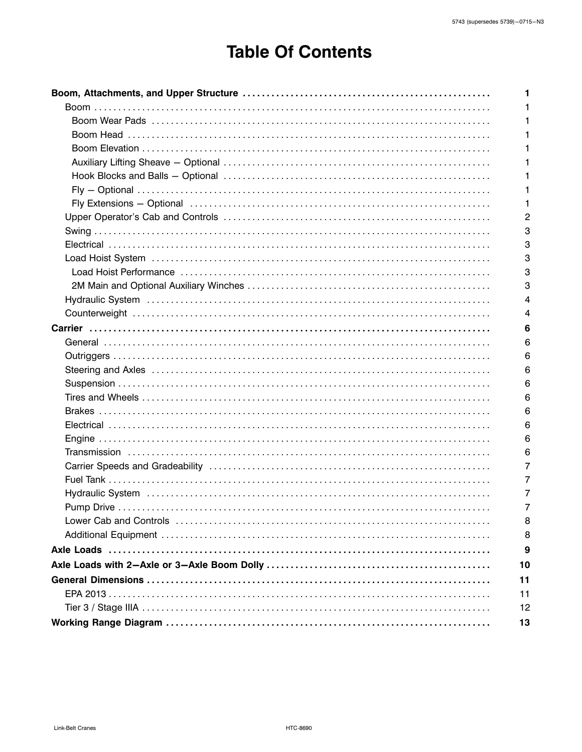# **Table Of Contents**

| 1              |
|----------------|
|                |
|                |
|                |
|                |
|                |
|                |
| 1              |
| 2              |
| 3              |
| 3              |
| 3              |
| 3              |
| 3              |
| 4              |
| 4              |
| 6              |
| 6              |
| 6              |
| 6              |
| 6              |
| 6              |
| 6              |
| 6              |
| 6              |
| 6              |
| 7              |
| $\overline{7}$ |
| $\overline{7}$ |
| $\overline{7}$ |
| 8              |
| 8              |
| 9              |
| 10             |
| 11             |
| 11             |
| 12             |
| 13             |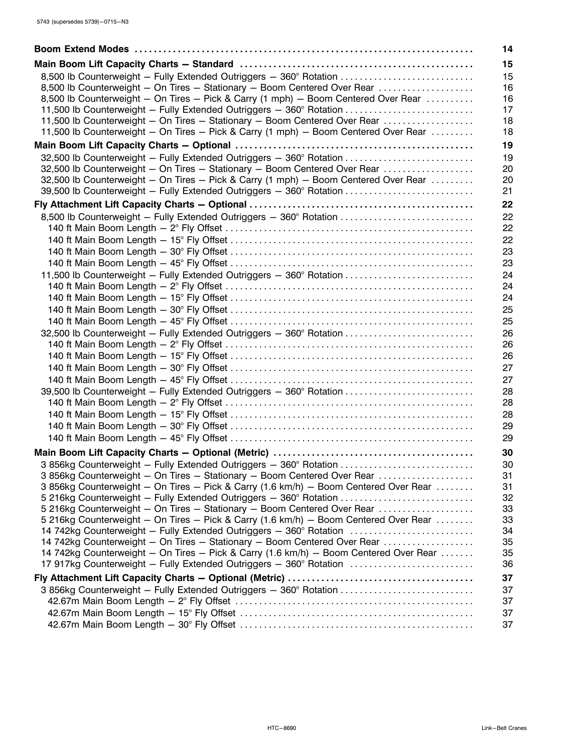| 14                                                                                          |
|---------------------------------------------------------------------------------------------|
| 15                                                                                          |
| 8,500 lb Counterweight - Fully Extended Outriggers - 360° Rotation<br>15                    |
| 8,500 lb Counterweight - On Tires - Stationary - Boom Centered Over Rear<br>16              |
| 8,500 lb Counterweight - On Tires - Pick & Carry (1 mph) - Boom Centered Over Rear<br>16    |
| 17<br>11,500 lb Counterweight - Fully Extended Outriggers - 360° Rotation                   |
| 11,500 lb Counterweight - On Tires - Stationary - Boom Centered Over Rear<br>18             |
| 11,500 lb Counterweight - On Tires - Pick & Carry (1 mph) - Boom Centered Over Rear<br>18   |
| 19                                                                                          |
| 32,500 lb Counterweight - Fully Extended Outriggers - 360° Rotation<br>19                   |
| 32,500 lb Counterweight - On Tires - Stationary - Boom Centered Over Rear<br>20             |
| 32,500 lb Counterweight - On Tires - Pick & Carry (1 mph) - Boom Centered Over Rear<br>20   |
| 39,500 lb Counterweight - Fully Extended Outriggers - 360° Rotation<br>21                   |
| 22                                                                                          |
| 8,500 lb Counterweight - Fully Extended Outriggers - 360° Rotation<br>22                    |
| 22                                                                                          |
| 22                                                                                          |
| 23                                                                                          |
| 23                                                                                          |
| 11,500 lb Counterweight - Fully Extended Outriggers - 360° Rotation<br>24                   |
| 24                                                                                          |
| 24                                                                                          |
| 25                                                                                          |
| 25                                                                                          |
| 32,500 lb Counterweight - Fully Extended Outriggers - 360° Rotation<br>26                   |
| 26                                                                                          |
| 26                                                                                          |
| 27                                                                                          |
| 27                                                                                          |
| 39,500 lb Counterweight - Fully Extended Outriggers - 360° Rotation<br>28                   |
| 28                                                                                          |
| 28                                                                                          |
| 29                                                                                          |
| 29                                                                                          |
| 30                                                                                          |
| 3 856kg Counterweight - Fully Extended Outriggers - 360° Rotation<br>30                     |
| 3 856kg Counterweight - On Tires - Stationary - Boom Centered Over Rear<br>31               |
| 3 856kg Counterweight - On Tires - Pick & Carry (1.6 km/h) - Boom Centered Over Rear<br>31  |
| 5 216kg Counterweight - Fully Extended Outriggers - 360° Rotation<br>32                     |
| 5 216kg Counterweight - On Tires - Stationary - Boom Centered Over Rear<br>33               |
| 33<br>5 216kg Counterweight - On Tires - Pick & Carry (1.6 km/h) - Boom Centered Over Rear  |
| 14 742kg Counterweight - Fully Extended Outriggers - 360° Rotation<br>34                    |
| 14 742kg Counterweight - On Tires - Stationary - Boom Centered Over Rear<br>35              |
| 14 742kg Counterweight - On Tires - Pick & Carry (1.6 km/h) - Boom Centered Over Rear<br>35 |
| 17 917kg Counterweight - Fully Extended Outriggers - 360° Rotation<br>36                    |
| 37                                                                                          |
| 3 856kg Counterweight - Fully Extended Outriggers - 360° Rotation<br>37                     |
| 37                                                                                          |
| 37                                                                                          |
| 37                                                                                          |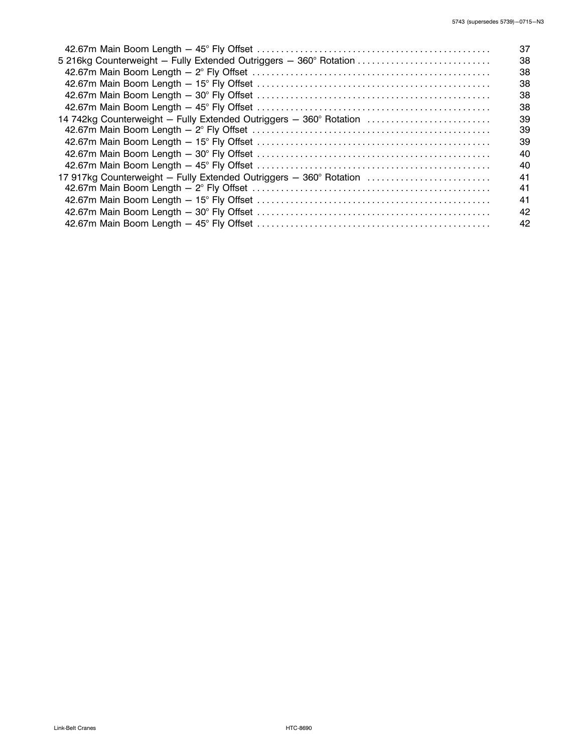|                                                                    | 37 |
|--------------------------------------------------------------------|----|
| 5 216kg Counterweight - Fully Extended Outriggers - 360° Rotation  | 38 |
|                                                                    | 38 |
|                                                                    | 38 |
|                                                                    | 38 |
|                                                                    | 38 |
| 14 742kg Counterweight - Fully Extended Outriggers - 360° Rotation | 39 |
|                                                                    | 39 |
|                                                                    | 39 |
|                                                                    | 40 |
|                                                                    | 40 |
| 17 917kg Counterweight - Fully Extended Outriggers - 360° Rotation | 41 |
|                                                                    | 41 |
|                                                                    | 41 |
|                                                                    | 42 |
|                                                                    | 42 |
|                                                                    |    |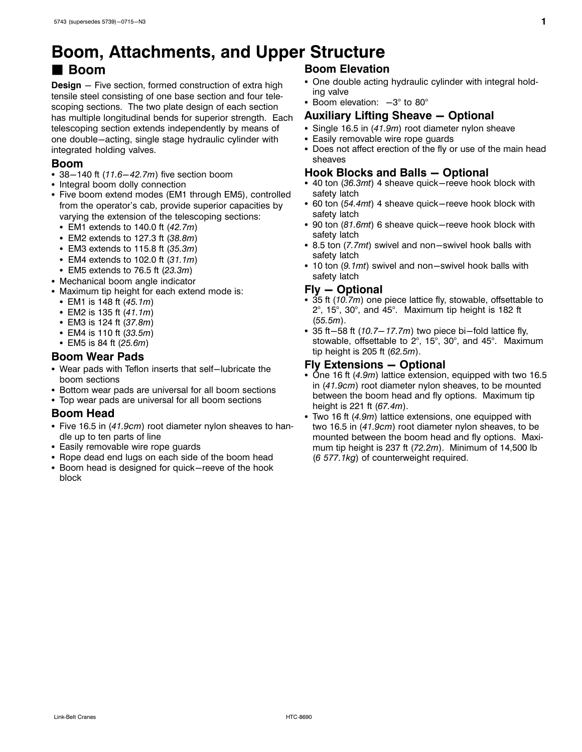# <span id="page-5-0"></span>**Boom, Attachments, and Upper Structure**

## - **Boom**

**Design** - Five section, formed construction of extra high tensile steel consisting of one base section and four telescoping sections. The two plate design of each section has multiple longitudinal bends for superior strength. Each telescoping section extends independently by means of one double-acting, single stage hydraulic cylinder with integrated holding valves.

### **Boom**

- 38–140 ft (*11.6–42.7m*) five section boom<br>• Integral boom dolly connection
- Integral boom dolly connection
- Five boom extend modes (EM1 through EM5), controlled from the operator's cab, provide superior capacities by varying the extension of the telescoping sections:
	- EM1 extends to 140.0 ft (*42.7m*)
	- EM2 extends to 127.3 ft (*38.8m*)
	- EM3 extends to 115.8 ft (*35.3m*)
	- EM4 extends to 102.0 ft (*31.1m*)
	-
- EM5 extends to 76.5 ft (*23.3m*) - Mechanical boom angle indicator
- Maximum tip height for each extend mode is:
	- EM1 is 148 ft (*45.1m*)
	- EM2 is 135 ft (*41.1m*)
	- EM3 is 124 ft (*37.8m*)
	-
	- EM4 is 110 ft (*33.5m*) - EM5 is 84 ft (*25.6m*)

### **Boom Wear Pads**

- Wear pads with Teflon inserts that self-lubricate the boom sections
- Bottom wear pads are universal for all boom sections
- Top wear pads are universal for all boom sections

### **Boom Head**

- Five 16.5 in (*41.9cm*) root diameter nylon sheaves to handle up to ten parts of line
- Easily removable wire rope guards
- Rope dead end lugs on each side of the boom head
- Boom head is designed for quick-reeve of the hook block

## **Boom Elevation**

- One double acting hydraulic cylinder with integral holding valve
- $\bullet$  Boom elevation:  $-3^{\circ}$  to 80°

### **Auxiliary Lifting Sheave – Optional**

- Single 16.5 in (41.9*m*) root diameter nylon sheave<br>• Easily removable wire rope quards
- Easily removable wire rope guards
- Does not affect erection of the fly or use of the main head sheaves

### **Hook Blocks and Balls - Optional**

- 40 ton (*36.3mt*) 4 sheave quick-reeve hook block with safety latch
- 60 ton (54.4mt) 4 sheave quick-reeve hook block with<br>safety latch safety latch
- 90 ton (*81.6mt*) 6 sheave quick-reeve hook block with safety latch
- 8.5 ton (*7.7mt*) swivel and non-swivel hook balls with safety latch
- 10 ton (9.1mt) swivel and non-swivel hook balls with<br>safety latch safety latch

### **Fly - Optional**

- $35$  ft ( $70.7m$ ) one piece lattice fly, stowable, offsettable to  $2^\circ$  15°  $30^\circ$  and  $45^\circ$  Maximum tip beight is 182 ft 2°, 15°, 30°, and 45°. Maximum tip height is 182 ft (*55.5m*).
- $35$  ft-58 ft (10.7-17.7m) two piece bi-fold lattice fly,<br>stowable, offsettable to 2° 15° 30° and 45°. Maxim stowable, offsettable to 2°, 15°, 30°, and 45°. Maximum tip height is 205 ft (*62.5m*).

### **Fly Extensions - Optional**

- One 16 ft (*4.9m*) lattice extension, equipped with two 16.5<br>in (41.9c*m*) root diameter nylon sheaves to be mounted in (*41.9cm*) root diameter nylon sheaves, to be mounted between the boom head and fly options. Maximum tip height is 221 ft (*67.4m*).
- Two 16 ft (*4.9m*) lattice extensions, one equipped with two 16.5 in (*41.9cm*) root diameter nylon sheaves to b two 16.5 in (*41.9cm*) root diameter nylon sheaves, to be mounted between the boom head and fly options. Maximum tip height is 237 ft (*72.2m*). Minimum of 14,500 lb (*6 577.1kg*) of counterweight required.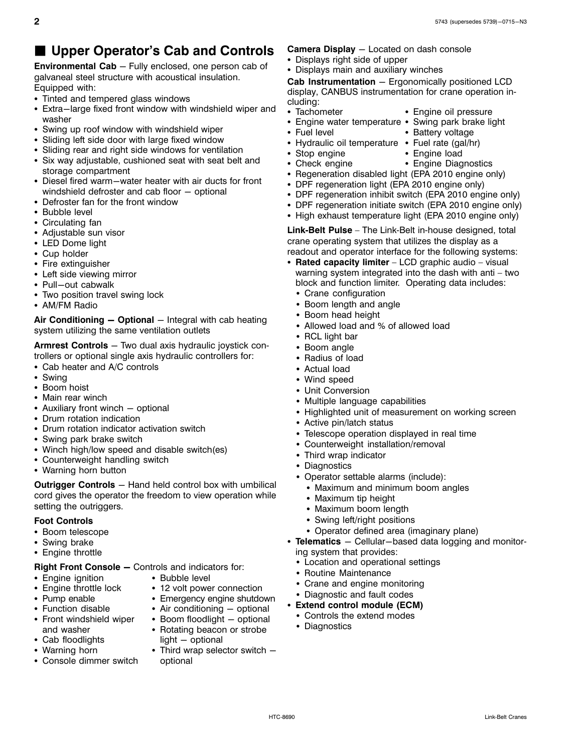## <span id="page-6-0"></span> $\blacksquare$  **Upper Operator's Cab and Controls**

**Environmental Cab** - Fully enclosed, one person cab of galvaneal steel structure with acoustical insulation. Equipped with:

- Tinted and tempered glass windows
- Extra-large fixed front window with windshield wiper and washer
- -Swing up roof window with windshield wiper
- -Sliding left side door with large fixed window
- -Sliding rear and right side windows for ventilation
- Six way adjustable, cushioned seat with seat belt and storage compartment
- Diesel fired warm-water heater with air ducts for front windshield defroster and cab floor  $-$  optional
- Defroster fan for the front window
- Bubble level
- Circulating fan
- Adjustable sun visor
- LED Dome light
- Cup holder
- Fire extinguisher
- Left side viewing mirror
- Pull-out cabwalk
- Two position travel swing lock
- AM/FM Radio

**Air Conditioning - Optional** - Integral with cab heating system utilizing the same ventilation outlets

**Armrest Controls** - Two dual axis hydraulic joystick controllers or optional single axis hydraulic controllers for:

- Cab heater and A/C controls
- Swing
- Boom hoist
- Main rear winch
- Auxiliary front winch optional
- Drum rotation indication
- Drum rotation indicator activation switch
- Swing park brake switch
- Winch high/low speed and disable switch(es)
- Counterweight handling switch
- Warning horn button

**Outrigger Controls** - Hand held control box with umbilical cord gives the operator the freedom to view operation while setting the outriggers.

### **Foot Controls**

- Boom telescope
- Swing brake
- Engine throttle

**Right Front Console - Controls and indicators for:** 

- Engine ignition •
- Bubble level • Engine throttle lock • • 12 volt power connection
- Pump enable • Emergency engine shutdown
	- $\bullet$  Air conditioning  $-$  optional
- Function disable • Front windshield wiper • and washer
- Cab floodlights light optional
- Warning horn •
- Console dimmer switch optional
- $\bullet$  Boom floodlight  $-$  optional • Rotating beacon or strobe
- 
- $\bullet$  Third wrap selector switch  $-$ 
	-
- **Camera Display** Located on dash console
- Displays right side of upper
- Displays main and auxiliary winches

**Cab Instrumentation** – Ergonomically positioned LCD display, CANBUS instrumentation for crane operation including:

- Tachometer •
- Engine oil pressure • Engine water temperature • Swing park brake light
- Fuel level
	- Battery voltage
- Hydraulic oil temperature Fuel rate (gal/hr) -
	- Engine load
- Stop engine • Check engine •
	- Engine Diagnostics
- Regeneration disabled light (EPA 2010 engine only)
- DPF regeneration light (EPA 2010 engine only)
- DPF regeneration inhibit switch (EPA 2010 engine only)
- DPF regeneration initiate switch (EPA 2010 engine only)
- High exhaust temperature light (EPA 2010 engine only)

**Link-Belt Pulse** – The Link-Belt in-house designed, total crane operating system that utilizes the display as a readout and operator interface for the following systems:

- **Rated capacity limiter** LCD graphic audio visual warning system integrated into the dash with anti – two block and function limiter. Operating data includes:
	- Crane configuration
	- Boom length and angle
	- Boom head height
	- Allowed load and % of allowed load
	- RCL light bar
	- Boom angle
	- Radius of load
	- Actual load
	- Wind speed
- Unit Conversion
- Multiple language capabilities
- Highlighted unit of measurement on working screen
- Active pin/latch status
- Telescope operation displayed in real time
- Counterweight installation/removal
- Third wrap indicator
- Diagnostics
- Operator settable alarms (include):
	- Maximum and minimum boom angles
	- Maximum tip height
	- Maximum boom length
	- Swing left/right positions
	- Operator defined area (imaginary plane)

HTC‐8690 Link‐Belt Cranes

- **Telematics** Cellular-based data logging and monitoring system that provides:
- Location and operational settings
- Routine Maintenance

- Diagnostics

- Crane and engine monitoring
- Diagnostic and fault codes
- **Extend control module (ECM)** - Controls the extend modes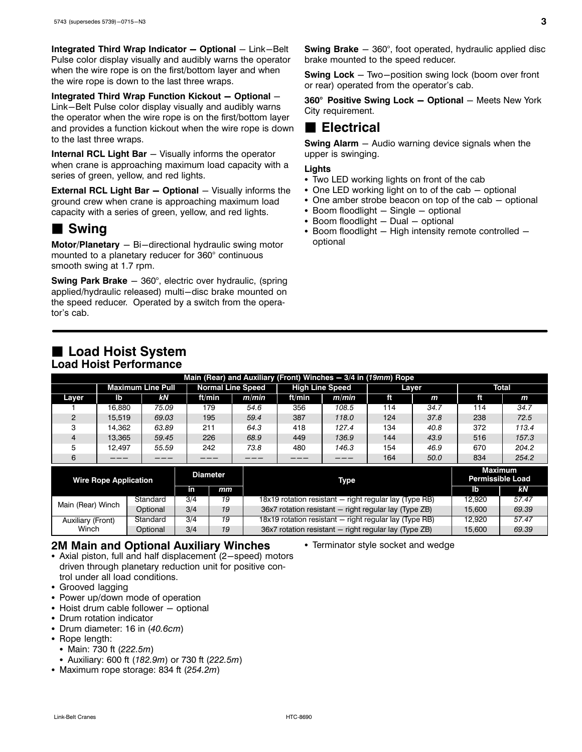<span id="page-7-0"></span>**Integrated Third Wrap Indicator - Optional** - Link-Belt Pulse color display visually and audibly warns the operator when the wire rope is on the first/bottom layer and when the wire rope is down to the last three wraps.

**Integrated Third Wrap Function Kickout - Optional -**Link-Belt Pulse color display visually and audibly warns the operator when the wire rope is on the first/bottom layer and provides a function kickout when the wire rope is down to the last three wraps.

**Internal RCL Light Bar** - Visually informs the operator when crane is approaching maximum load capacity with a series of green, yellow, and red lights.

**External RCL Light Bar - Optional** - Visually informs the ground crew when crane is approaching maximum load capacity with a series of green, yellow, and red lights.

## ■ Swing

**Motor/Planetary** - Bi-directional hydraulic swing motor mounted to a planetary reducer for 360° continuous smooth swing at 1.7 rpm.

**Swing Park Brake** - 360°, electric over hydraulic, (spring applied/hydraulic released) multi-disc brake mounted on the speed reducer. Operated by a switch from the operator's cab.

**Swing Brake** – 360°, foot operated, hydraulic applied disc brake mounted to the speed reducer.

**Swing Lock** – Two-position swing lock (boom over front or rear) operated from the operator's cab.

**360° Positive Swing Lock - Optional** - Meets New York City requirement.

## - **Electrical**

**Swing Alarm** - Audio warning device signals when the upper is swinging.

### **Lights**

- Two LED working lights on front of the cab
- One LED working light on to of the cab optional
- One amber strobe beacon on top of the cab optional
- $\bullet$ Boom floodlight  $-$  Single  $-$  optional
- Boom floodlight Dual optional
- Boom floodlight High intensity remote controlled optional

### - **Load Hoist System Load Hoist Performance**

| Main (Rear) and Auxiliary (Front) Winches - 3/4 in (19mm) Rope |                          |       |                   |       |                        |       |       |              |       |       |  |  |
|----------------------------------------------------------------|--------------------------|-------|-------------------|-------|------------------------|-------|-------|--------------|-------|-------|--|--|
|                                                                | <b>Maximum Line Pull</b> |       | Normal Line Speed |       | <b>High Line Speed</b> |       | Layer |              | Total |       |  |  |
| Laver                                                          | lb                       | kΝ    | ft/min            | m/min | ft/min                 | m/min | ft    | $\mathbf{m}$ | ft    | m     |  |  |
|                                                                | 16.880                   | 75.09 | 179               | 54.6  | 356                    | 108.5 | 114   | 34.7         | 114   | 34.7  |  |  |
| 2                                                              | 15.519                   | 69.03 | 195               | 59.4  | 387                    | 118.0 | 124   | 37.8         | 238   | 72.5  |  |  |
| з                                                              | 14.362                   | 63.89 | 211               | 64.3  | 418                    | 127.4 | 134   | 40.8         | 372   | 113.4 |  |  |
|                                                                | 13,365                   | 59.45 | 226               | 68.9  | 449                    | 136.9 | 144   | 43.9         | 516   | 157.3 |  |  |
| 5                                                              | 12.497                   | 55.59 | 242               | 73.8  | 480                    | 146.3 | 154   | 46.9         | 670   | 204.2 |  |  |
| 6                                                              |                          |       |                   |       |                        | ___   | 164   | 50.0         | 834   | 254.2 |  |  |

| <b>Wire Rope Application</b> |          |     | <b>Diameter</b> | <b>Type</b>                                            | <b>Maximum</b><br><b>Permissible Load</b> |       |
|------------------------------|----------|-----|-----------------|--------------------------------------------------------|-------------------------------------------|-------|
|                              |          | in  | mm              |                                                        | Ib                                        | kN    |
| Main (Rear) Winch            | Standard | 3/4 | 19              | 18x19 rotation resistant – right regular lay (Type RB) | 12.920                                    | 57.47 |
|                              | Optional | 3/4 | 19              | 36x7 rotation resistant - right regular lay (Type ZB)  | 15.600                                    | 69.39 |
| Auxiliary (Front)            | Standard | 3/4 | 19              | 18x19 rotation resistant – right regular lay (Type RB) | 12.920                                    | 57.47 |
| Winch                        | Optional | 3/4 | 19              | 36x7 rotation resistant - right regular lay (Type ZB)  | 15.600                                    | 69.39 |

### **2M Main and Optional Auxiliary Winches**

- Axial piston, full and half displacement (2-speed) motors driven through planetary reduction unit for positive control under all load conditions.
- Grooved lagging
- Power up/down mode of operation
- Hoist drum cable follower optional
- Drum rotation indicator
- Drum diameter: 16 in (*40.6cm*)
- Rope length:
	- Main: 730 ft (*222.5m*)
- Auxiliary: 600 ft (*182.9m*) or 730 ft (*222.5m*)
- Maximum rope storage: 834 ft (*254.2m*)

- Terminator style socket and wedge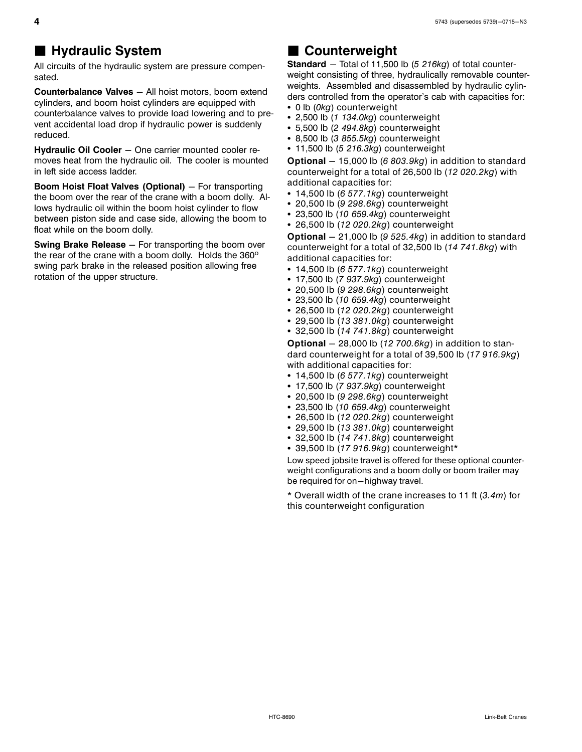## <span id="page-8-0"></span> $\blacksquare$  **Hydraulic System**

All circuits of the hydraulic system are pressure compensated.

**Counterbalance Valves** - All hoist motors, boom extend cylinders, and boom hoist cylinders are equipped with counterbalance valves to provide load lowering and to prevent accidental load drop if hydraulic power is suddenly reduced.

Hydraulic Oil Cooler - One carrier mounted cooler removes heat from the hydraulic oil. The cooler is mounted in left side access ladder.

**Boom Hoist Float Valves (Optional)** - For transporting the boom over the rear of the crane with a boom dolly. Allows hydraulic oil within the boom hoist cylinder to flow between piston side and case side, allowing the boom to float while on the boom dolly.

**Swing Brake Release** - For transporting the boom over the rear of the crane with a boom dolly. Holds the 360º swing park brake in the released position allowing free rotation of the upper structure.

## $\blacksquare$  Counterweight

**Standard** - Total of 11,500 lb (5 216kg) of total counterweight consisting of three, hydraulically removable counterweights. Assembled and disassembled by hydraulic cylinders controlled from the operator's cab with capacities for:

- **•** 0 lb (0kg) counterweight<br>• 2 500 lb (1 134 0kg) cour
- 2,500 lb (*1 134.0kg*) counterweight
- 5,500 lb (*2 494.8kg*) counterweight
- 8,500 lb (*3 855.5kg*) counterweight

- 11,500 lb (*5 216.3kg*) counterweight **Optional** - 15,000 lb (*6 803.9kg*) in addition to standard counterweight for a total of 26,500 lb (*12 020.2kg*) with additional capacities for:

- 14,500 lb (*6 577.1kg*) counterweight
- 20,500 lb (*9 298.6kg*) counterweight
- 23,500 lb (*10 659.4kg*) counterweight
- 26,500 lb (*12 020.2kg*) counterweight

**Optional**  $- 21,000$  lb (9 525.4kg) in addition to standard counterweight for a total of 32,500 lb (*14 741.8kg*) with additional capacities for:

- 14,500 lb (*6 577.1kg*) counterweight
- 17,500 lb (*7 937.9kg*) counterweight
- 20,500 lb (*9 298.6kg*) counterweight
- 23,500 lb (*10 659.4kg*) counterweight
- 26,500 lb (*12 020.2kg*) counterweight
- 29,500 lb (*13 381.0kg*) counterweight
- 32,500 lb (*14 741.8kg*) counterweight

**Optional** - 28,000 lb (*12 700.6kg*) in addition to standard counterweight for a total of 39,500 lb (*17 916.9kg*) with additional capacities for:

- 14,500 lb (*6 577.1kg*) counterweight
- 17,500 lb (*7 937.9kg*) counterweight
- 20,500 lb (*9 298.6kg*) counterweight
- 23,500 lb (*10 659.4kg*) counterweight
- 26,500 lb (*12 020.2kg*) counterweight
- 29,500 lb (*13 381.0kg*) counterweight
- 32,500 lb (*14 741.8kg*) counterweight
- 39,500 lb (*17 916.9kg*) counterweight\*

Low speed jobsite travel is offered for these optional counterweight configurations and a boom dolly or boom trailer may be required for on-highway travel.

\* Overall width of the crane increases to 11 ft (*3.4m*) for this counterweight configuration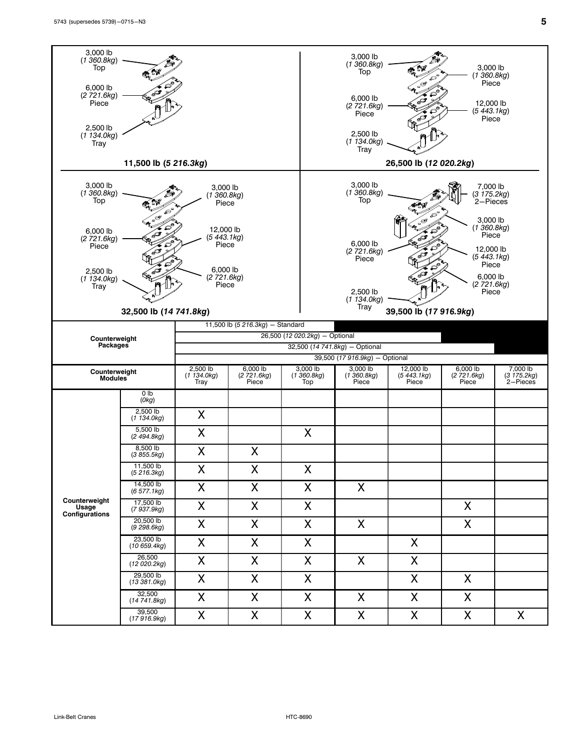

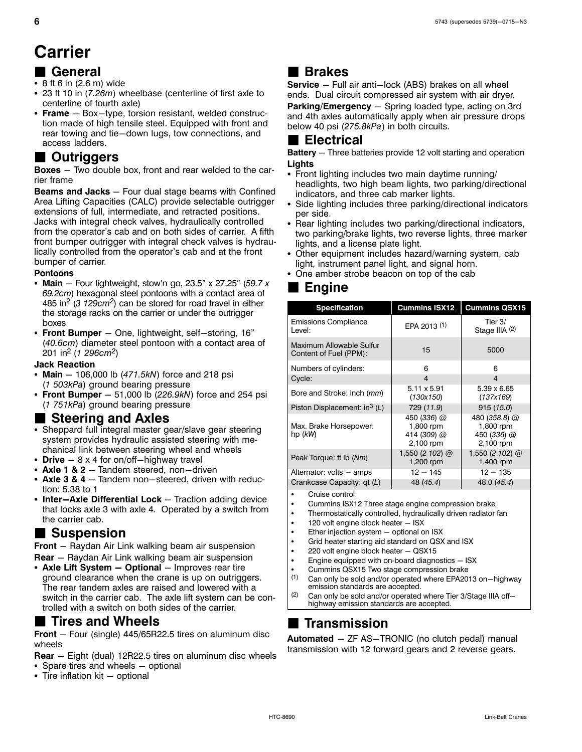# <span id="page-10-0"></span>**Carrier**

# General<br>• 8 ft 6 in (2.6 m)

- 8 ft 6 in (2.6 m) wide
- 23 ft 10 in (7.26*m*) wheelbase (centerline of first axle to centerline of fourth axle) centerline of fourth axle)
- Frame Box-type, torsion resistant, welded construction made of high tensile steel. Equipped with front and rear towing and tie-down lugs, tow connections, and access ladders.

## $\blacksquare$  Outriggers

**Boxes** – Two double box, front and rear welded to the carrier frame

**Beams and Jacks** - Four dual stage beams with Confined Area Lifting Capacities (CALC) provide selectable outrigger extensions of full, intermediate, and retracted positions. Jacks with integral check valves, hydraulically controlled from the operator's cab and on both sides of carrier. A fifth front bumper outrigger with integral check valves is hydraulically controlled from the operator's cab and at the front bumper of carrier.

### **Pontoons**

- **Main** Four lightweight, stow'n go, 23.5" x 27.25" (59.7 x 69.7 x 27.25") *69.2cm*) hexagonal steel pontoons with a contact area of 485 in2 (*3 129cm2*) can be stored for road travel in either the storage racks on the carrier or under the outrigger boxes
- Front Bumper One, lightweight, self-storing, 16" (*40.6cm*) diameter steel pontoon with a contact area of 201 in2 (*1 296cm2*)

### **Jack Reaction**

- **Main**  $-$  106,000 lb (471.5kM) force and 218 psi<br>(1.503kPa) ground bearing pressure (*1 503kPa*) ground bearing pressure
- **Front Bumper**  $51,000$  lb ( $226.9kN$ ) force and 254 psi (1.751kPa) ground bearing pressure (*1 751kPa*) ground bearing pressure

# **Steering and Axles**<br>• Sheppard full integral master of

- Sheppard full integral master gear/slave gear steering system provides hydraulic assisted steering with mechanical link between steering wheel and wheels
- **Drive** 8 x 4 for on/off-highway travel
- Axle 1 & 2 Tandem steered, non-driven
- -Axle 3 & 4 - Tandem non-steered, driven with reduction: 5.38 to 1
- Inter-Axle Differential Lock Traction adding device that locks axle 3 with axle 4. Operated by a switch from the carrier cab.

## - **Suspension**

**Front** – Raydan Air Link walking beam air suspension

**Rear** - Raydan Air Link walking beam air suspension

• Axle Lift System - Optional - Improves rear tire ground clearance when the crane is up on outriggers. The rear tandem axles are raised and lowered with a switch in the carrier cab. The axle lift system can be controlled with a switch on both sides of the carrier.

## $\blacksquare$  **Tires and Wheels**

**Front** – Four (single) 445/65R22.5 tires on aluminum disc wheels

- **Rear** Eight (dual) 12R22.5 tires on aluminum disc wheels
- Spare tires and wheels optional
- Tire inflation kit optional

## - **Brakes**

**Service** - Full air anti-lock (ABS) brakes on all wheel ends. Dual circuit compressed air system with air dryer. **Parking/Emergency** – Spring loaded type, acting on 3rd and 4th axles automatically apply when air pressure drops below 40 psi (*275.8kPa*) in both circuits.

## - **Electrical**

**Battery** - Three batteries provide 12 volt starting and operation **Lights**

- Front lighting includes two main daytime running/ headlights, two high beam lights, two parking/directional indicators, and three cab marker lights.
- Side lighting includes three parking/directional indicators per side.
- Rear lighting includes two parking/directional indicators, two parking/brake lights, two reverse lights, three marker lights, and a license plate light.
- Other equipment includes hazard/warning system, cab light, instrument panel light, and signal horn.
- One amber strobe beacon on top of the cab

## **Engine**

| <b>Specification</b>                               | <b>Cummins ISX12</b>                                 | <b>Cummins QSX15</b>                                   |
|----------------------------------------------------|------------------------------------------------------|--------------------------------------------------------|
| <b>Emissions Compliance</b><br>Level:              | EPA 2013 <sup>(1)</sup>                              | Tier $3/$<br>Stage IIIA (2)                            |
| Maximum Allowable Sulfur<br>Content of Fuel (PPM): | 15                                                   | 5000                                                   |
| Numbers of cylinders:                              | 6                                                    | 6                                                      |
| Cycle:                                             | $\overline{4}$                                       | 4                                                      |
| Bore and Stroke: inch (mm)                         | $5.11 \times 5.91$<br>(130x150)                      | $5.39 \times 6.65$<br>(137x169)                        |
| Piston Displacement: in <sup>3</sup> $(L)$         | 729 (11.9)                                           | 915(15.0)                                              |
| Max. Brake Horsepower:<br>hp $(kW)$                | 450 (336) @<br>1,800 rpm<br>414 (309) @<br>2,100 rpm | 480 (358.8) @<br>1,800 rpm<br>450 (336) @<br>2,100 rpm |
| Peak Torque: ft lb (Nm)                            | 1,550 (2 102) @<br>1,200 rpm                         | 1,550 (2 102) @<br>1,400 rpm                           |
| Alternator: volts - amps                           | $12 - 145$                                           | $12 - 135$                                             |
| Crankcase Capacity: qt (L)                         | 48 (45.4)                                            | 48.0 (45.4)                                            |
|                                                    |                                                      |                                                        |

Cruise control

-

- -Cummins ISX12 Three stage engine compression brake
- -Thermostatically controlled, hydraulically driven radiator fan
- -120 volt engine block heater  $-$  ISX
- -Ether injection system  $-$  optional on ISX
- $\bullet$ Grid heater starting aid standard on QSX and ISX
- - $220$  volt engine block heater  $-$  QSX15
- -Engine equipped with on-board diagnostics  $-$  ISX
- -• Cummins QSX15 Two stage compression brake<br>(1) Can only be sold and/or operated where EPA20
- Can only be sold and/or operated where EPA2013 on-highway emission standards are accepted.
- $(2)$  Can only be sold and/or operated where Tier 3/Stage IIIA offhighway emission standards are accepted.

## - **Transmission**

**Automated** - ZF AS-TRONIC (no clutch pedal) manual transmission with 12 forward gears and 2 reverse gears.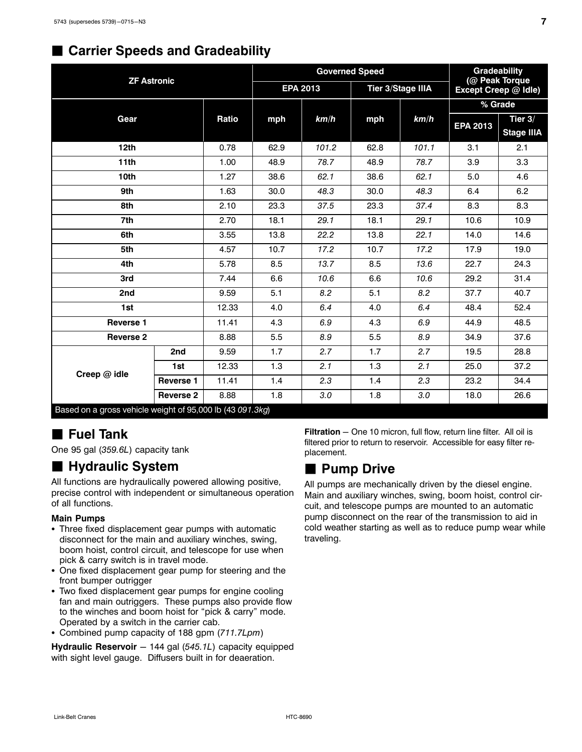## <span id="page-11-0"></span>■ Carrier Speeds and Gradeability

|                                                           |                  |       |                 | <b>Governed Speed</b> | Gradeability<br>(@ Peak Torque |       |                      |                                |
|-----------------------------------------------------------|------------------|-------|-----------------|-----------------------|--------------------------------|-------|----------------------|--------------------------------|
| <b>ZF Astronic</b>                                        |                  |       | <b>EPA 2013</b> |                       | Tier 3/Stage IIIA              |       | Except Creep @ Idle) |                                |
|                                                           |                  |       |                 |                       |                                |       | % Grade              |                                |
| Gear                                                      |                  | Ratio | mph             | km/h                  | mph                            | km/h  | <b>EPA 2013</b>      | Tier $3/$<br><b>Stage IIIA</b> |
| 12th                                                      |                  | 0.78  | 62.9            | 101.2                 | 62.8                           | 101.1 | 3.1                  | 2.1                            |
| 11th                                                      |                  | 1.00  | 48.9            | 78.7                  | 48.9                           | 78.7  | 3.9                  | 3.3                            |
| 10th                                                      |                  | 1.27  | 38.6            | 62.1                  | 38.6                           | 62.1  | 5.0                  | 4.6                            |
| 9th                                                       |                  | 1.63  | 30.0            | 48.3                  | 30.0                           | 48.3  | 6.4                  | 6.2                            |
| 8th                                                       |                  | 2.10  | 23.3            | 37.5                  | 23.3                           | 37.4  | 8.3                  | 8.3                            |
| 7th                                                       |                  | 2.70  | 18.1            | 29.1                  | 18.1                           | 29.1  | 10.6                 | 10.9                           |
| 6th                                                       |                  | 3.55  | 13.8            | 22.2                  | 13.8                           | 22.1  | 14.0                 | 14.6                           |
| 5th                                                       |                  | 4.57  | 10.7            | 17.2                  | 10.7                           | 17.2  | 17.9                 | 19.0                           |
| 4th                                                       |                  | 5.78  | 8.5             | 13.7                  | 8.5                            | 13.6  | 22.7                 | 24.3                           |
| 3rd                                                       |                  | 7.44  | 6.6             | 10.6                  | 6.6                            | 10.6  | 29.2                 | 31.4                           |
| 2nd                                                       |                  | 9.59  | 5.1             | 8.2                   | 5.1                            | 8.2   | 37.7                 | 40.7                           |
| 1st                                                       |                  | 12.33 | 4.0             | 6.4                   | 4.0                            | 6.4   | 48.4                 | 52.4                           |
| Reverse 1                                                 |                  | 11.41 | 4.3             | 6.9                   | 4.3                            | 6.9   | 44.9                 | 48.5                           |
| <b>Reverse 2</b>                                          |                  | 8.88  | 5.5             | 8.9                   | 5.5                            | 8.9   | 34.9                 | 37.6                           |
|                                                           | 2nd              | 9.59  | 1.7             | 2.7                   | 1.7                            | 2.7   | 19.5                 | 28.8                           |
|                                                           | 1st              | 12.33 | 1.3             | 2.1                   | 1.3                            | 2.1   | 25.0                 | 37.2                           |
| Creep $@$ idle                                            | <b>Reverse 1</b> | 11.41 | 1.4             | 2.3                   | 1.4                            | 2.3   | 23.2                 | 34.4                           |
|                                                           | 8.88             | 1.8   | 3.0             | 1.8                   | 3.0                            | 18.0  | 26.6                 |                                |
| Based on a gross vehicle weight of 95,000 lb (43 091.3kg) |                  |       |                 |                       |                                |       |                      |                                |

## - **Fuel Tank**

One 95 gal (*359.6L*) capacity tank

## $\blacksquare$  **Hydraulic System**

All functions are hydraulically powered allowing positive, precise control with independent or simultaneous operation of all functions.

### **Main Pumps**

- Three fixed displacement gear pumps with automatic disconnect for the main and auxiliary winches, swing, boom hoist, control circuit, and telescope for use when pick & carry switch is in travel mode.
- One fixed displacement gear pump for steering and the front bumper outrigger
- Two fixed displacement gear pumps for engine cooling fan and main outriggers. These pumps also provide flow to the winches and boom hoist for "pick & carry" mode. Operated by a switch in the carrier cab.
- Combined pump capacity of 188 gpm (*711.7Lpm*)

Hydraulic Reservoir - 144 gal (545.1L) capacity equipped with sight level gauge. Diffusers built in for deaeration.

Filtration - One 10 micron, full flow, return line filter. All oil is filtered prior to return to reservoir. Accessible for easy filter replacement.

## **Pump Drive**

All pumps are mechanically driven by the diesel engine. Main and auxiliary winches, swing, boom hoist, control circuit, and telescope pumps are mounted to an automatic pump disconnect on the rear of the transmission to aid in cold weather starting as well as to reduce pump wear while traveling.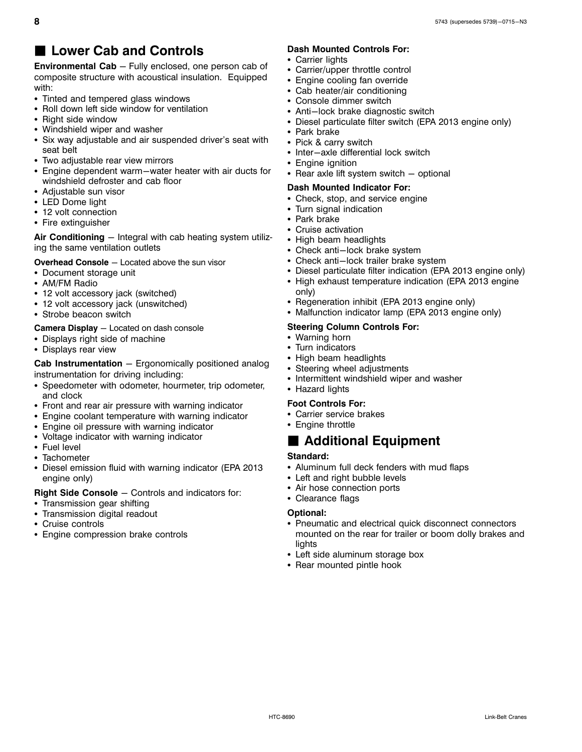## <span id="page-12-0"></span>■ Lower Cab and Controls

**Environmental Cab** - Fully enclosed, one person cab of composite structure with acoustical insulation. Equipped with:

- Tinted and tempered glass windows
- Roll down left side window for ventilation
- Right side window
- Windshield wiper and washer
- Six way adjustable and air suspended driver's seat with seat belt
- Two adjustable rear view mirrors
- Engine dependent warm-water heater with air ducts for windshield defroster and cab floor
- Adjustable sun visor
- LED Dome light
- 12 volt connection
- Fire extinguisher

Air Conditioning - Integral with cab heating system utilizing the same ventilation outlets

### **Overhead Console** - Located above the sun visor

- Document storage unit
- AM/FM Radio
- 12 volt accessory jack (switched)
- 12 volt accessory jack (unswitched)
- Strobe beacon switch

### **Camera Display** - Located on dash console

- Displays right side of machine
- Displays rear view

**Cab Instrumentation** – Ergonomically positioned analog instrumentation for driving including:

- Speedometer with odometer, hourmeter, trip odometer, and clock
- Front and rear air pressure with warning indicator
- Engine coolant temperature with warning indicator
- Engine oil pressure with warning indicator
- Voltage indicator with warning indicator
- Fuel level
- Tachometer
- Diesel emission fluid with warning indicator (EPA 2013 engine only)

### **Right Side Console** - Controls and indicators for:

- Transmission gear shifting
- Transmission digital readout
- Cruise controls
- Engine compression brake controls

### **Dash Mounted Controls For:**

- Carrier lights
- Carrier/upper throttle control
- Engine cooling fan override
- Cab heater/air conditioning
- Console dimmer switch
- Anti-lock brake diagnostic switch
- Diesel particulate filter switch (EPA 2013 engine only)
- Park brake
- Pick & carry switch
- Inter-axle differential lock switch
- Engine ignition
- Rear axle lift system switch optional

### **Dash Mounted Indicator For:**

- Check, stop, and service engine
- Turn signal indication
- Park brake
- Cruise activation
- High beam headlights
- Check anti-lock brake system
- Check anti-lock trailer brake system
- Diesel particulate filter indication (EPA 2013 engine only)
- High exhaust temperature indication (EPA 2013 engine only)
- Regeneration inhibit (EPA 2013 engine only)
- Malfunction indicator lamp (EPA 2013 engine only)

### **Steering Column Controls For:**

- Warning horn
- Turn indicators
- High beam headlights
- Steering wheel adjustments
- Intermittent windshield wiper and washer

## • Hazard lights

### **Foot Controls For:**

- Carrier service brakes
- Engine throttle

## **E** Additional Equipment

### **Standard:**

- Aluminum full deck fenders with mud flaps
- Left and right bubble levels
- Air hose connection ports
- Clearance flags

### **Optional:**

- Pneumatic and electrical quick disconnect connectors mounted on the rear for trailer or boom dolly brakes and lights
- Left side aluminum storage box
- Rear mounted pintle hook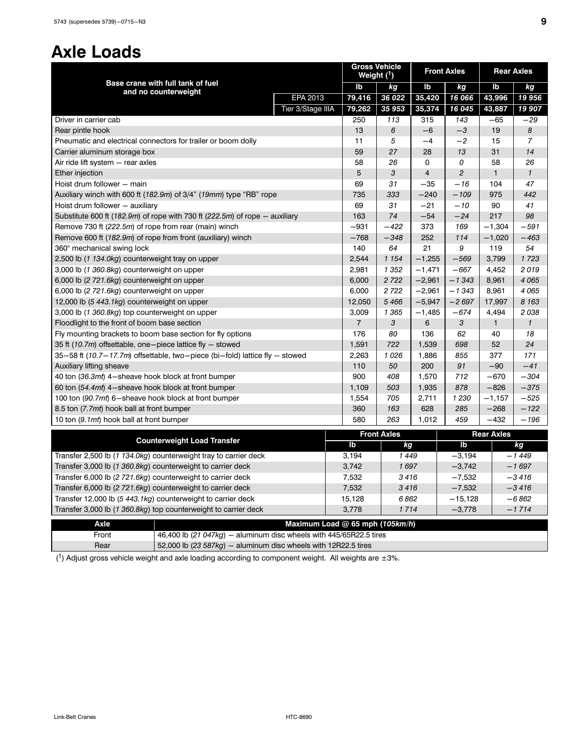# <span id="page-13-0"></span>**Axle Loads**

|                                                                               | Weight $(1)$   | <b>Gross Vehicle</b> |                | <b>Front Axles</b> |                   | <b>Rear Axles</b> |
|-------------------------------------------------------------------------------|----------------|----------------------|----------------|--------------------|-------------------|-------------------|
| Base crane with full tank of fuel<br>and no counterweight                     | lb             | kg                   | lb             | kg                 | lb                | kg                |
| <b>EPA 2013</b>                                                               | 79,416         | 36 022               | 35,420         | 16 066             | 43,996            | 19 956            |
| Tier 3/Stage IIIA                                                             | 79,262         | 35 953               | 35,374         | 16 045             | 43,887            | 19 907            |
| Driver in carrier cab                                                         | 250            | 113                  | 315            | 143                | $-65$             | $-29$             |
| Rear pintle hook                                                              | 13             | 6                    | $-6$           | $-3$               | 19                | 8                 |
| Pneumatic and electrical connectors for trailer or boom dolly                 | 11             | 5                    | $-4$           | $-2$               | 15                | $\overline{7}$    |
| Carrier aluminum storage box                                                  | 59             | 27                   | 28             | 13                 | 31                | 14                |
| Air ride lift system - rear axles                                             | 58             | 26                   | 0              | 0                  | 58                | 26                |
| Ether injection                                                               | 5              | 3                    | $\overline{4}$ | $\overline{c}$     | $\mathbf{1}$      | $\mathbf{1}$      |
| Hoist drum follower - main                                                    | 69             | 31                   | $-35$          | $-16$              | 104               | 47                |
| Auxiliary winch with 600 ft (182.9m) of 3/4" (19mm) type "RB" rope            | 735            | 333                  | $-240$         | $-109$             | 975               | 442               |
| Hoist drum follower - auxiliary                                               | 69             | 31                   | $-21$          | $-10$              | 90                | 41                |
| Substitute 600 ft (182.9m) of rope with 730 ft (222.5m) of rope $-$ auxiliary | 163            | 74                   | $-54$          | $-24$              | 217               | 98                |
| Remove 730 ft (222.5m) of rope from rear (main) winch                         | $-931$         | $-422$               | 373            | 169                | $-1,304$          | $-591$            |
| Remove 600 ft (182.9m) of rope from front (auxiliary) winch                   | $-768$         | $-348$               | 252            | 114                | $-1,020$          | $-463$            |
| 360° mechanical swing lock                                                    | 140            | 64                   | 21             | 9                  | 119               | 54                |
| 2,500 lb (1 134.0kg) counterweight tray on upper                              | 2,544          | 1 1 5 4              | $-1,255$       | $-569$             | 3,799             | 1723              |
| 3,000 lb (1 360.8kg) counterweight on upper                                   | 2,981          | 1 3 5 2              | $-1,471$       | $-667$             | 4,452             | 2019              |
| 6,000 lb (2 721.6kg) counterweight on upper                                   | 6,000          | 2722                 | $-2,961$       | $-1343$            | 8,961             | 4 0 6 5           |
| 6,000 lb (2 721.6kg) counterweight on upper                                   | 6,000          | 2722                 | $-2,961$       | $-1343$            | 8,961             | 4065              |
| 12,000 lb (5 443.1kg) counterweight on upper                                  | 12,050         | 5466                 | $-5,947$       | $-2697$            | 17,997            | 8 1 6 3           |
| 3,000 lb (1 360.8kg) top counterweight on upper                               | 3,009          | 1 3 6 5              | $-1,485$       | $-674$             | 4,494             | 2038              |
| Floodlight to the front of boom base section                                  | $\overline{7}$ | 3                    | 6              | 3                  | $\mathbf{1}$      | $\mathcal I$      |
| Fly mounting brackets to boom base section for fly options                    | 176            | 80                   | 136            | 62                 | 40                | 18                |
| 35 ft (10.7m) offsettable, one-piece lattice fly $-$ stowed                   | 1,591          | 722                  | 1,539          | 698                | 52                | 24                |
| 35-58 ft (10.7-17.7m) offsettable, two-piece (bi-fold) lattice fly - stowed   | 2,263          | 1026                 | 1,886          | 855                | 377               | 171               |
| Auxiliary lifting sheave                                                      | 110            | 50                   | 200            | 91                 | $-90$             | $-41$             |
| 40 ton (36.3mt) 4-sheave hook block at front bumper                           | 900            | 408                  | 1,570          | 712                | $-670$            | $-304$            |
| 60 ton (54.4mt) 4-sheave hook block at front bumper                           | 1,109          | 503                  | 1,935          | 878                | $-826$            | $-375$            |
| 100 ton (90.7mt) 6-sheave hook block at front bumper                          | 1,554          | 705                  | 2,711          | 1 2 3 0            | $-1,157$          | $-525$            |
| 8.5 ton (7.7mt) hook ball at front bumper                                     | 360            | 163                  | 628            | 285                | $-268$            | $-122$            |
| 10 ton (9.1mt) hook ball at front bumper                                      | 580            | 263                  | 1,012          | 459                | $-432$            | $-196$            |
|                                                                               |                | <b>Front Axles</b>   |                |                    | <b>Rear Axles</b> |                   |
| <b>Counterweight Load Transfer</b>                                            | Ib             | kg                   |                | Ib                 |                   | kg                |
| Transfer 2,500 lb (1 134.0kg) counterweight tray to carrier deck              | 3,194          | 1449                 |                | $-3,194$           |                   | $-1449$           |

|                                                             | <b>Counterweight Load Transfer</b>                                       | lb                                | kg      | lb        | <b>kg</b> |  |  |
|-------------------------------------------------------------|--------------------------------------------------------------------------|-----------------------------------|---------|-----------|-----------|--|--|
|                                                             | Transfer 2,500 lb (1 134.0kg) counterweight tray to carrier deck         | 3.194                             | 1449    | $-3,194$  | $-1449$   |  |  |
| Transfer 3,000 lb (1 360.8kg) counterweight to carrier deck |                                                                          | 3.742                             | 1697    | $-3,742$  | $-1697$   |  |  |
| Transfer 6,000 lb (2 721.6kg) counterweight to carrier deck |                                                                          | 7.532                             | 3416    | $-7,532$  | $-3,416$  |  |  |
| Transfer 6,000 lb (2 721.6kg) counterweight to carrier deck |                                                                          | 7,532                             | 3416    | $-7,532$  | $-3,416$  |  |  |
|                                                             | Transfer 12,000 lb (5 443.1kg) counterweight to carrier deck             | 15,128                            | 6 862   | $-15.128$ | $-6862$   |  |  |
|                                                             | Transfer 3,000 lb (1 360.8kg) top counterweight to carrier deck          | 3,778                             | 1 7 1 4 | $-3,778$  | $-1714$   |  |  |
|                                                             |                                                                          |                                   |         |           |           |  |  |
| Axle                                                        |                                                                          | Maximum Load $@$ 65 mph (105km/h) |         |           |           |  |  |
| Front                                                       | 46,400 lb (21 047kg) - aluminum disc wheels with 445/65R22.5 tires       |                                   |         |           |           |  |  |
| Rear                                                        | 52,000 lb $(23\,587\text{kg})$ – aluminum disc wheels with 12R22.5 tires |                                   |         |           |           |  |  |
|                                                             |                                                                          |                                   |         |           |           |  |  |

(1) Adjust gross vehicle weight and axle loading according to component weight. All weights are  $\pm 3\%$ .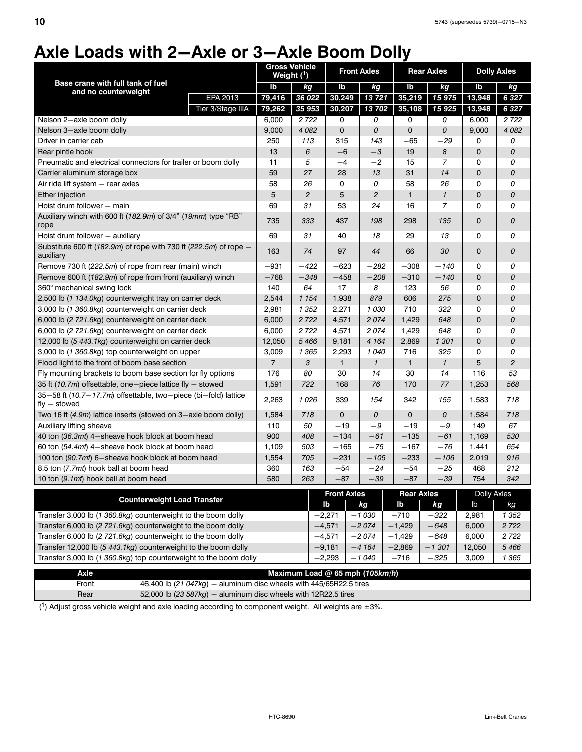# <span id="page-14-0"></span>**Axle Loads with 2-Axle or 3-Axle Boom Dolly**

|                                                                                  | Weight $(1)$                                                          | <b>Gross Vehicle</b> |                                 | <b>Front Axles</b> |                | <b>Rear Axles</b> | <b>Dolly Axles</b> |                    |                |
|----------------------------------------------------------------------------------|-----------------------------------------------------------------------|----------------------|---------------------------------|--------------------|----------------|-------------------|--------------------|--------------------|----------------|
| Base crane with full tank of fuel                                                |                                                                       | lb                   | kg                              | lb                 | kg             | lb                | kg                 | lb                 | kg             |
| and no counterweight                                                             | <b>EPA 2013</b>                                                       | 79,416               | 36 022                          | 30,249             | 13721          | 35,219            | 15 975             | 13,948             | 6 3 2 7        |
|                                                                                  | Tier 3/Stage IIIA                                                     | 79,262               | 35 953                          | 30,207             | 13702          | 35,108            | 15 925             | 13,948             | 6 3 2 7        |
| Nelson 2-axle boom dolly                                                         |                                                                       | 6,000                | 2722                            | 0                  | 0              | 0                 | 0                  | 6,000              | 2722           |
| Nelson 3-axle boom dolly                                                         | 9,000                                                                 | 4082                 | 0                               | 0                  | 0              | 0                 | 9,000              | 4082               |                |
| Driver in carrier cab                                                            |                                                                       | 250                  | 113                             | 315                | 143            | $-65$             | $-29$              | 0                  | 0              |
| Rear pintle hook                                                                 |                                                                       | 13                   | 6                               | $-6$               | $-3$           | 19                | 8                  | 0                  | 0              |
| Pneumatic and electrical connectors for trailer or boom dolly                    |                                                                       | 11                   | 5                               | $-4$               | $-2$           | 15                | $\overline{7}$     | 0                  | 0              |
| Carrier aluminum storage box                                                     |                                                                       | 59                   | 27                              | 28                 | 13             | 31                | 14                 | 0                  | 0              |
| Air ride lift system - rear axles                                                |                                                                       | 58                   | 26                              | 0                  | 0              | 58                | 26                 | 0                  | 0              |
| Ether injection                                                                  |                                                                       | 5                    | $\overline{c}$                  | 5                  | $\overline{2}$ | $\mathbf{1}$      | $\mathbf{1}$       | 0                  | 0              |
| Hoist drum follower - main                                                       |                                                                       | 69                   | 31                              | 53                 | 24             | 16                | $\overline{7}$     | 0                  | 0              |
| Auxiliary winch with 600 ft (182.9m) of 3/4" (19mm) type "RB"<br>rope            |                                                                       | 735                  | 333                             | 437                | 198            | 298               | 135                | 0                  | 0              |
| Hoist drum follower - auxiliary                                                  |                                                                       | 69                   | 31                              | 40                 | 18             | 29                | 13                 | 0                  | 0              |
| Substitute 600 ft (182.9m) of rope with 730 ft (222.5m) of rope -<br>auxiliary   |                                                                       | 163                  | 74                              | 97                 | 44             | 66                | 30                 | 0                  | 0              |
| Remove 730 ft (222.5m) of rope from rear (main) winch                            |                                                                       | $-931$               | $-422$                          | $-623$             | $-282$         | $-308$            | $-140$             | 0                  | 0              |
| Remove 600 ft (182.9m) of rope from front (auxiliary) winch                      |                                                                       | $-768$               | $-348$                          | $-458$             | $-208$         | $-310$            | $-140$             | 0                  | 0              |
| 360° mechanical swing lock                                                       |                                                                       | 140                  | 64                              | 17                 | 8              | 123               | 56                 | 0                  | 0              |
| 2,500 lb (1 134.0kg) counterweight tray on carrier deck                          |                                                                       | 2,544                | 1 1 5 4                         | 1,938              | 879            | 606               | 275                | $\mathbf 0$        | 0              |
| 3,000 lb (1 360.8kg) counterweight on carrier deck                               |                                                                       | 2,981                | 1 3 5 2                         | 2,271              | 1030           | 710               | 322                | 0                  | 0              |
| 6,000 lb (2 721.6kg) counterweight on carrier deck                               |                                                                       | 6,000                | 2722                            | 4,571              | 2074           | 1,429             | 648                | 0                  | 0              |
| 6,000 lb (2 721.6kg) counterweight on carrier deck                               |                                                                       | 6,000                | 2 7 2 2                         | 4,571              | 2074           | 1,429             | 648                | 0                  | 0              |
| 12,000 lb (5 443.1kg) counterweight on carrier deck                              |                                                                       | 12,050               | 5466                            | 9,181              | 4 1 6 4        | 2,869             | 1 301              | 0                  | 0              |
| 3,000 lb (1 360.8kg) top counterweight on upper                                  |                                                                       | 3,009                | 1 3 6 5                         | 2,293              | 1040           | 716               | 325                | 0                  | 0              |
| Flood light to the front of boom base section                                    |                                                                       | 7                    | 3                               | 1                  | $\mathcal I$   | $\mathbf{1}$      | $\mathcal I$       | 5                  | $\overline{c}$ |
| Fly mounting brackets to boom base section for fly options                       |                                                                       | 176                  | 80                              | 30                 | 14             | 30                | 14                 | 116                | 53             |
| 35 ft (10.7m) offsettable, one-piece lattice fly - stowed                        |                                                                       | 1,591                | 722                             | 168                | 76             | 170               | 77                 | 1,253              | 568            |
| 35-58 ft (10.7-17.7m) offsettable, two-piece (bi-fold) lattice<br>$fly - stowed$ |                                                                       | 2,263                | 1026                            | 339                | 154            | 342               | 155                | 1,583              | 718            |
| Two 16 ft (4.9m) lattice inserts (stowed on 3-axle boom dolly)                   |                                                                       | 1,584                | 718                             | 0                  | 0              | 0                 | 0                  | 1,584              | 718            |
| Auxiliary lifting sheave                                                         |                                                                       | 110                  | 50                              | $-19$              | $-9$           | $-19$             | $-9$               | 149                | 67             |
| 40 ton (36.3mt) 4–sheave hook block at boom head                                 |                                                                       | 900                  | 408                             | $-134$             | $-61$          | $-135$            | $-61$              | 1,169              | 530            |
| 60 ton (54.4mt) 4-sheave hook block at boom head                                 |                                                                       | 1,109                | 503                             | $-165$             | $-75$          | $-167$            | $-76$              | 1,441              | 654            |
| 100 ton (90.7mt) 6-sheave hook block at boom head                                |                                                                       | 1,554                | 705                             | $-231$             | $-105$         | $-233$            | $-106$             | 2,019              | 916            |
| 8.5 ton (7.7mt) hook ball at boom head                                           |                                                                       | 360                  | 163                             | $-54$              | $-24$          | $-54$             | $-25$              | 468                | 212            |
| 10 ton (9.1mt) hook ball at boom head                                            |                                                                       | 580                  | 263                             | $-87$              | $-39$          | $-87$             | $-39$              | 754                | 342            |
|                                                                                  |                                                                       |                      |                                 | <b>Front Axles</b> |                | <b>Rear Axles</b> |                    | <b>Dolly Axles</b> |                |
| <b>Counterweight Load Transfer</b>                                               |                                                                       |                      |                                 | lb                 | kg             | lb                | kg                 | lb                 | kg             |
| Transfer 3,000 lb (1 360.8kg) counterweight to the boom dolly                    |                                                                       |                      | $-2,271$                        | $-1030$            | $-710$         | $-322$            | 2,981              | 1 3 5 2            |                |
| Transfer 6,000 lb (2 721.6kg) counterweight to the boom dolly                    |                                                                       |                      | $-4,571$                        | $-2074$            | $-1,429$       | $-648$            | 6,000              | 2722               |                |
| Transfer 6,000 lb (2 721.6kg) counterweight to the boom dolly                    |                                                                       |                      | $-4,571$                        | $-2074$            | $-1,429$       | $-648$            | 6,000              | 2 7 2 2            |                |
| Transfer 12,000 lb (5 443.1kg) counterweight to the boom dolly                   |                                                                       |                      | $-9,181$                        | $-4164$            | $-2,869$       | $-1301$           | 12,050             | 5 4 6 6            |                |
| Transfer 3,000 lb (1 360.8kg) top counterweight to the boom dolly                |                                                                       |                      | $-2,293$                        | $-1040$            | $-716$         | $-325$            | 3,009              | 1 3 6 5            |                |
| Axle                                                                             |                                                                       |                      | Maximum Load @ 65 mph (105km/h) |                    |                |                   |                    |                    |                |
| Front                                                                            | 46,400 lb (21 $047kg$ ) – aluminum disc wheels with 445/65R22.5 tires |                      |                                 |                    |                |                   |                    |                    |                |
|                                                                                  | $\Gamma$ 0.000 lb (00. $\Gamma$ 0.7km) alumnimum alia                 |                      |                                 |                    |                |                   |                    |                    |                |

Rear 152,000 lb (23 587kg) - aluminum disc wheels with 12R22.5 tires

(1) Adjust gross vehicle weight and axle loading according to component weight. All weights are  $\pm 3\%$ .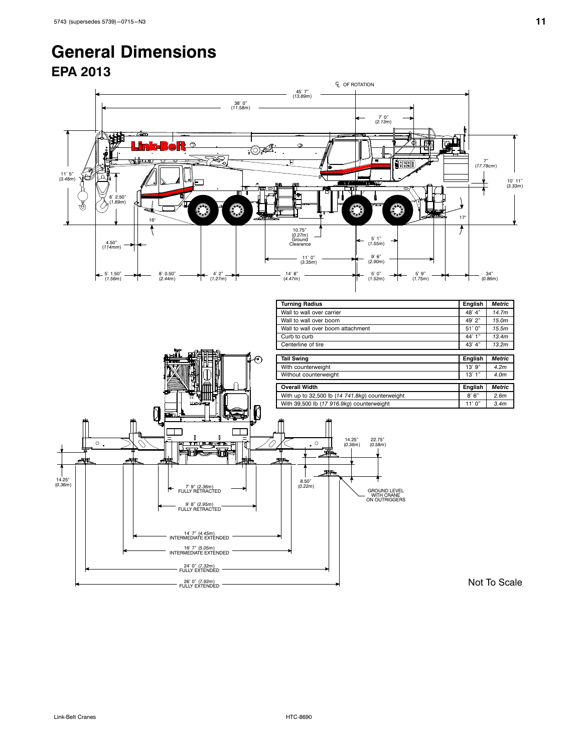## <span id="page-15-0"></span>**General Dimensions EPA 2013**

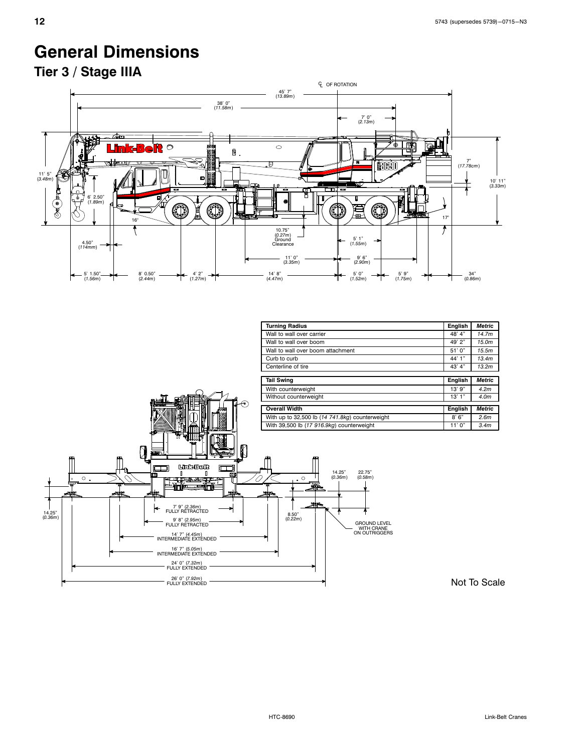# <span id="page-16-0"></span>**General Dimensions**

## **Tier 3 / Stage IIIA**





Not To Scale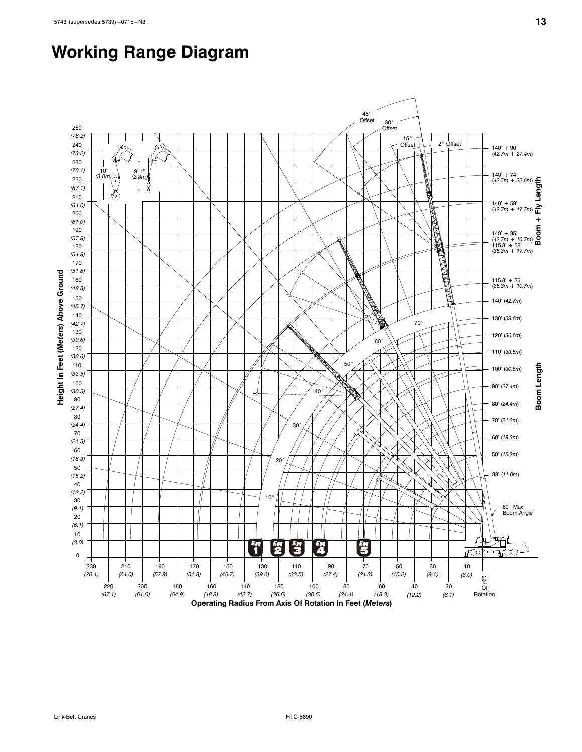# <span id="page-17-0"></span>**Working Range Diagram**

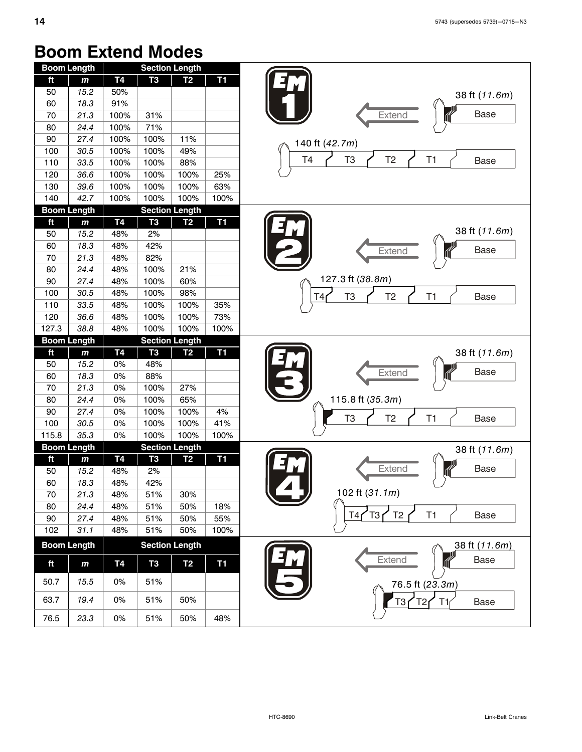## <span id="page-18-0"></span>**Boom Extend Modes**

76.5 *23.3* 0% 51% 50% 48%

|                                                             |                |                       | <b>Section Length</b> |            | <b>Boom Length</b> |              |
|-------------------------------------------------------------|----------------|-----------------------|-----------------------|------------|--------------------|--------------|
|                                                             | T <sub>1</sub> | T <sub>2</sub>        | T <sub>3</sub>        | <b>T4</b>  | m                  | ft           |
| 38 ft (11.6m)                                               |                |                       |                       | 50%        | 15.2               | 50           |
|                                                             |                |                       |                       | 91%        | 18.3               | 60           |
| Extend<br><b>Base</b>                                       |                |                       | 31%                   | 100%       | 21.3               | 70           |
|                                                             |                |                       | 71%                   | 100%       | 24.4               | 80           |
| 140 ft (42.7m)                                              |                | 11%                   | 100%                  | 100%       | 27.4               | 90           |
|                                                             |                | 49%                   | 100%                  | 100%       | 30.5               | 100          |
| T <sub>3</sub><br>T1<br>T4<br>T <sub>2</sub><br><b>Base</b> |                | 88%                   | 100%                  | 100%       | 33.5               | 110          |
|                                                             | 25%            | 100%                  | 100%                  | 100%       | 36.6               | 120          |
|                                                             | 63%            | 100%                  | 100%                  | 100%       | 39.6               | 130          |
|                                                             | 100%           | 100%                  | 100%                  | 100%       | 42.7               | 140          |
|                                                             |                | <b>Section Length</b> |                       |            | <b>Boom Length</b> |              |
|                                                             | <b>T1</b>      | T <sub>2</sub>        | T <sub>3</sub>        | <b>T4</b>  | $\mathbf m$        | ft           |
| 38 ft (11.6m)                                               |                |                       | 2%                    | 48%        | 15.2               | 50           |
| Extend<br>Base                                              |                |                       | 42%                   | 48%        | 18.3               | 60           |
|                                                             |                |                       | 82%                   | 48%        | 21.3               | 70           |
| 127.3 ft (38.8m)                                            |                | 21%                   | 100%                  | 48%        | 24.4               | 80           |
|                                                             |                | 60%                   | 100%                  | 48%        | 27.4               | 90           |
| T1<br>T <sub>3</sub><br>T <sub>2</sub><br><b>Base</b><br>T4 |                | 98%                   | 100%                  | 48%        | 30.5               | 100          |
|                                                             | 35%<br>73%     | 100%<br>100%          | 100%                  | 48%        | 33.5               | 110          |
|                                                             | 100%           | 100%                  | 100%<br>100%          | 48%<br>48% | 36.6<br>38.8       | 120<br>127.3 |
|                                                             |                |                       | <b>Section Length</b> |            | <b>Boom Length</b> |              |
| 38 ft (11.6m)                                               | <b>T1</b>      | T <sub>2</sub>        | T <sub>3</sub>        | <b>T4</b>  | $\mathbf{m}$       | ft           |
|                                                             |                |                       | 48%                   | 0%         | 15.2               | 50           |
|                                                             |                |                       |                       |            |                    |              |
| <b>Base</b><br>Extend                                       |                |                       |                       |            |                    |              |
|                                                             |                |                       | 88%                   | 0%         | 18.3               | 60           |
|                                                             |                | 27%                   | 100%                  | 0%         | 21.3<br>24.4       | 70           |
| 115.8 ft (35.3m)                                            | 4%             | 65%<br>100%           | 100%<br>100%          | 0%<br>0%   | 27.4               | 80<br>90     |
| T3<br>T <sub>2</sub><br>T1<br><b>Base</b>                   | 41%            | 100%                  | 100%                  | 0%         | 30.5               | 100          |
|                                                             | 100%           | 100%                  | 100%                  | 0%         | 35.3               | 115.8        |
|                                                             |                |                       | <b>Section Length</b> |            | <b>Boom Length</b> |              |
| 38 ft (11.6m)                                               | <b>T1</b>      | T <sub>2</sub>        | T <sub>3</sub>        | <b>T4</b>  | $\mathbf{m}$       | ft           |
| Base<br>Extend                                              |                |                       | 2%                    | 48%        | 15.2               | 50           |
|                                                             |                |                       | 42%                   | 48%        | 18.3               | 60           |
| 102 ft (31.1m)                                              |                | 30%                   | 51%                   | 48%        | 21.3               | 70           |
|                                                             | 18%            | 50%                   | 51%                   | 48%        | 24.4               | 80           |
| T1<br>T3 <sub>1</sub><br>T <sub>2</sub><br>Base<br>T4       | 55%            | 50%                   | 51%                   | 48%        | 27.4               | 90           |
|                                                             | 100%           | 50%                   | 51%                   | 48%        | 31.1               | 102          |
| 38 ft (11.6m)                                               |                |                       | <b>Section Length</b> |            | <b>Boom Length</b> |              |
| Base<br>Extend                                              | <b>T1</b>      | T <sub>2</sub>        | T <sub>3</sub>        | <b>T4</b>  |                    |              |
|                                                             |                |                       |                       |            | $\mathbf{m}$       | ft           |
| 76.5 ft (23.3m)                                             |                |                       | 51%                   | $0\%$      | 15.5               | 50.7         |
|                                                             |                | 50%                   | 51%                   | 0%         | 19.4               | 63.7         |
| T3 <sub>1</sub><br>T2<br>T1<br>Base                         | 48%            | 50%                   | 51%                   | 0%         | 23.3               | 76.5         |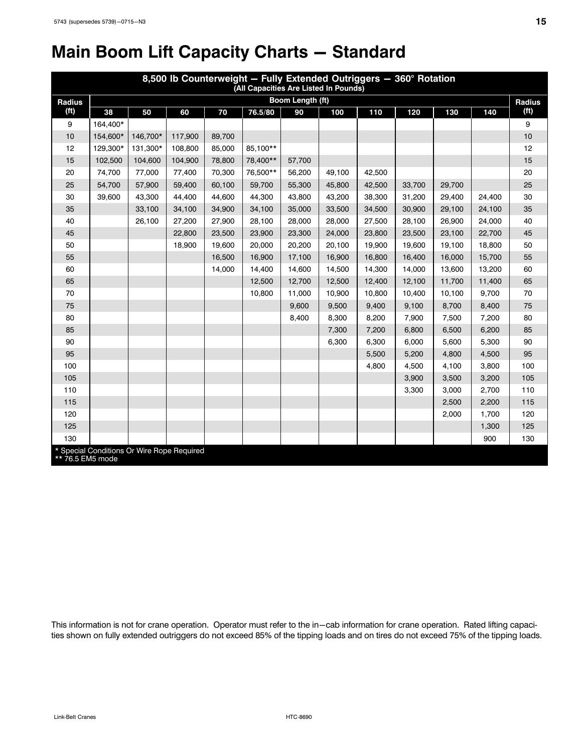# <span id="page-19-0"></span>**Main Boom Lift Capacity Charts - Standard**

| 8,500 lb Counterweight - Fully Extended Outriggers - 360° Rotation<br>(All Capacities Are Listed In Pounds) |          |                                            |         |        |          |                  |        |        |        |        |        |                   |
|-------------------------------------------------------------------------------------------------------------|----------|--------------------------------------------|---------|--------|----------|------------------|--------|--------|--------|--------|--------|-------------------|
| Radius                                                                                                      |          |                                            |         |        |          | Boom Length (ft) |        |        |        |        |        | <b>Radius</b>     |
| (f <sup>t</sup> )                                                                                           | 38       | 50                                         | 60      | 70     | 76.5/80  | 90               | 100    | 110    | 120    | 130    | 140    | (f <sup>t</sup> ) |
| 9                                                                                                           | 164,400* |                                            |         |        |          |                  |        |        |        |        |        | 9                 |
| 10                                                                                                          | 154,600* | 146,700*                                   | 117,900 | 89,700 |          |                  |        |        |        |        |        | 10                |
| 12                                                                                                          | 129,300* | 131,300*                                   | 108,800 | 85,000 | 85,100** |                  |        |        |        |        |        | 12                |
| 15                                                                                                          | 102,500  | 104,600                                    | 104,900 | 78,800 | 78,400** | 57,700           |        |        |        |        |        | 15                |
| 20                                                                                                          | 74,700   | 77,000                                     | 77,400  | 70,300 | 76,500** | 56,200           | 49,100 | 42,500 |        |        |        | 20                |
| 25                                                                                                          | 54,700   | 57,900                                     | 59,400  | 60,100 | 59,700   | 55,300           | 45,800 | 42,500 | 33,700 | 29,700 |        | 25                |
| 30                                                                                                          | 39,600   | 43,300                                     | 44,400  | 44,600 | 44,300   | 43,800           | 43,200 | 38,300 | 31,200 | 29,400 | 24,400 | 30                |
| 35                                                                                                          |          | 33,100                                     | 34,100  | 34,900 | 34,100   | 35,000           | 33,500 | 34,500 | 30,900 | 29,100 | 24,100 | 35                |
| 40                                                                                                          |          | 26,100                                     | 27,200  | 27,900 | 28,100   | 28,000           | 28,000 | 27,500 | 28,100 | 26,900 | 24,000 | 40                |
| 45                                                                                                          |          |                                            | 22,800  | 23,500 | 23,900   | 23,300           | 24,000 | 23,800 | 23,500 | 23,100 | 22,700 | 45                |
| 50                                                                                                          |          |                                            | 18,900  | 19,600 | 20,000   | 20,200           | 20,100 | 19,900 | 19,600 | 19,100 | 18,800 | 50                |
| 55                                                                                                          |          |                                            |         | 16,500 | 16,900   | 17,100           | 16,900 | 16,800 | 16,400 | 16,000 | 15,700 | 55                |
| 60                                                                                                          |          |                                            |         | 14,000 | 14,400   | 14,600           | 14,500 | 14,300 | 14,000 | 13,600 | 13,200 | 60                |
| 65                                                                                                          |          |                                            |         |        | 12,500   | 12,700           | 12,500 | 12,400 | 12,100 | 11,700 | 11,400 | 65                |
| 70                                                                                                          |          |                                            |         |        | 10,800   | 11,000           | 10,900 | 10,800 | 10,400 | 10,100 | 9,700  | 70                |
| 75                                                                                                          |          |                                            |         |        |          | 9,600            | 9,500  | 9,400  | 9,100  | 8,700  | 8,400  | 75                |
| 80                                                                                                          |          |                                            |         |        |          | 8,400            | 8,300  | 8,200  | 7,900  | 7,500  | 7,200  | 80                |
| 85                                                                                                          |          |                                            |         |        |          |                  | 7,300  | 7,200  | 6,800  | 6,500  | 6,200  | 85                |
| 90                                                                                                          |          |                                            |         |        |          |                  | 6,300  | 6,300  | 6,000  | 5,600  | 5,300  | 90                |
| 95                                                                                                          |          |                                            |         |        |          |                  |        | 5,500  | 5,200  | 4,800  | 4,500  | 95                |
| 100                                                                                                         |          |                                            |         |        |          |                  |        | 4,800  | 4,500  | 4,100  | 3,800  | 100               |
| 105                                                                                                         |          |                                            |         |        |          |                  |        |        | 3,900  | 3,500  | 3,200  | 105               |
| 110                                                                                                         |          |                                            |         |        |          |                  |        |        | 3,300  | 3,000  | 2,700  | 110               |
| 115                                                                                                         |          |                                            |         |        |          |                  |        |        |        | 2,500  | 2,200  | 115               |
| 120                                                                                                         |          |                                            |         |        |          |                  |        |        |        | 2,000  | 1,700  | 120               |
| 125                                                                                                         |          |                                            |         |        |          |                  |        |        |        |        | 1,300  | 125               |
| 130                                                                                                         |          |                                            |         |        |          |                  |        |        |        |        | 900    | 130               |
| ** 76.5 EM5 mode                                                                                            |          | * Special Conditions Or Wire Rope Required |         |        |          |                  |        |        |        |        |        |                   |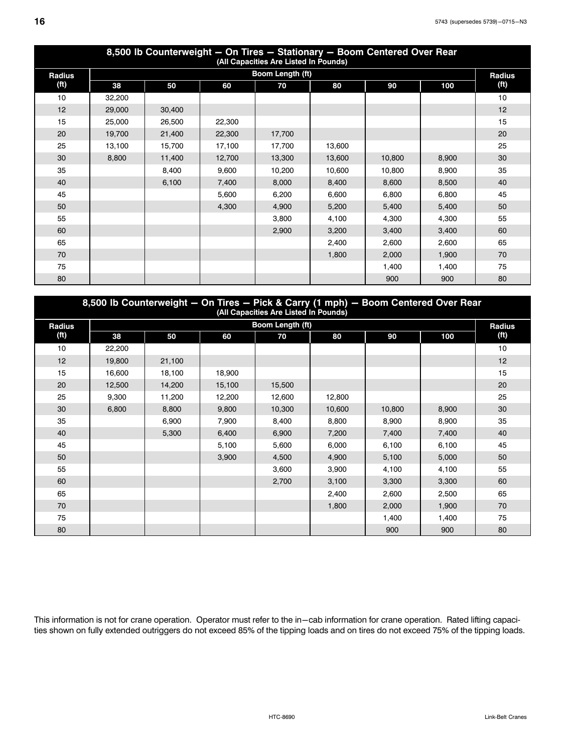<span id="page-20-0"></span>

| 8,500 lb Counterweight - On Tires - Stationary - Boom Centered Over Rear<br>(All Capacities Are Listed In Pounds) |        |        |        |                         |        |        |       |                   |  |
|-------------------------------------------------------------------------------------------------------------------|--------|--------|--------|-------------------------|--------|--------|-------|-------------------|--|
| Radius                                                                                                            |        |        |        | <b>Boom Length (ft)</b> |        |        |       | Radius            |  |
| (f <sup>t</sup> )                                                                                                 | 38     | 50     | 60     | 70                      | 80     | 90     | 100   | (f <sup>t</sup> ) |  |
| 10                                                                                                                | 32,200 |        |        |                         |        |        |       | 10                |  |
| 12                                                                                                                | 29,000 | 30,400 |        |                         |        |        |       | 12                |  |
| 15                                                                                                                | 25,000 | 26,500 | 22,300 |                         |        |        |       | 15                |  |
| 20                                                                                                                | 19,700 | 21,400 | 22,300 | 17,700                  |        |        |       | 20                |  |
| 25                                                                                                                | 13,100 | 15,700 | 17,100 | 17,700                  | 13,600 |        |       | 25                |  |
| 30                                                                                                                | 8,800  | 11,400 | 12,700 | 13,300                  | 13,600 | 10,800 | 8,900 | 30                |  |
| 35                                                                                                                |        | 8,400  | 9,600  | 10,200                  | 10,600 | 10,800 | 8,900 | 35                |  |
| 40                                                                                                                |        | 6,100  | 7,400  | 8,000                   | 8,400  | 8,600  | 8,500 | 40                |  |
| 45                                                                                                                |        |        | 5,600  | 6,200                   | 6,600  | 6,800  | 6,800 | 45                |  |
| 50                                                                                                                |        |        | 4,300  | 4,900                   | 5,200  | 5,400  | 5,400 | 50                |  |
| 55                                                                                                                |        |        |        | 3,800                   | 4,100  | 4,300  | 4,300 | 55                |  |
| 60                                                                                                                |        |        |        | 2,900                   | 3,200  | 3,400  | 3,400 | 60                |  |
| 65                                                                                                                |        |        |        |                         | 2,400  | 2,600  | 2,600 | 65                |  |
| 70                                                                                                                |        |        |        |                         | 1,800  | 2,000  | 1,900 | 70                |  |
| 75                                                                                                                |        |        |        |                         |        | 1,400  | 1,400 | 75                |  |
| 80                                                                                                                |        |        |        |                         |        | 900    | 900   | 80                |  |

| 8,500 lb Counterweight - On Tires - Pick & Carry (1 mph) - Boom Centered Over Rear<br>(All Capacities Are Listed In Pounds) |        |        |        |                  |        |        |       |                   |  |
|-----------------------------------------------------------------------------------------------------------------------------|--------|--------|--------|------------------|--------|--------|-------|-------------------|--|
| Radius                                                                                                                      |        |        |        | Boom Length (ft) |        |        |       | Radius            |  |
| (f <sup>t</sup> )                                                                                                           | 38     | 50     | 60     | 70               | 80     | 90     | 100   | (f <sup>t</sup> ) |  |
| 10                                                                                                                          | 22,200 |        |        |                  |        |        |       | 10                |  |
| 12                                                                                                                          | 19,800 | 21,100 |        |                  |        |        |       | 12                |  |
| 15                                                                                                                          | 16,600 | 18,100 | 18,900 |                  |        |        |       | 15                |  |
| 20                                                                                                                          | 12,500 | 14,200 | 15,100 | 15,500           |        |        |       | 20                |  |
| 25                                                                                                                          | 9,300  | 11,200 | 12,200 | 12,600           | 12,800 |        |       | 25                |  |
| 30                                                                                                                          | 6,800  | 8,800  | 9,800  | 10,300           | 10,600 | 10,800 | 8,900 | 30                |  |
| 35                                                                                                                          |        | 6,900  | 7,900  | 8,400            | 8,800  | 8,900  | 8,900 | 35                |  |
| 40                                                                                                                          |        | 5,300  | 6,400  | 6,900            | 7,200  | 7,400  | 7,400 | 40                |  |
| 45                                                                                                                          |        |        | 5,100  | 5,600            | 6,000  | 6,100  | 6,100 | 45                |  |
| 50                                                                                                                          |        |        | 3,900  | 4,500            | 4,900  | 5,100  | 5,000 | 50                |  |
| 55                                                                                                                          |        |        |        | 3,600            | 3,900  | 4,100  | 4,100 | 55                |  |
| 60                                                                                                                          |        |        |        | 2,700            | 3,100  | 3,300  | 3,300 | 60                |  |
| 65                                                                                                                          |        |        |        |                  | 2,400  | 2,600  | 2,500 | 65                |  |
| 70                                                                                                                          |        |        |        |                  | 1,800  | 2,000  | 1,900 | 70                |  |
| 75                                                                                                                          |        |        |        |                  |        | 1,400  | 1,400 | 75                |  |
| 80                                                                                                                          |        |        |        |                  |        | 900    | 900   | 80                |  |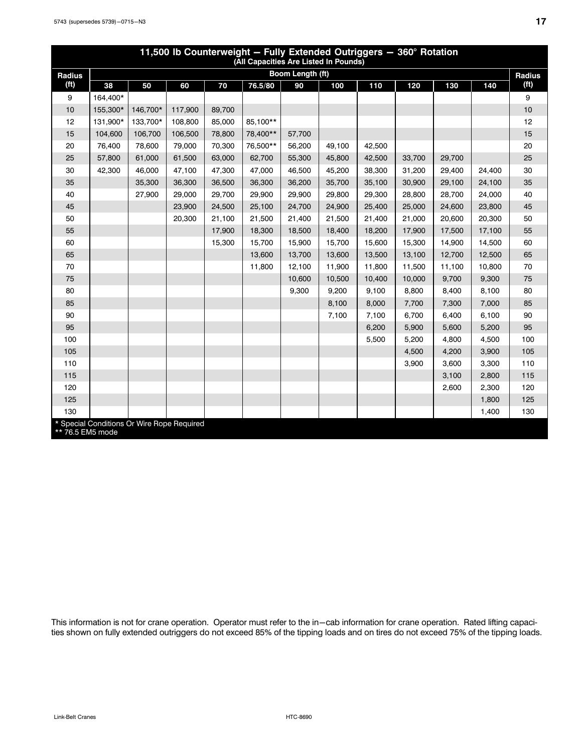<span id="page-21-0"></span>

| 11,500 lb Counterweight - Fully Extended Outriggers - 360° Rotation<br>(All Capacities Are Listed In Pounds) |          |                                            |         |        |          |                  |        |        |        |        |        |        |
|--------------------------------------------------------------------------------------------------------------|----------|--------------------------------------------|---------|--------|----------|------------------|--------|--------|--------|--------|--------|--------|
| <b>Radius</b>                                                                                                |          |                                            |         |        |          | Boom Length (ft) |        |        |        |        |        | Radius |
| (f <sup>t</sup> )                                                                                            | 38       | 50                                         | 60      | 70     | 76.5/80  | 90               | 100    | 110    | 120    | 130    | 140    | (t)    |
| 9                                                                                                            | 164,400* |                                            |         |        |          |                  |        |        |        |        |        | 9      |
| 10                                                                                                           | 155,300* | 146,700*                                   | 117,900 | 89,700 |          |                  |        |        |        |        |        | 10     |
| 12                                                                                                           | 131,900* | 133,700*                                   | 108,800 | 85,000 | 85,100** |                  |        |        |        |        |        | 12     |
| 15                                                                                                           | 104,600  | 106,700                                    | 106,500 | 78,800 | 78,400** | 57,700           |        |        |        |        |        | 15     |
| 20                                                                                                           | 76,400   | 78,600                                     | 79,000  | 70,300 | 76,500** | 56,200           | 49,100 | 42,500 |        |        |        | 20     |
| 25                                                                                                           | 57,800   | 61,000                                     | 61,500  | 63,000 | 62,700   | 55,300           | 45,800 | 42,500 | 33,700 | 29,700 |        | 25     |
| 30                                                                                                           | 42,300   | 46,000                                     | 47,100  | 47,300 | 47,000   | 46,500           | 45,200 | 38,300 | 31,200 | 29,400 | 24,400 | 30     |
| 35                                                                                                           |          | 35,300                                     | 36,300  | 36,500 | 36,300   | 36,200           | 35,700 | 35,100 | 30,900 | 29,100 | 24,100 | 35     |
| 40                                                                                                           |          | 27,900                                     | 29,000  | 29,700 | 29,900   | 29,900           | 29,800 | 29,300 | 28,800 | 28,700 | 24,000 | 40     |
| 45                                                                                                           |          |                                            | 23,900  | 24,500 | 25,100   | 24,700           | 24,900 | 25,400 | 25,000 | 24,600 | 23,800 | 45     |
| 50                                                                                                           |          |                                            | 20,300  | 21,100 | 21,500   | 21,400           | 21,500 | 21,400 | 21,000 | 20,600 | 20,300 | 50     |
| 55                                                                                                           |          |                                            |         | 17,900 | 18,300   | 18,500           | 18,400 | 18,200 | 17,900 | 17,500 | 17,100 | 55     |
| 60                                                                                                           |          |                                            |         | 15,300 | 15,700   | 15,900           | 15,700 | 15,600 | 15,300 | 14,900 | 14,500 | 60     |
| 65                                                                                                           |          |                                            |         |        | 13,600   | 13,700           | 13,600 | 13,500 | 13,100 | 12,700 | 12,500 | 65     |
| 70                                                                                                           |          |                                            |         |        | 11,800   | 12,100           | 11,900 | 11,800 | 11,500 | 11,100 | 10,800 | 70     |
| 75                                                                                                           |          |                                            |         |        |          | 10,600           | 10,500 | 10,400 | 10,000 | 9,700  | 9,300  | 75     |
| 80                                                                                                           |          |                                            |         |        |          | 9,300            | 9,200  | 9,100  | 8,800  | 8,400  | 8,100  | 80     |
| 85                                                                                                           |          |                                            |         |        |          |                  | 8,100  | 8,000  | 7,700  | 7,300  | 7,000  | 85     |
| 90                                                                                                           |          |                                            |         |        |          |                  | 7,100  | 7,100  | 6,700  | 6,400  | 6,100  | 90     |
| 95                                                                                                           |          |                                            |         |        |          |                  |        | 6,200  | 5,900  | 5,600  | 5,200  | 95     |
| 100                                                                                                          |          |                                            |         |        |          |                  |        | 5,500  | 5,200  | 4,800  | 4,500  | 100    |
| 105                                                                                                          |          |                                            |         |        |          |                  |        |        | 4,500  | 4,200  | 3,900  | 105    |
| 110                                                                                                          |          |                                            |         |        |          |                  |        |        | 3,900  | 3,600  | 3,300  | 110    |
| 115                                                                                                          |          |                                            |         |        |          |                  |        |        |        | 3,100  | 2,800  | 115    |
| 120                                                                                                          |          |                                            |         |        |          |                  |        |        |        | 2,600  | 2,300  | 120    |
| 125                                                                                                          |          |                                            |         |        |          |                  |        |        |        |        | 1,800  | 125    |
| 130                                                                                                          |          |                                            |         |        |          |                  |        |        |        |        | 1,400  | 130    |
| $**$ 76 5 FM5 mode                                                                                           |          | * Special Conditions Or Wire Rope Required |         |        |          |                  |        |        |        |        |        |        |

 $70.5$  EMS ii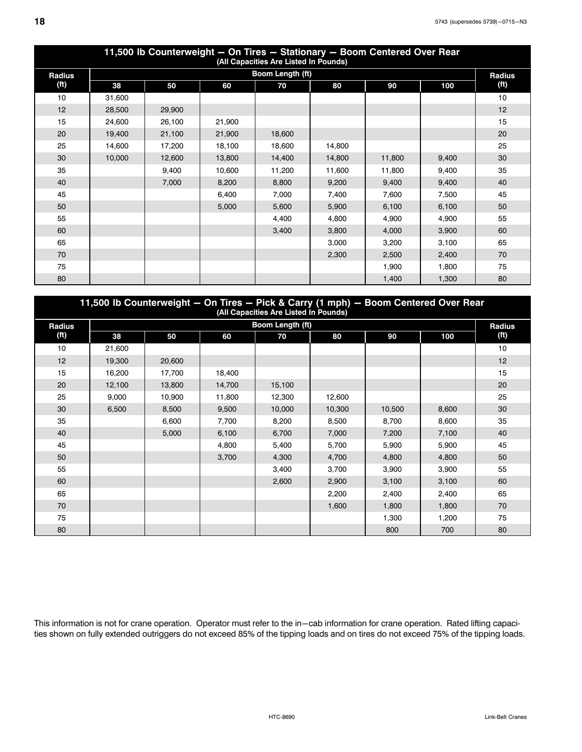<span id="page-22-0"></span>

| 11,500 lb Counterweight - On Tires - Stationary - Boom Centered Over Rear<br>(All Capacities Are Listed In Pounds) |        |        |        |                  |        |        |       |                   |  |
|--------------------------------------------------------------------------------------------------------------------|--------|--------|--------|------------------|--------|--------|-------|-------------------|--|
| Radius                                                                                                             |        |        |        | Boom Length (ft) |        |        |       | Radius            |  |
| (f <sup>t</sup> )                                                                                                  | 38     | 50     | 60     | 70               | 80     | 90     | 100   | (f <sup>t</sup> ) |  |
| 10                                                                                                                 | 31,600 |        |        |                  |        |        |       | 10                |  |
| 12                                                                                                                 | 28,500 | 29,900 |        |                  |        |        |       | 12                |  |
| 15                                                                                                                 | 24,600 | 26,100 | 21,900 |                  |        |        |       | 15                |  |
| 20                                                                                                                 | 19,400 | 21,100 | 21,900 | 18,600           |        |        |       | 20                |  |
| 25                                                                                                                 | 14,600 | 17,200 | 18,100 | 18,600           | 14,800 |        |       | 25                |  |
| 30                                                                                                                 | 10,000 | 12,600 | 13,800 | 14,400           | 14,800 | 11,800 | 9,400 | 30                |  |
| 35                                                                                                                 |        | 9,400  | 10,600 | 11,200           | 11,600 | 11,800 | 9,400 | 35                |  |
| 40                                                                                                                 |        | 7,000  | 8,200  | 8,800            | 9,200  | 9,400  | 9,400 | 40                |  |
| 45                                                                                                                 |        |        | 6,400  | 7,000            | 7,400  | 7,600  | 7,500 | 45                |  |
| 50                                                                                                                 |        |        | 5,000  | 5,600            | 5,900  | 6,100  | 6,100 | 50                |  |
| 55                                                                                                                 |        |        |        | 4,400            | 4,800  | 4,900  | 4,900 | 55                |  |
| 60                                                                                                                 |        |        |        | 3,400            | 3,800  | 4,000  | 3,900 | 60                |  |
| 65                                                                                                                 |        |        |        |                  | 3,000  | 3,200  | 3,100 | 65                |  |
| 70                                                                                                                 |        |        |        |                  | 2,300  | 2,500  | 2,400 | 70                |  |
| 75                                                                                                                 |        |        |        |                  |        | 1,900  | 1,800 | 75                |  |
| 80                                                                                                                 |        |        |        |                  |        | 1,400  | 1,300 | 80                |  |

| 11,500 lb Counterweight - On Tires - Pick & Carry (1 mph) - Boom Centered Over Rear<br>(All Capacities Are Listed In Pounds) |        |        |        |                  |        |        |       |                   |  |
|------------------------------------------------------------------------------------------------------------------------------|--------|--------|--------|------------------|--------|--------|-------|-------------------|--|
| <b>Radius</b>                                                                                                                |        |        |        | Boom Length (ft) |        |        |       | Radius            |  |
| (f <sup>t</sup> )                                                                                                            | 38     | 50     | 60     | 70               | 80     | 90     | 100   | (f <sup>t</sup> ) |  |
| 10                                                                                                                           | 21,600 |        |        |                  |        |        |       | 10                |  |
| 12                                                                                                                           | 19,300 | 20,600 |        |                  |        |        |       | 12                |  |
| 15                                                                                                                           | 16,200 | 17,700 | 18,400 |                  |        |        |       | 15                |  |
| 20                                                                                                                           | 12,100 | 13,800 | 14,700 | 15,100           |        |        |       | 20                |  |
| 25                                                                                                                           | 9,000  | 10,900 | 11,800 | 12,300           | 12,600 |        |       | 25                |  |
| 30                                                                                                                           | 6,500  | 8,500  | 9,500  | 10,000           | 10,300 | 10,500 | 8,600 | 30                |  |
| 35                                                                                                                           |        | 6,600  | 7,700  | 8,200            | 8,500  | 8,700  | 8,600 | 35                |  |
| 40                                                                                                                           |        | 5,000  | 6,100  | 6,700            | 7,000  | 7,200  | 7,100 | 40                |  |
| 45                                                                                                                           |        |        | 4,800  | 5,400            | 5,700  | 5,900  | 5,900 | 45                |  |
| 50                                                                                                                           |        |        | 3,700  | 4,300            | 4,700  | 4,800  | 4,800 | 50                |  |
| 55                                                                                                                           |        |        |        | 3,400            | 3,700  | 3,900  | 3,900 | 55                |  |
| 60                                                                                                                           |        |        |        | 2,600            | 2,900  | 3,100  | 3,100 | 60                |  |
| 65                                                                                                                           |        |        |        |                  | 2,200  | 2,400  | 2,400 | 65                |  |
| 70                                                                                                                           |        |        |        |                  | 1,600  | 1,800  | 1,800 | 70                |  |
| 75                                                                                                                           |        |        |        |                  |        | 1,300  | 1,200 | 75                |  |
| 80                                                                                                                           |        |        |        |                  |        | 800    | 700   | 80                |  |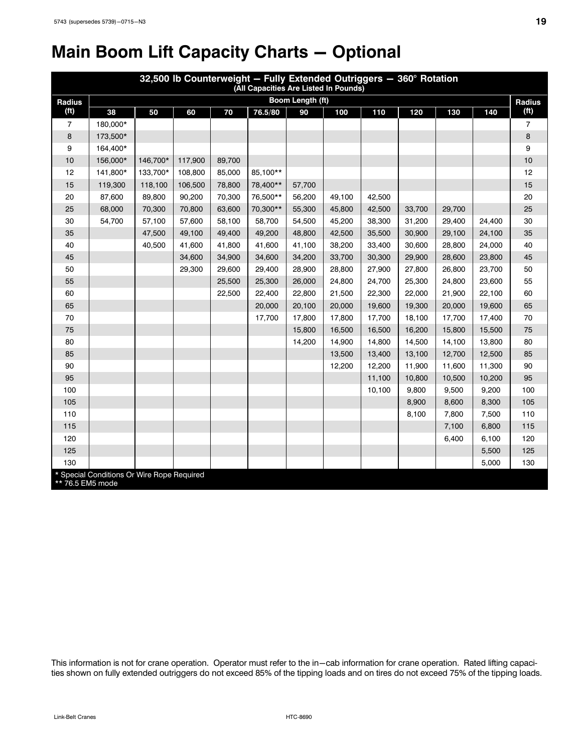# <span id="page-23-0"></span>**Main Boom Lift Capacity Charts - Optional**

| 32,500 lb Counterweight - Fully Extended Outriggers - 360° Rotation<br>(All Capacities Are Listed In Pounds) |                                            |          |         |        |          |                  |        |        |        |        |        |                   |
|--------------------------------------------------------------------------------------------------------------|--------------------------------------------|----------|---------|--------|----------|------------------|--------|--------|--------|--------|--------|-------------------|
| Radius                                                                                                       |                                            |          |         |        |          | Boom Length (ft) |        |        |        |        |        | Radius            |
| (f <sup>t</sup> )                                                                                            | 38                                         | 50       | 60      | 70     | 76.5/80  | 90               | 100    | 110    | 120    | 130    | 140    | (f <sup>t</sup> ) |
| $\overline{7}$                                                                                               | 180,000*                                   |          |         |        |          |                  |        |        |        |        |        | $\overline{7}$    |
| 8                                                                                                            | 173,500*                                   |          |         |        |          |                  |        |        |        |        |        | 8                 |
| 9                                                                                                            | 164,400*                                   |          |         |        |          |                  |        |        |        |        |        | 9                 |
| 10                                                                                                           | 156,000*                                   | 146,700* | 117,900 | 89,700 |          |                  |        |        |        |        |        | 10                |
| 12                                                                                                           | 141,800*                                   | 133,700* | 108,800 | 85,000 | 85.100** |                  |        |        |        |        |        | 12                |
| 15                                                                                                           | 119,300                                    | 118,100  | 106,500 | 78,800 | 78.400** | 57,700           |        |        |        |        |        | 15                |
| 20                                                                                                           | 87,600                                     | 89,800   | 90,200  | 70,300 | 76,500** | 56,200           | 49,100 | 42,500 |        |        |        | 20                |
| 25                                                                                                           | 68,000                                     | 70,300   | 70,800  | 63,600 | 70,300** | 55,300           | 45,800 | 42,500 | 33,700 | 29,700 |        | 25                |
| 30                                                                                                           | 54,700                                     | 57,100   | 57,600  | 58,100 | 58,700   | 54,500           | 45,200 | 38,300 | 31,200 | 29,400 | 24,400 | 30                |
| 35                                                                                                           |                                            | 47,500   | 49,100  | 49,400 | 49,200   | 48,800           | 42,500 | 35,500 | 30,900 | 29,100 | 24,100 | 35                |
| 40                                                                                                           |                                            | 40,500   | 41,600  | 41,800 | 41,600   | 41,100           | 38,200 | 33,400 | 30,600 | 28,800 | 24,000 | 40                |
| 45                                                                                                           |                                            |          | 34,600  | 34,900 | 34,600   | 34,200           | 33,700 | 30,300 | 29,900 | 28,600 | 23,800 | 45                |
| 50                                                                                                           |                                            |          | 29,300  | 29,600 | 29,400   | 28,900           | 28,800 | 27,900 | 27,800 | 26,800 | 23,700 | 50                |
| 55                                                                                                           |                                            |          |         | 25,500 | 25,300   | 26,000           | 24,800 | 24,700 | 25,300 | 24,800 | 23,600 | 55                |
| 60                                                                                                           |                                            |          |         | 22,500 | 22,400   | 22,800           | 21,500 | 22,300 | 22,000 | 21,900 | 22,100 | 60                |
| 65                                                                                                           |                                            |          |         |        | 20,000   | 20,100           | 20,000 | 19,600 | 19,300 | 20,000 | 19,600 | 65                |
| 70                                                                                                           |                                            |          |         |        | 17,700   | 17,800           | 17,800 | 17,700 | 18,100 | 17,700 | 17,400 | 70                |
| 75                                                                                                           |                                            |          |         |        |          | 15,800           | 16,500 | 16,500 | 16,200 | 15,800 | 15,500 | 75                |
| 80                                                                                                           |                                            |          |         |        |          | 14,200           | 14,900 | 14,800 | 14,500 | 14,100 | 13,800 | 80                |
| 85                                                                                                           |                                            |          |         |        |          |                  | 13,500 | 13,400 | 13,100 | 12,700 | 12,500 | 85                |
| 90                                                                                                           |                                            |          |         |        |          |                  | 12,200 | 12,200 | 11,900 | 11,600 | 11,300 | 90                |
| 95                                                                                                           |                                            |          |         |        |          |                  |        | 11,100 | 10,800 | 10,500 | 10,200 | 95                |
| 100                                                                                                          |                                            |          |         |        |          |                  |        | 10,100 | 9,800  | 9,500  | 9,200  | 100               |
| 105                                                                                                          |                                            |          |         |        |          |                  |        |        | 8.900  | 8,600  | 8,300  | 105               |
| 110                                                                                                          |                                            |          |         |        |          |                  |        |        | 8,100  | 7,800  | 7,500  | 110               |
| 115                                                                                                          |                                            |          |         |        |          |                  |        |        |        | 7,100  | 6,800  | 115               |
| 120                                                                                                          |                                            |          |         |        |          |                  |        |        |        | 6,400  | 6,100  | 120               |
| 125                                                                                                          |                                            |          |         |        |          |                  |        |        |        |        | 5,500  | 125               |
| 130                                                                                                          |                                            |          |         |        |          |                  |        |        |        |        | 5,000  | 130               |
| ** 76.5 EM5 mode                                                                                             | * Special Conditions Or Wire Rope Required |          |         |        |          |                  |        |        |        |        |        |                   |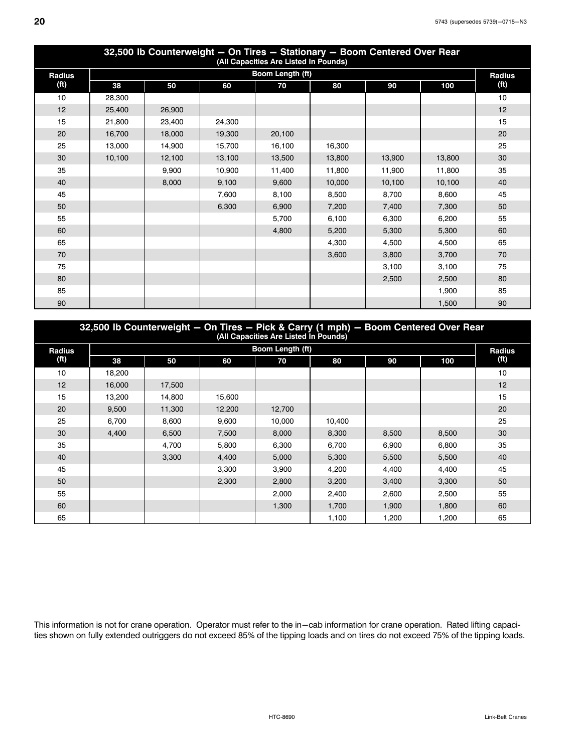<span id="page-24-0"></span>

| 32,500 lb Counterweight - On Tires - Stationary - Boom Centered Over Rear<br>(All Capacities Are Listed In Pounds) |        |        |        |                  |        |        |        |                   |  |
|--------------------------------------------------------------------------------------------------------------------|--------|--------|--------|------------------|--------|--------|--------|-------------------|--|
| Radius                                                                                                             |        |        |        | Boom Length (ft) |        |        |        | Radius            |  |
| (f <sup>t</sup> )                                                                                                  | 38     | 50     | 60     | 70               | 80     | 90     | 100    | (f <sup>t</sup> ) |  |
| 10                                                                                                                 | 28,300 |        |        |                  |        |        |        | 10                |  |
| 12                                                                                                                 | 25,400 | 26,900 |        |                  |        |        |        | 12                |  |
| 15                                                                                                                 | 21.800 | 23,400 | 24.300 |                  |        |        |        | 15                |  |
| 20                                                                                                                 | 16,700 | 18,000 | 19,300 | 20,100           |        |        |        | 20                |  |
| 25                                                                                                                 | 13,000 | 14,900 | 15,700 | 16,100           | 16,300 |        |        | 25                |  |
| 30                                                                                                                 | 10,100 | 12,100 | 13,100 | 13,500           | 13,800 | 13,900 | 13,800 | 30                |  |
| 35                                                                                                                 |        | 9,900  | 10,900 | 11,400           | 11,800 | 11,900 | 11,800 | 35                |  |
| 40                                                                                                                 |        | 8,000  | 9,100  | 9.600            | 10.000 | 10.100 | 10,100 | 40                |  |
| 45                                                                                                                 |        |        | 7,600  | 8,100            | 8,500  | 8,700  | 8,600  | 45                |  |
| 50                                                                                                                 |        |        | 6,300  | 6,900            | 7,200  | 7,400  | 7,300  | 50                |  |
| 55                                                                                                                 |        |        |        | 5.700            | 6,100  | 6,300  | 6,200  | 55                |  |
| 60                                                                                                                 |        |        |        | 4,800            | 5,200  | 5,300  | 5,300  | 60                |  |
| 65                                                                                                                 |        |        |        |                  | 4,300  | 4,500  | 4,500  | 65                |  |
| 70                                                                                                                 |        |        |        |                  | 3,600  | 3,800  | 3,700  | 70                |  |
| 75                                                                                                                 |        |        |        |                  |        | 3,100  | 3,100  | 75                |  |
| 80                                                                                                                 |        |        |        |                  |        | 2,500  | 2,500  | 80                |  |
| 85                                                                                                                 |        |        |        |                  |        |        | 1,900  | 85                |  |
| 90                                                                                                                 |        |        |        |                  |        |        | 1,500  | 90                |  |

| 32,500 lb Counterweight - On Tires - Pick & Carry (1 mph) - Boom Centered Over Rear<br>(All Capacities Are Listed In Pounds) |        |        |        |                  |        |       |       |                    |  |  |
|------------------------------------------------------------------------------------------------------------------------------|--------|--------|--------|------------------|--------|-------|-------|--------------------|--|--|
| <b>Radius</b>                                                                                                                |        |        |        | Boom Length (ft) |        |       |       | <b>Radius</b>      |  |  |
| (ft)                                                                                                                         | 38     | 50     | 60     | 70               | 80     | 90    | 100   | (f <sup>th</sup> ) |  |  |
| 10                                                                                                                           | 18,200 |        |        |                  |        |       |       | 10                 |  |  |
| 12                                                                                                                           | 16,000 | 17,500 |        |                  |        |       |       | 12                 |  |  |
| 15                                                                                                                           | 13,200 | 14,800 | 15,600 |                  |        |       |       | 15                 |  |  |
| 20                                                                                                                           | 9,500  | 11,300 | 12,200 | 12,700           |        |       |       | 20                 |  |  |
| 25                                                                                                                           | 6.700  | 8,600  | 9,600  | 10,000           | 10,400 |       |       | 25                 |  |  |
| 30                                                                                                                           | 4,400  | 6,500  | 7,500  | 8,000            | 8,300  | 8,500 | 8,500 | 30                 |  |  |
| 35                                                                                                                           |        | 4,700  | 5,800  | 6,300            | 6,700  | 6,900 | 6,800 | 35                 |  |  |
| 40                                                                                                                           |        | 3,300  | 4,400  | 5,000            | 5,300  | 5,500 | 5,500 | 40                 |  |  |
| 45                                                                                                                           |        |        | 3,300  | 3,900            | 4,200  | 4,400 | 4,400 | 45                 |  |  |
| 50                                                                                                                           |        |        | 2,300  | 2,800            | 3,200  | 3,400 | 3,300 | 50                 |  |  |
| 55                                                                                                                           |        |        |        | 2,000            | 2,400  | 2,600 | 2,500 | 55                 |  |  |
| 60                                                                                                                           |        |        |        | 1,300            | 1,700  | 1,900 | 1,800 | 60                 |  |  |
| 65                                                                                                                           |        |        |        |                  | 1,100  | 1,200 | 1,200 | 65                 |  |  |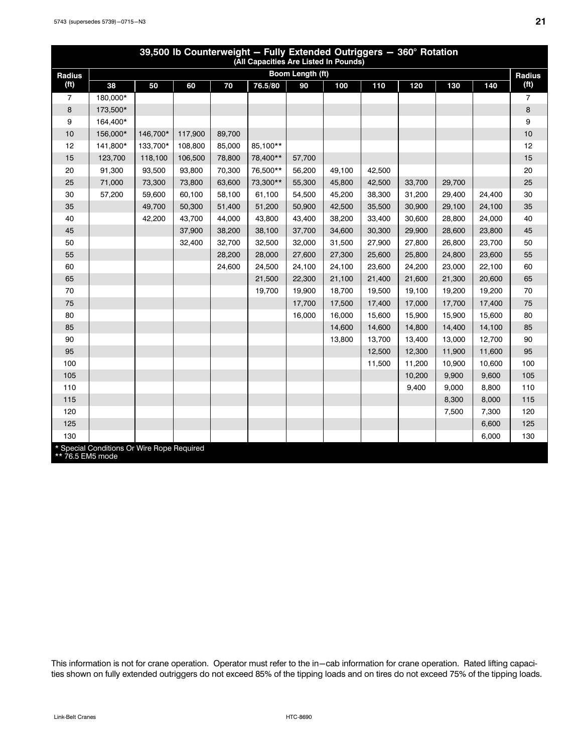<span id="page-25-0"></span>

| 39,500 lb Counterweight - Fully Extended Outriggers - 360° Rotation<br>(All Capacities Are Listed In Pounds) |                                            |          |         |        |          |                  |        |        |        |        |        |                   |
|--------------------------------------------------------------------------------------------------------------|--------------------------------------------|----------|---------|--------|----------|------------------|--------|--------|--------|--------|--------|-------------------|
| <b>Radius</b>                                                                                                |                                            |          |         |        |          | Boom Length (ft) |        |        |        |        |        | <b>Radius</b>     |
| (f <sup>t</sup> )                                                                                            | 38                                         | 50       | 60      | 70     | 76.5/80  | 90               | 100    | 110    | 120    | 130    | 140    | (f <sup>t</sup> ) |
| $\overline{7}$                                                                                               | 180,000*                                   |          |         |        |          |                  |        |        |        |        |        | $\overline{7}$    |
| 8                                                                                                            | 173,500*                                   |          |         |        |          |                  |        |        |        |        |        | 8                 |
| 9                                                                                                            | 164,400*                                   |          |         |        |          |                  |        |        |        |        |        | 9                 |
| 10                                                                                                           | 156,000*                                   | 146,700* | 117,900 | 89,700 |          |                  |        |        |        |        |        | 10                |
| 12                                                                                                           | 141,800*                                   | 133,700* | 108,800 | 85,000 | 85,100** |                  |        |        |        |        |        | 12                |
| 15                                                                                                           | 123,700                                    | 118,100  | 106,500 | 78,800 | 78,400** | 57,700           |        |        |        |        |        | 15                |
| 20                                                                                                           | 91,300                                     | 93,500   | 93,800  | 70,300 | 76,500** | 56,200           | 49,100 | 42,500 |        |        |        | 20                |
| 25                                                                                                           | 71,000                                     | 73,300   | 73,800  | 63,600 | 73,300** | 55,300           | 45,800 | 42,500 | 33,700 | 29,700 |        | 25                |
| 30                                                                                                           | 57,200                                     | 59,600   | 60,100  | 58,100 | 61,100   | 54,500           | 45,200 | 38,300 | 31,200 | 29,400 | 24,400 | 30                |
| 35                                                                                                           |                                            | 49,700   | 50,300  | 51,400 | 51,200   | 50,900           | 42,500 | 35,500 | 30,900 | 29,100 | 24,100 | 35                |
| 40                                                                                                           |                                            | 42,200   | 43,700  | 44,000 | 43,800   | 43,400           | 38,200 | 33,400 | 30,600 | 28,800 | 24,000 | 40                |
| 45                                                                                                           |                                            |          | 37,900  | 38,200 | 38,100   | 37,700           | 34,600 | 30,300 | 29,900 | 28,600 | 23,800 | 45                |
| 50                                                                                                           |                                            |          | 32,400  | 32,700 | 32,500   | 32,000           | 31,500 | 27,900 | 27,800 | 26,800 | 23,700 | 50                |
| 55                                                                                                           |                                            |          |         | 28,200 | 28,000   | 27,600           | 27,300 | 25,600 | 25,800 | 24,800 | 23,600 | 55                |
| 60                                                                                                           |                                            |          |         | 24,600 | 24,500   | 24,100           | 24,100 | 23,600 | 24,200 | 23,000 | 22,100 | 60                |
| 65                                                                                                           |                                            |          |         |        | 21,500   | 22,300           | 21,100 | 21,400 | 21,600 | 21,300 | 20,600 | 65                |
| 70                                                                                                           |                                            |          |         |        | 19,700   | 19,900           | 18,700 | 19,500 | 19,100 | 19,200 | 19,200 | 70                |
| 75                                                                                                           |                                            |          |         |        |          | 17,700           | 17,500 | 17,400 | 17,000 | 17,700 | 17,400 | 75                |
| 80                                                                                                           |                                            |          |         |        |          | 16,000           | 16,000 | 15,600 | 15,900 | 15,900 | 15,600 | 80                |
| 85                                                                                                           |                                            |          |         |        |          |                  | 14,600 | 14,600 | 14,800 | 14,400 | 14,100 | 85                |
| 90                                                                                                           |                                            |          |         |        |          |                  | 13,800 | 13,700 | 13,400 | 13,000 | 12,700 | 90                |
| 95                                                                                                           |                                            |          |         |        |          |                  |        | 12,500 | 12,300 | 11,900 | 11,600 | 95                |
| 100                                                                                                          |                                            |          |         |        |          |                  |        | 11,500 | 11,200 | 10,900 | 10,600 | 100               |
| 105                                                                                                          |                                            |          |         |        |          |                  |        |        | 10,200 | 9,900  | 9,600  | 105               |
| 110                                                                                                          |                                            |          |         |        |          |                  |        |        | 9,400  | 9,000  | 8,800  | 110               |
| 115                                                                                                          |                                            |          |         |        |          |                  |        |        |        | 8,300  | 8,000  | 115               |
| 120                                                                                                          |                                            |          |         |        |          |                  |        |        |        | 7,500  | 7,300  | 120               |
| 125                                                                                                          |                                            |          |         |        |          |                  |        |        |        |        | 6,600  | 125               |
| 130                                                                                                          |                                            |          |         |        |          |                  |        |        |        |        | 6,000  | 130               |
| ** 76.5 EM5 mode                                                                                             | * Special Conditions Or Wire Rope Required |          |         |        |          |                  |        |        |        |        |        |                   |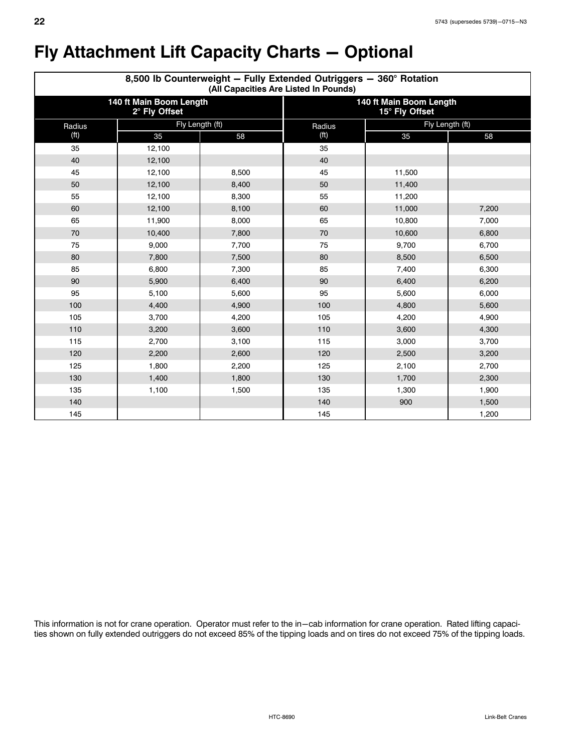<span id="page-26-0"></span>

# **Fly Attachment Lift Capacity Charts - Optional**

| 8,500 lb Counterweight - Fully Extended Outriggers - 360° Rotation<br>(All Capacities Are Listed In Pounds) |                                          |       |        |                                                                                                                                                                                                                                                                                                                                                                                       |       |  |  |  |  |
|-------------------------------------------------------------------------------------------------------------|------------------------------------------|-------|--------|---------------------------------------------------------------------------------------------------------------------------------------------------------------------------------------------------------------------------------------------------------------------------------------------------------------------------------------------------------------------------------------|-------|--|--|--|--|
|                                                                                                             | 140 ft Main Boom Length<br>2° Fly Offset |       |        | 140 ft Main Boom Length<br>15° Fly Offset<br>Fly Length (ft)<br>(f <sup>t</sup> )<br>35<br>58<br>35<br>40<br>45<br>11,500<br>50<br>11,400<br>55<br>11,200<br>60<br>11,000<br>7,200<br>65<br>10,800<br>7,000<br>70<br>10,600<br>6,800<br>75<br>6,700<br>9,700<br>80<br>8,500<br>6,500<br>85<br>6,300<br>7,400<br>90<br>6,400<br>6,200<br>95<br>5,600<br>6,000<br>100<br>5,600<br>4,800 |       |  |  |  |  |
| Radius                                                                                                      | Fly Length (ft)                          |       | Radius |                                                                                                                                                                                                                                                                                                                                                                                       |       |  |  |  |  |
| (f <sup>t</sup> )                                                                                           | 35                                       | 58    |        |                                                                                                                                                                                                                                                                                                                                                                                       |       |  |  |  |  |
| 35                                                                                                          | 12,100                                   |       |        |                                                                                                                                                                                                                                                                                                                                                                                       |       |  |  |  |  |
| 40                                                                                                          | 12,100                                   |       |        |                                                                                                                                                                                                                                                                                                                                                                                       |       |  |  |  |  |
| 45                                                                                                          | 12,100                                   | 8,500 |        |                                                                                                                                                                                                                                                                                                                                                                                       |       |  |  |  |  |
| 50                                                                                                          | 12,100                                   | 8,400 |        |                                                                                                                                                                                                                                                                                                                                                                                       |       |  |  |  |  |
| 55                                                                                                          | 12,100                                   | 8,300 |        |                                                                                                                                                                                                                                                                                                                                                                                       |       |  |  |  |  |
| 60                                                                                                          | 12,100                                   | 8,100 |        |                                                                                                                                                                                                                                                                                                                                                                                       |       |  |  |  |  |
| 65                                                                                                          | 11,900                                   | 8,000 |        |                                                                                                                                                                                                                                                                                                                                                                                       |       |  |  |  |  |
| 70                                                                                                          | 10,400                                   | 7,800 |        |                                                                                                                                                                                                                                                                                                                                                                                       |       |  |  |  |  |
| 75                                                                                                          | 9,000                                    | 7,700 |        |                                                                                                                                                                                                                                                                                                                                                                                       |       |  |  |  |  |
| 80                                                                                                          | 7,800                                    | 7,500 |        |                                                                                                                                                                                                                                                                                                                                                                                       |       |  |  |  |  |
| 85                                                                                                          | 6,800                                    | 7,300 |        |                                                                                                                                                                                                                                                                                                                                                                                       |       |  |  |  |  |
| 90                                                                                                          | 5,900                                    | 6,400 |        |                                                                                                                                                                                                                                                                                                                                                                                       |       |  |  |  |  |
| 95                                                                                                          | 5,100                                    | 5,600 |        |                                                                                                                                                                                                                                                                                                                                                                                       |       |  |  |  |  |
| 100                                                                                                         | 4,400                                    | 4,900 |        |                                                                                                                                                                                                                                                                                                                                                                                       |       |  |  |  |  |
| 105                                                                                                         | 3,700                                    | 4,200 | 105    | 4,200                                                                                                                                                                                                                                                                                                                                                                                 | 4,900 |  |  |  |  |
| 110                                                                                                         | 3,200                                    | 3,600 | 110    | 3,600                                                                                                                                                                                                                                                                                                                                                                                 | 4,300 |  |  |  |  |
| 115                                                                                                         | 2,700                                    | 3,100 | 115    | 3,000                                                                                                                                                                                                                                                                                                                                                                                 | 3,700 |  |  |  |  |
| 120                                                                                                         | 2,200                                    | 2,600 | 120    | 2,500                                                                                                                                                                                                                                                                                                                                                                                 | 3,200 |  |  |  |  |
| 125                                                                                                         | 1,800                                    | 2,200 | 125    | 2,100                                                                                                                                                                                                                                                                                                                                                                                 | 2,700 |  |  |  |  |
| 130                                                                                                         | 1,400                                    | 1,800 | 130    | 1,700                                                                                                                                                                                                                                                                                                                                                                                 | 2,300 |  |  |  |  |
| 135                                                                                                         | 1,100                                    | 1,500 | 135    | 1,300                                                                                                                                                                                                                                                                                                                                                                                 | 1,900 |  |  |  |  |
| 140                                                                                                         |                                          |       | 140    | 900                                                                                                                                                                                                                                                                                                                                                                                   | 1,500 |  |  |  |  |
| 145                                                                                                         |                                          |       | 145    |                                                                                                                                                                                                                                                                                                                                                                                       | 1,200 |  |  |  |  |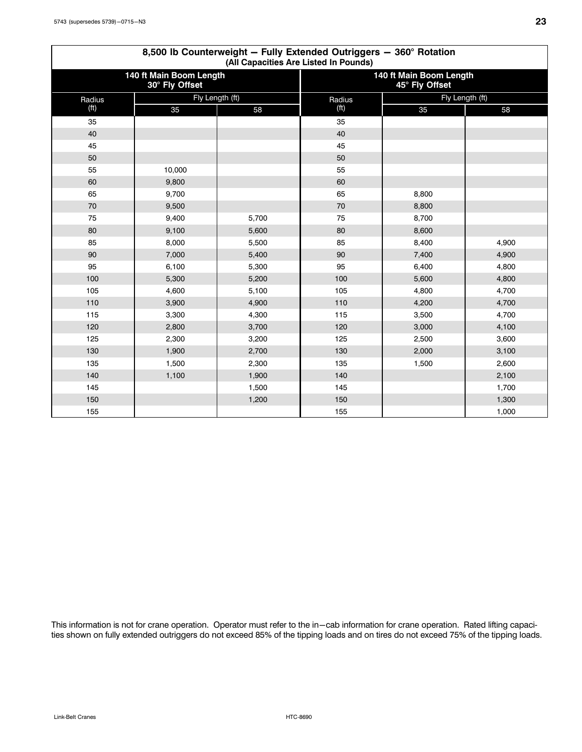<span id="page-27-0"></span>

| 8,500 lb Counterweight - Fully Extended Outriggers - 360° Rotation<br>(All Capacities Are Listed In Pounds) |                                           |       |                   |                                           |       |  |  |  |  |
|-------------------------------------------------------------------------------------------------------------|-------------------------------------------|-------|-------------------|-------------------------------------------|-------|--|--|--|--|
|                                                                                                             | 140 ft Main Boom Length<br>30° Fly Offset |       |                   | 140 ft Main Boom Length<br>45° Fly Offset |       |  |  |  |  |
| Radius                                                                                                      | Fly Length (ft)                           |       | Radius            | Fly Length (ft)                           |       |  |  |  |  |
| (f <sup>t</sup> )                                                                                           | 35                                        | 58    | (f <sup>t</sup> ) | 35                                        | 58    |  |  |  |  |
| 35                                                                                                          |                                           |       | 35                |                                           |       |  |  |  |  |
| 40                                                                                                          |                                           |       | 40                |                                           |       |  |  |  |  |
| 45                                                                                                          |                                           |       | 45                |                                           |       |  |  |  |  |
| 50                                                                                                          |                                           |       | 50                |                                           |       |  |  |  |  |
| 55                                                                                                          | 10,000                                    |       | 55                |                                           |       |  |  |  |  |
| 60                                                                                                          | 9,800                                     |       | 60                |                                           |       |  |  |  |  |
| 65                                                                                                          | 9,700                                     |       | 65                | 8,800                                     |       |  |  |  |  |
| 70                                                                                                          | 9,500                                     |       | 70                | 8,800                                     |       |  |  |  |  |
| 75                                                                                                          | 9,400                                     | 5,700 | 75                | 8,700                                     |       |  |  |  |  |
| 80                                                                                                          | 9,100                                     | 5,600 | 80                | 8,600                                     |       |  |  |  |  |
| 85                                                                                                          | 8,000                                     | 5,500 | 85                | 8,400                                     | 4,900 |  |  |  |  |
| 90                                                                                                          | 7,000                                     | 5,400 | 90                | 7,400                                     | 4,900 |  |  |  |  |
| 95                                                                                                          | 6,100                                     | 5,300 | 95                | 6,400                                     | 4,800 |  |  |  |  |
| 100                                                                                                         | 5,300                                     | 5,200 | 100               | 5,600                                     | 4,800 |  |  |  |  |
| 105                                                                                                         | 4,600                                     | 5,100 | 105               | 4,800                                     | 4,700 |  |  |  |  |
| 110                                                                                                         | 3,900                                     | 4,900 | 110               | 4,200                                     | 4,700 |  |  |  |  |
| 115                                                                                                         | 3,300                                     | 4,300 | 115               | 3,500                                     | 4,700 |  |  |  |  |
| 120                                                                                                         | 2,800                                     | 3,700 | 120               | 3,000                                     | 4,100 |  |  |  |  |
| 125                                                                                                         | 2,300                                     | 3,200 | 125               | 2,500                                     | 3,600 |  |  |  |  |
| 130                                                                                                         | 1,900                                     | 2,700 | 130               | 2,000                                     | 3,100 |  |  |  |  |
| 135                                                                                                         | 1,500                                     | 2,300 | 135               | 1,500                                     | 2,600 |  |  |  |  |
| 140                                                                                                         | 1,100                                     | 1,900 | 140               |                                           | 2,100 |  |  |  |  |
| 145                                                                                                         |                                           | 1,500 | 145               |                                           | 1,700 |  |  |  |  |
| 150                                                                                                         |                                           | 1,200 | 150               |                                           | 1,300 |  |  |  |  |
| 155                                                                                                         |                                           |       | 155               |                                           | 1,000 |  |  |  |  |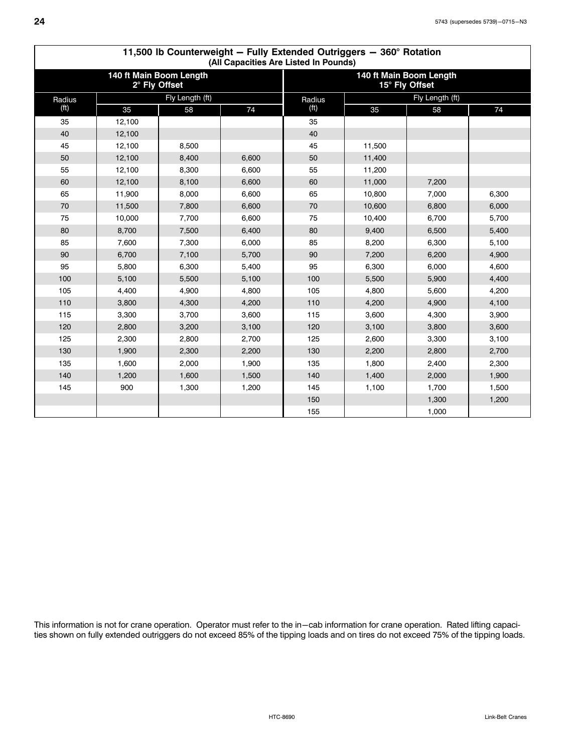<span id="page-28-0"></span>

|                   | 11,500 lb Counterweight $-$ Fully Extended Outriggers $-$ 360 $^{\circ}$ Rotation<br>(All Capacities Are Listed In Pounds) |                                          |       |                   |        |                                           |       |  |  |  |  |  |  |
|-------------------|----------------------------------------------------------------------------------------------------------------------------|------------------------------------------|-------|-------------------|--------|-------------------------------------------|-------|--|--|--|--|--|--|
|                   |                                                                                                                            | 140 ft Main Boom Length<br>2° Fly Offset |       |                   |        | 140 ft Main Boom Length<br>15° Fly Offset |       |  |  |  |  |  |  |
| Radius            |                                                                                                                            | Fly Length (ft)                          |       | Radius            |        | Fly Length (ft)                           |       |  |  |  |  |  |  |
| (f <sup>t</sup> ) | 35                                                                                                                         | 58                                       | 74    | (f <sup>t</sup> ) | 35     | 58                                        | 74    |  |  |  |  |  |  |
| 35                | 12,100                                                                                                                     |                                          |       | 35                |        |                                           |       |  |  |  |  |  |  |
| 40                | 12,100                                                                                                                     |                                          |       | 40                |        |                                           |       |  |  |  |  |  |  |
| 45                | 12,100                                                                                                                     | 8,500                                    |       | 45                | 11,500 |                                           |       |  |  |  |  |  |  |
| 50                | 12,100                                                                                                                     | 8,400                                    | 6,600 | 50                | 11,400 |                                           |       |  |  |  |  |  |  |
| 55                | 12,100                                                                                                                     | 8,300                                    | 6,600 | 55                | 11,200 |                                           |       |  |  |  |  |  |  |
| 60                | 12,100                                                                                                                     | 8,100                                    | 6,600 | 60                | 11,000 | 7,200                                     |       |  |  |  |  |  |  |
| 65                | 11,900                                                                                                                     | 8,000                                    | 6,600 | 65                | 10,800 | 7,000                                     | 6,300 |  |  |  |  |  |  |
| 70                | 11,500                                                                                                                     | 7,800                                    | 6,600 | 70                | 10,600 | 6,800                                     | 6,000 |  |  |  |  |  |  |
| 75                | 10,000                                                                                                                     | 7,700                                    | 6,600 | 75                | 10,400 | 6,700                                     | 5,700 |  |  |  |  |  |  |
| 80                | 8,700                                                                                                                      | 7,500                                    | 6,400 | 80                | 9,400  | 6,500                                     | 5,400 |  |  |  |  |  |  |
| 85                | 7,600                                                                                                                      | 7,300                                    | 6,000 | 85                | 8,200  | 6,300                                     | 5,100 |  |  |  |  |  |  |
| 90                | 6,700                                                                                                                      | 7,100                                    | 5,700 | 90                | 7,200  | 6,200                                     | 4,900 |  |  |  |  |  |  |
| 95                | 5,800                                                                                                                      | 6,300                                    | 5,400 | 95                | 6,300  | 6,000                                     | 4,600 |  |  |  |  |  |  |
| 100               | 5,100                                                                                                                      | 5,500                                    | 5,100 | 100               | 5,500  | 5,900                                     | 4,400 |  |  |  |  |  |  |
| 105               | 4,400                                                                                                                      | 4,900                                    | 4,800 | 105               | 4,800  | 5,600                                     | 4,200 |  |  |  |  |  |  |
| 110               | 3,800                                                                                                                      | 4,300                                    | 4,200 | 110               | 4,200  | 4,900                                     | 4,100 |  |  |  |  |  |  |
| 115               | 3,300                                                                                                                      | 3,700                                    | 3,600 | 115               | 3,600  | 4,300                                     | 3,900 |  |  |  |  |  |  |
| 120               | 2,800                                                                                                                      | 3,200                                    | 3,100 | 120               | 3,100  | 3,800                                     | 3,600 |  |  |  |  |  |  |
| 125               | 2,300                                                                                                                      | 2,800                                    | 2,700 | 125               | 2,600  | 3,300                                     | 3,100 |  |  |  |  |  |  |
| 130               | 1,900                                                                                                                      | 2,300                                    | 2,200 | 130               | 2,200  | 2,800                                     | 2,700 |  |  |  |  |  |  |
| 135               | 1,600                                                                                                                      | 2,000                                    | 1,900 | 135               | 1,800  | 2,400                                     | 2,300 |  |  |  |  |  |  |
| 140               | 1,200                                                                                                                      | 1,600                                    | 1,500 | 140               | 1,400  | 2,000                                     | 1,900 |  |  |  |  |  |  |
| 145               | 900                                                                                                                        | 1,300                                    | 1,200 | 145               | 1,100  | 1,700                                     | 1,500 |  |  |  |  |  |  |
|                   |                                                                                                                            |                                          |       | 150               |        | 1,300                                     | 1,200 |  |  |  |  |  |  |
|                   |                                                                                                                            |                                          |       | 155               |        | 1,000                                     |       |  |  |  |  |  |  |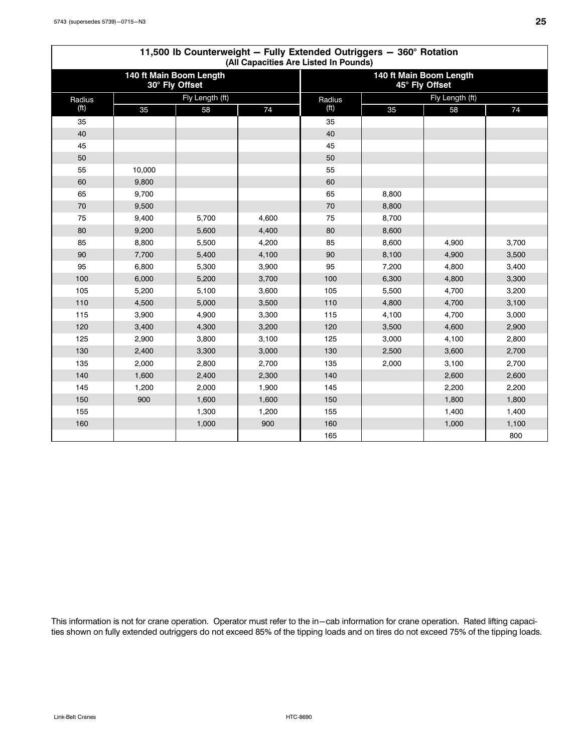<span id="page-29-0"></span>

| 11,500 lb Counterweight - Fully Extended Outriggers - 360° Rotation<br>(All Capacities Are Listed In Pounds) |                |                         |       |                   |       |                                           |       |  |  |  |  |  |
|--------------------------------------------------------------------------------------------------------------|----------------|-------------------------|-------|-------------------|-------|-------------------------------------------|-------|--|--|--|--|--|
|                                                                                                              | 30° Fly Offset | 140 ft Main Boom Length |       |                   |       | 140 ft Main Boom Length<br>45° Fly Offset |       |  |  |  |  |  |
| Radius                                                                                                       |                | Fly Length (ft)         |       | Radius            |       | Fly Length (ft)                           |       |  |  |  |  |  |
| (f <sup>t</sup> )                                                                                            | 35             | 58                      | 74    | (f <sup>t</sup> ) | 35    | 58                                        | 74    |  |  |  |  |  |
| 35                                                                                                           |                |                         |       | 35                |       |                                           |       |  |  |  |  |  |
| 40                                                                                                           |                |                         |       | 40                |       |                                           |       |  |  |  |  |  |
| 45                                                                                                           |                |                         |       | 45                |       |                                           |       |  |  |  |  |  |
| 50                                                                                                           |                |                         |       | 50                |       |                                           |       |  |  |  |  |  |
| 55                                                                                                           | 10,000         |                         |       | 55                |       |                                           |       |  |  |  |  |  |
| 60                                                                                                           | 9,800          |                         |       | 60                |       |                                           |       |  |  |  |  |  |
| 65                                                                                                           | 9,700          |                         |       | 65                | 8,800 |                                           |       |  |  |  |  |  |
| 70                                                                                                           | 9,500          |                         |       | 70                | 8,800 |                                           |       |  |  |  |  |  |
| 75                                                                                                           | 9,400          | 5,700                   | 4,600 | 75                | 8,700 |                                           |       |  |  |  |  |  |
| 80                                                                                                           | 9,200          | 5,600                   | 4,400 | 80                | 8,600 |                                           |       |  |  |  |  |  |
| 85                                                                                                           | 8,800          | 5,500                   | 4,200 | 85                | 8,600 | 4,900                                     | 3,700 |  |  |  |  |  |
| 90                                                                                                           | 7,700          | 5,400                   | 4,100 | 90                | 8,100 | 4,900                                     | 3,500 |  |  |  |  |  |
| 95                                                                                                           | 6,800          | 5,300                   | 3,900 | 95                | 7,200 | 4,800                                     | 3,400 |  |  |  |  |  |
| 100                                                                                                          | 6,000          | 5,200                   | 3,700 | 100               | 6,300 | 4,800                                     | 3,300 |  |  |  |  |  |
| 105                                                                                                          | 5,200          | 5,100                   | 3,600 | 105               | 5,500 | 4,700                                     | 3,200 |  |  |  |  |  |
| 110                                                                                                          | 4,500          | 5,000                   | 3,500 | 110               | 4,800 | 4,700                                     | 3,100 |  |  |  |  |  |
| 115                                                                                                          | 3,900          | 4,900                   | 3,300 | 115               | 4,100 | 4,700                                     | 3,000 |  |  |  |  |  |
| 120                                                                                                          | 3,400          | 4,300                   | 3,200 | 120               | 3,500 | 4,600                                     | 2,900 |  |  |  |  |  |
| 125                                                                                                          | 2,900          | 3,800                   | 3,100 | 125               | 3,000 | 4,100                                     | 2,800 |  |  |  |  |  |
| 130                                                                                                          | 2,400          | 3,300                   | 3,000 | 130               | 2,500 | 3,600                                     | 2,700 |  |  |  |  |  |
| 135                                                                                                          | 2,000          | 2,800                   | 2,700 | 135               | 2,000 | 3,100                                     | 2,700 |  |  |  |  |  |
| 140                                                                                                          | 1,600          | 2,400                   | 2,300 | 140               |       | 2,600                                     | 2,600 |  |  |  |  |  |
| 145                                                                                                          | 1,200          | 2,000                   | 1,900 | 145               |       | 2,200                                     | 2,200 |  |  |  |  |  |
| 150                                                                                                          | 900            | 1,600                   | 1,600 | 150               |       | 1,800                                     | 1,800 |  |  |  |  |  |
| 155                                                                                                          |                | 1,300                   | 1,200 | 155               |       | 1,400                                     | 1,400 |  |  |  |  |  |
| 160                                                                                                          |                | 1,000                   | 900   | 160               |       | 1,000                                     | 1,100 |  |  |  |  |  |
|                                                                                                              |                |                         |       | 165               |       |                                           | 800   |  |  |  |  |  |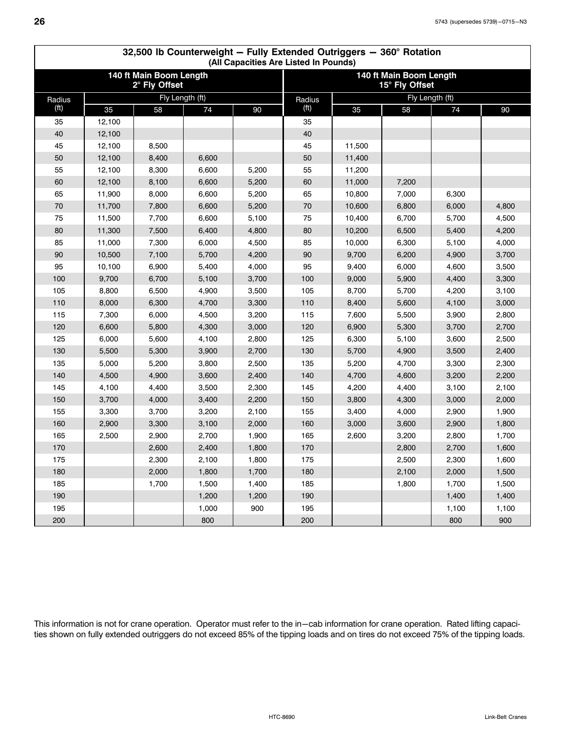|                   | 32,500 lb Counterweight - Fully Extended Outriggers - 360° Rotation<br>(All Capacities Are Listed In Pounds) |                                          |       |       |                   |        |                                           |                 |       |  |  |  |  |
|-------------------|--------------------------------------------------------------------------------------------------------------|------------------------------------------|-------|-------|-------------------|--------|-------------------------------------------|-----------------|-------|--|--|--|--|
|                   |                                                                                                              | 140 ft Main Boom Length<br>2° Fly Offset |       |       |                   |        | 140 ft Main Boom Length<br>15° Fly Offset |                 |       |  |  |  |  |
| Radius            |                                                                                                              | Fly Length (ft)                          |       |       | Radius            |        |                                           | Fly Length (ft) |       |  |  |  |  |
| (f <sup>t</sup> ) | 35                                                                                                           | 58                                       | 74    | 90    | (f <sup>t</sup> ) | 35     | 58                                        | 74              | 90    |  |  |  |  |
| 35                | 12,100                                                                                                       |                                          |       |       | 35                |        |                                           |                 |       |  |  |  |  |
| 40                | 12,100                                                                                                       |                                          |       |       | 40                |        |                                           |                 |       |  |  |  |  |
| 45                | 12,100                                                                                                       | 8,500                                    |       |       | 45                | 11,500 |                                           |                 |       |  |  |  |  |
| 50                | 12,100                                                                                                       | 8,400                                    | 6,600 |       | 50                | 11,400 |                                           |                 |       |  |  |  |  |
| 55                | 12,100                                                                                                       | 8,300                                    | 6,600 | 5,200 | 55                | 11,200 |                                           |                 |       |  |  |  |  |
| 60                | 12,100                                                                                                       | 8,100                                    | 6,600 | 5,200 | 60                | 11,000 | 7,200                                     |                 |       |  |  |  |  |
| 65                | 11,900                                                                                                       | 8,000                                    | 6,600 | 5,200 | 65                | 10,800 | 7,000                                     | 6,300           |       |  |  |  |  |
| 70                | 11,700                                                                                                       | 7,800                                    | 6,600 | 5,200 | 70                | 10,600 | 6,800                                     | 6,000           | 4,800 |  |  |  |  |
| 75                | 11,500                                                                                                       | 7,700                                    | 6,600 | 5,100 | 75                | 10,400 | 6,700                                     | 5,700           | 4,500 |  |  |  |  |
| 80                | 11,300                                                                                                       | 7,500                                    | 6,400 | 4,800 | 80                | 10,200 | 6,500                                     | 5,400           | 4,200 |  |  |  |  |
| 85                | 11,000                                                                                                       | 7,300                                    | 6,000 | 4,500 | 85                | 10,000 | 6,300                                     | 5,100           | 4,000 |  |  |  |  |
| 90                | 10,500                                                                                                       | 7,100                                    | 5,700 | 4,200 | 90                | 9,700  | 6,200                                     | 4,900           | 3,700 |  |  |  |  |
| 95                | 10,100                                                                                                       | 6,900                                    | 5,400 | 4,000 | 95                | 9,400  | 6,000                                     | 4,600           | 3,500 |  |  |  |  |
| 100               | 9,700                                                                                                        | 6,700                                    | 5,100 | 3,700 | 100               | 9,000  | 5,900                                     | 4,400           | 3,300 |  |  |  |  |
| 105               | 8,800                                                                                                        | 6,500                                    | 4,900 | 3,500 | 105               | 8,700  | 5,700                                     | 4,200           | 3,100 |  |  |  |  |
| 110               | 8,000                                                                                                        | 6,300                                    | 4,700 | 3,300 | 110               | 8,400  | 5,600                                     | 4,100           | 3,000 |  |  |  |  |
| 115               | 7,300                                                                                                        | 6,000                                    | 4,500 | 3,200 | 115               | 7,600  | 5,500                                     | 3,900           | 2,800 |  |  |  |  |
| 120               | 6,600                                                                                                        | 5,800                                    | 4,300 | 3,000 | 120               | 6,900  | 5,300                                     | 3,700           | 2,700 |  |  |  |  |
| 125               | 6,000                                                                                                        | 5,600                                    | 4,100 | 2,800 | 125               | 6,300  | 5,100                                     | 3,600           | 2,500 |  |  |  |  |
| 130               | 5,500                                                                                                        | 5,300                                    | 3,900 | 2,700 | 130               | 5,700  | 4,900                                     | 3,500           | 2,400 |  |  |  |  |
| 135               | 5,000                                                                                                        | 5,200                                    | 3,800 | 2,500 | 135               | 5,200  | 4,700                                     | 3,300           | 2,300 |  |  |  |  |
| 140               | 4,500                                                                                                        | 4,900                                    | 3,600 | 2,400 | 140               | 4,700  | 4,600                                     | 3,200           | 2,200 |  |  |  |  |
| 145               | 4,100                                                                                                        | 4,400                                    | 3,500 | 2,300 | 145               | 4,200  | 4,400                                     | 3,100           | 2,100 |  |  |  |  |
| 150               | 3,700                                                                                                        | 4,000                                    | 3,400 | 2,200 | 150               | 3,800  | 4,300                                     | 3,000           | 2,000 |  |  |  |  |
| 155               | 3,300                                                                                                        | 3,700                                    | 3,200 | 2,100 | 155               | 3,400  | 4,000                                     | 2,900           | 1,900 |  |  |  |  |
| 160               | 2,900                                                                                                        | 3,300                                    | 3,100 | 2,000 | 160               | 3,000  | 3,600                                     | 2,900           | 1,800 |  |  |  |  |
| 165               | 2,500                                                                                                        | 2,900                                    | 2,700 | 1,900 | 165               | 2,600  | 3,200                                     | 2,800           | 1,700 |  |  |  |  |
| 170               |                                                                                                              | 2,600                                    | 2,400 | 1,800 | 170               |        | 2,800                                     | 2,700           | 1,600 |  |  |  |  |
| 175               |                                                                                                              | 2,300                                    | 2,100 | 1,800 | 175               |        | 2,500                                     | 2,300           | 1,600 |  |  |  |  |
| 180               |                                                                                                              | 2,000                                    | 1,800 | 1,700 | 180               |        | 2,100                                     | 2,000           | 1,500 |  |  |  |  |
| 185               |                                                                                                              | 1,700                                    | 1,500 | 1,400 | 185               |        | 1,800                                     | 1,700           | 1,500 |  |  |  |  |
| 190               |                                                                                                              |                                          | 1,200 | 1,200 | 190               |        |                                           | 1,400           | 1,400 |  |  |  |  |
| 195               |                                                                                                              |                                          | 1,000 | 900   | 195               |        |                                           | 1,100           | 1,100 |  |  |  |  |
| 200               |                                                                                                              |                                          | 800   |       | 200               |        |                                           | 800             | 900   |  |  |  |  |

This information is not for crane operation. Operator must refer to the in-cab information for crane operation. Rated lifting capacities shown on fully extended outriggers do not exceed 85% of the tipping loads and on tires do not exceed 75% of the tipping loads.

<span id="page-30-0"></span> $\Gamma$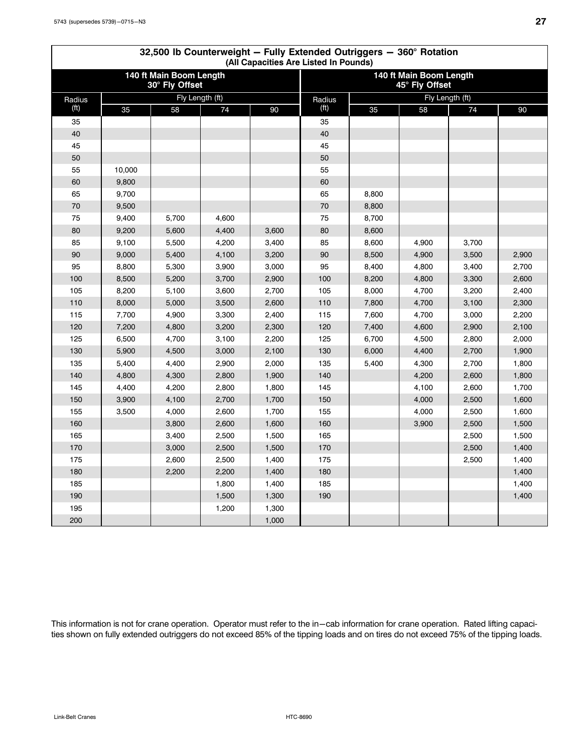<span id="page-31-0"></span>Г

|                   | 32,500 ib Counterweight – Funy Extended Outriggers – 360 Hotation<br>(All Capacities Are Listed In Pounds) |                                           |                 |       |                   |       |                                           |                 |       |  |  |  |  |
|-------------------|------------------------------------------------------------------------------------------------------------|-------------------------------------------|-----------------|-------|-------------------|-------|-------------------------------------------|-----------------|-------|--|--|--|--|
|                   |                                                                                                            | 140 ft Main Boom Length<br>30° Fly Offset |                 |       |                   |       | 140 ft Main Boom Length<br>45° Fly Offset |                 |       |  |  |  |  |
| Radius            |                                                                                                            |                                           | Fly Length (ft) |       | Radius            |       |                                           | Fly Length (ft) |       |  |  |  |  |
| (f <sup>t</sup> ) | 35                                                                                                         | 58                                        | 74              | 90    | (f <sup>t</sup> ) | 35    | 58                                        | 74              | 90    |  |  |  |  |
| 35                |                                                                                                            |                                           |                 |       | 35                |       |                                           |                 |       |  |  |  |  |
| 40                |                                                                                                            |                                           |                 |       | 40                |       |                                           |                 |       |  |  |  |  |
| 45                |                                                                                                            |                                           |                 |       | 45                |       |                                           |                 |       |  |  |  |  |
| 50                |                                                                                                            |                                           |                 |       | 50                |       |                                           |                 |       |  |  |  |  |
| 55                | 10,000                                                                                                     |                                           |                 |       | 55                |       |                                           |                 |       |  |  |  |  |
| 60                | 9,800                                                                                                      |                                           |                 |       | 60                |       |                                           |                 |       |  |  |  |  |
| 65                | 9,700                                                                                                      |                                           |                 |       | 65                | 8,800 |                                           |                 |       |  |  |  |  |
| 70                | 9,500                                                                                                      |                                           |                 |       | 70                | 8,800 |                                           |                 |       |  |  |  |  |
| 75                | 9,400                                                                                                      | 5,700                                     | 4,600           |       | 75                | 8,700 |                                           |                 |       |  |  |  |  |
| 80                | 9,200                                                                                                      | 5,600                                     | 4,400           | 3,600 | 80                | 8,600 |                                           |                 |       |  |  |  |  |
| 85                | 9,100                                                                                                      | 5,500                                     | 4,200           | 3,400 | 85                | 8,600 | 4,900                                     | 3,700           |       |  |  |  |  |
| 90                | 9,000                                                                                                      | 5,400                                     | 4,100           | 3,200 | 90                | 8,500 | 4,900                                     | 3,500           | 2,900 |  |  |  |  |
| 95                | 8,800                                                                                                      | 5,300                                     | 3,900           | 3,000 | 95                | 8,400 | 4,800                                     | 3,400           | 2,700 |  |  |  |  |
| 100               | 8,500                                                                                                      | 5,200                                     | 3,700           | 2,900 | 100               | 8,200 | 4,800                                     | 3,300           | 2,600 |  |  |  |  |
| 105               | 8,200                                                                                                      | 5,100                                     | 3,600           | 2,700 | 105               | 8,000 | 4,700                                     | 3,200           | 2,400 |  |  |  |  |
| 110               | 8,000                                                                                                      | 5,000                                     | 3,500           | 2,600 | 110               | 7,800 | 4,700                                     | 3,100           | 2,300 |  |  |  |  |
| 115               | 7,700                                                                                                      | 4,900                                     | 3,300           | 2,400 | 115               | 7,600 | 4,700                                     | 3,000           | 2,200 |  |  |  |  |
| 120               | 7,200                                                                                                      | 4,800                                     | 3,200           | 2,300 | 120               | 7,400 | 4,600                                     | 2,900           | 2,100 |  |  |  |  |
| 125               | 6,500                                                                                                      | 4,700                                     | 3,100           | 2,200 | 125               | 6,700 | 4,500                                     | 2,800           | 2,000 |  |  |  |  |
| 130               | 5,900                                                                                                      | 4,500                                     | 3,000           | 2,100 | 130               | 6,000 | 4,400                                     | 2,700           | 1,900 |  |  |  |  |
| 135               | 5,400                                                                                                      | 4,400                                     | 2,900           | 2,000 | 135               | 5,400 | 4,300                                     | 2,700           | 1,800 |  |  |  |  |
| 140               | 4,800                                                                                                      | 4,300                                     | 2,800           | 1,900 | 140               |       | 4,200                                     | 2,600           | 1,800 |  |  |  |  |
| 145               | 4,400                                                                                                      | 4,200                                     | 2,800           | 1,800 | 145               |       | 4,100                                     | 2,600           | 1,700 |  |  |  |  |
| 150               | 3,900                                                                                                      | 4,100                                     | 2,700           | 1,700 | 150               |       | 4,000                                     | 2,500           | 1,600 |  |  |  |  |
| 155               | 3,500                                                                                                      | 4,000                                     | 2,600           | 1,700 | 155               |       | 4,000                                     | 2,500           | 1,600 |  |  |  |  |
| 160               |                                                                                                            | 3,800                                     | 2,600           | 1,600 | 160               |       | 3,900                                     | 2,500           | 1,500 |  |  |  |  |
| 165               |                                                                                                            | 3,400                                     | 2,500           | 1,500 | 165               |       |                                           | 2,500           | 1,500 |  |  |  |  |
| 170               |                                                                                                            | 3,000                                     | 2,500           | 1,500 | 170               |       |                                           | 2,500           | 1,400 |  |  |  |  |
| 175               |                                                                                                            | 2,600                                     | 2,500           | 1,400 | 175               |       |                                           | 2,500           | 1,400 |  |  |  |  |
| 180               |                                                                                                            | 2,200                                     | 2,200           | 1,400 | 180               |       |                                           |                 | 1,400 |  |  |  |  |
| 185               |                                                                                                            |                                           | 1,800           | 1,400 | 185               |       |                                           |                 | 1,400 |  |  |  |  |
| 190               |                                                                                                            |                                           | 1,500           | 1,300 | 190               |       |                                           |                 | 1,400 |  |  |  |  |
| 195               |                                                                                                            |                                           | 1,200           | 1,300 |                   |       |                                           |                 |       |  |  |  |  |
| 200               |                                                                                                            |                                           |                 | 1,000 |                   |       |                                           |                 |       |  |  |  |  |

# **32,500 lb Counterweight - Fully Extended Outriggers - 360° Rotation**

This information is not for crane operation. Operator must refer to the in-cab information for crane operation. Rated lifting capacities shown on fully extended outriggers do not exceed 85% of the tipping loads and on tires do not exceed 75% of the tipping loads.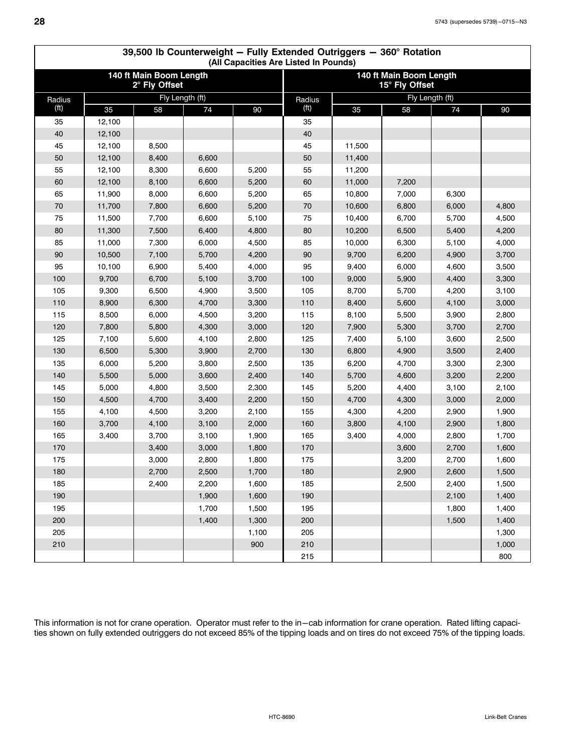$\overline{\phantom{0}}$ 

| 39,500 lb Counterweight - Fully Extended Outriggers - 360° Rotation<br>(All Capacities Are Listed In Pounds) |        |                                          |       |       |                   |        |                                           |                 |       |  |  |  |  |
|--------------------------------------------------------------------------------------------------------------|--------|------------------------------------------|-------|-------|-------------------|--------|-------------------------------------------|-----------------|-------|--|--|--|--|
|                                                                                                              |        | 140 ft Main Boom Length<br>2° Fly Offset |       |       |                   |        | 140 ft Main Boom Length<br>15° Fly Offset |                 |       |  |  |  |  |
| Radius                                                                                                       |        | Fly Length (ft)                          |       |       | Radius            |        |                                           | Fly Length (ft) |       |  |  |  |  |
| (f <sup>t</sup> )                                                                                            | 35     | 58                                       | 74    | 90    | (f <sup>t</sup> ) | 35     | 58                                        | 74              | 90    |  |  |  |  |
| 35                                                                                                           | 12,100 |                                          |       |       | 35                |        |                                           |                 |       |  |  |  |  |
| 40                                                                                                           | 12,100 |                                          |       |       | 40                |        |                                           |                 |       |  |  |  |  |
| 45                                                                                                           | 12,100 | 8,500                                    |       |       | 45                | 11,500 |                                           |                 |       |  |  |  |  |
| 50                                                                                                           | 12,100 | 8,400                                    | 6,600 |       | 50                | 11,400 |                                           |                 |       |  |  |  |  |
| 55                                                                                                           | 12,100 | 8,300                                    | 6,600 | 5,200 | 55                | 11,200 |                                           |                 |       |  |  |  |  |
| 60                                                                                                           | 12,100 | 8,100                                    | 6,600 | 5,200 | 60                | 11,000 | 7,200                                     |                 |       |  |  |  |  |
| 65                                                                                                           | 11,900 | 8,000                                    | 6,600 | 5,200 | 65                | 10,800 | 7,000                                     | 6,300           |       |  |  |  |  |
| 70                                                                                                           | 11,700 | 7,800                                    | 6,600 | 5,200 | 70                | 10,600 | 6,800                                     | 6,000           | 4,800 |  |  |  |  |
| 75                                                                                                           | 11,500 | 7,700                                    | 6,600 | 5,100 | 75                | 10,400 | 6,700                                     | 5,700           | 4,500 |  |  |  |  |
| 80                                                                                                           | 11,300 | 7,500                                    | 6,400 | 4,800 | 80                | 10,200 | 6,500                                     | 5,400           | 4,200 |  |  |  |  |
| 85                                                                                                           | 11,000 | 7,300                                    | 6,000 | 4,500 | 85                | 10,000 | 6,300                                     | 5,100           | 4,000 |  |  |  |  |
| 90                                                                                                           | 10,500 | 7,100                                    | 5,700 | 4,200 | 90                | 9,700  | 6,200                                     | 4,900           | 3,700 |  |  |  |  |
| 95                                                                                                           | 10,100 | 6,900                                    | 5,400 | 4,000 | 95                | 9,400  | 6,000                                     | 4,600           | 3,500 |  |  |  |  |
| 100                                                                                                          | 9,700  | 6,700                                    | 5,100 | 3,700 | 100               | 9,000  | 5,900                                     | 4,400           | 3,300 |  |  |  |  |
| 105                                                                                                          | 9,300  | 6,500                                    | 4,900 | 3,500 | 105               | 8,700  | 5,700                                     | 4,200           | 3,100 |  |  |  |  |
| 110                                                                                                          | 8,900  | 6,300                                    | 4,700 | 3,300 | 110               | 8,400  | 5,600                                     | 4,100           | 3,000 |  |  |  |  |
| 115                                                                                                          | 8,500  | 6,000                                    | 4,500 | 3,200 | 115               | 8,100  | 5,500                                     | 3,900           | 2,800 |  |  |  |  |
| 120                                                                                                          | 7,800  | 5,800                                    | 4,300 | 3,000 | 120               | 7,900  | 5,300                                     | 3,700           | 2,700 |  |  |  |  |
| 125                                                                                                          | 7,100  | 5,600                                    | 4,100 | 2,800 | 125               | 7,400  | 5,100                                     | 3,600           | 2,500 |  |  |  |  |
| 130                                                                                                          | 6,500  | 5,300                                    | 3,900 | 2,700 | 130               | 6,800  | 4,900                                     | 3,500           | 2,400 |  |  |  |  |
| 135                                                                                                          | 6,000  | 5,200                                    | 3,800 | 2,500 | 135               | 6,200  | 4,700                                     | 3,300           | 2,300 |  |  |  |  |
| 140                                                                                                          | 5,500  | 5,000                                    | 3,600 | 2,400 | 140               | 5,700  | 4,600                                     | 3,200           | 2,200 |  |  |  |  |
| 145                                                                                                          | 5,000  | 4,800                                    | 3,500 | 2,300 | 145               | 5,200  | 4,400                                     | 3,100           | 2,100 |  |  |  |  |
| 150                                                                                                          | 4,500  | 4,700                                    | 3,400 | 2,200 | 150               | 4,700  | 4,300                                     | 3,000           | 2,000 |  |  |  |  |
| 155                                                                                                          | 4,100  | 4,500                                    | 3,200 | 2,100 | 155               | 4,300  | 4,200                                     | 2,900           | 1,900 |  |  |  |  |
| 160                                                                                                          | 3,700  | 4,100                                    | 3,100 | 2,000 | 160               | 3,800  | 4,100                                     | 2,900           | 1,800 |  |  |  |  |
| 165                                                                                                          | 3,400  | 3,700                                    | 3,100 | 1,900 | 165               | 3,400  | 4,000                                     | 2,800           | 1,700 |  |  |  |  |
| 170                                                                                                          |        | 3,400                                    | 3,000 | 1,800 | 170               |        | 3,600                                     | 2,700           | 1,600 |  |  |  |  |
| 175                                                                                                          |        | 3,000                                    | 2,800 | 1,800 | 175               |        | 3,200                                     | 2,700           | 1,600 |  |  |  |  |
| 180                                                                                                          |        | 2,700                                    | 2,500 | 1,700 | 180               |        | 2,900                                     | 2,600           | 1,500 |  |  |  |  |
| 185                                                                                                          |        | 2,400                                    | 2,200 | 1,600 | 185               |        | 2,500                                     | 2,400           | 1,500 |  |  |  |  |
| 190                                                                                                          |        |                                          | 1,900 | 1,600 | 190               |        |                                           | 2,100           | 1,400 |  |  |  |  |
| 195                                                                                                          |        |                                          | 1,700 | 1,500 | 195               |        |                                           | 1,800           | 1,400 |  |  |  |  |
| 200                                                                                                          |        |                                          | 1,400 | 1,300 | 200               |        |                                           | 1,500           | 1,400 |  |  |  |  |
| 205                                                                                                          |        |                                          |       | 1,100 | 205               |        |                                           |                 | 1,300 |  |  |  |  |
| 210                                                                                                          |        |                                          |       | 900   | 210               |        |                                           |                 | 1,000 |  |  |  |  |
|                                                                                                              |        |                                          |       |       | 215               |        |                                           |                 | 800   |  |  |  |  |

This information is not for crane operation. Operator must refer to the in-cab information for crane operation. Rated lifting capacities shown on fully extended outriggers do not exceed 85% of the tipping loads and on tires do not exceed 75% of the tipping loads.

<span id="page-32-0"></span> $\sqrt{ }$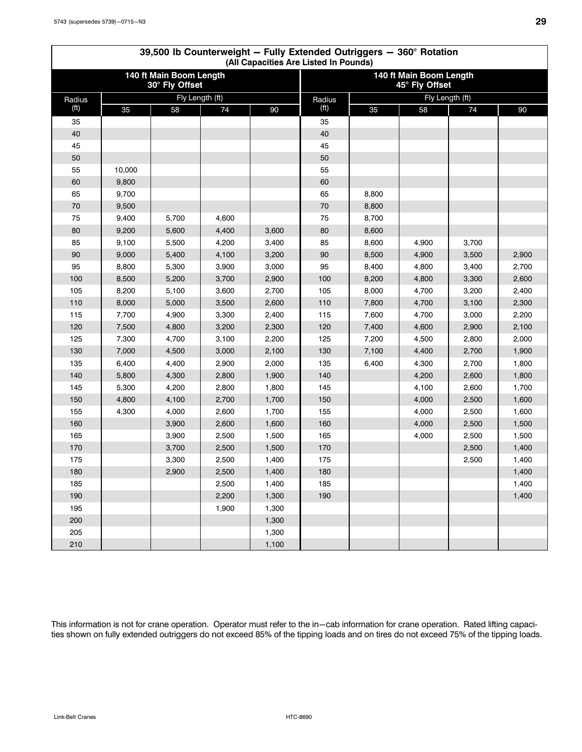<span id="page-33-0"></span>

|                   | 39,500 lb Counterweight - Fully Extended Outriggers - 360° Rotation<br>(All Capacities Are Listed In Pounds) |                                           |                 |       |                   |       |                                           |                 |       |  |  |  |  |  |
|-------------------|--------------------------------------------------------------------------------------------------------------|-------------------------------------------|-----------------|-------|-------------------|-------|-------------------------------------------|-----------------|-------|--|--|--|--|--|
|                   |                                                                                                              | 140 ft Main Boom Length<br>30° Fly Offset |                 |       |                   |       | 140 ft Main Boom Length<br>45° Fly Offset |                 |       |  |  |  |  |  |
| Radius            |                                                                                                              |                                           | Fly Length (ft) |       | Radius            |       |                                           | Fly Length (ft) |       |  |  |  |  |  |
| (f <sup>t</sup> ) | 35                                                                                                           | 58                                        | 74              | 90    | (f <sup>t</sup> ) | 35    | 58                                        | 74              | 90    |  |  |  |  |  |
| 35                |                                                                                                              |                                           |                 |       | 35                |       |                                           |                 |       |  |  |  |  |  |
| 40                |                                                                                                              |                                           |                 |       | 40                |       |                                           |                 |       |  |  |  |  |  |
| 45                |                                                                                                              |                                           |                 |       | 45                |       |                                           |                 |       |  |  |  |  |  |
| 50                |                                                                                                              |                                           |                 |       | 50                |       |                                           |                 |       |  |  |  |  |  |
| 55                | 10,000                                                                                                       |                                           |                 |       | 55                |       |                                           |                 |       |  |  |  |  |  |
| 60                | 9,800                                                                                                        |                                           |                 |       | 60                |       |                                           |                 |       |  |  |  |  |  |
| 65                | 9,700                                                                                                        |                                           |                 |       | 65                | 8,800 |                                           |                 |       |  |  |  |  |  |
| 70                | 9,500                                                                                                        |                                           |                 |       | 70                | 8,800 |                                           |                 |       |  |  |  |  |  |
| 75                | 9,400                                                                                                        | 5,700                                     | 4,600           |       | 75                | 8,700 |                                           |                 |       |  |  |  |  |  |
| 80                | 9,200                                                                                                        | 5,600                                     | 4,400           | 3,600 | 80                | 8,600 |                                           |                 |       |  |  |  |  |  |
| 85                | 9,100                                                                                                        | 5,500                                     | 4,200           | 3,400 | 85                | 8,600 | 4,900                                     | 3,700           |       |  |  |  |  |  |
| 90                | 9,000                                                                                                        | 5,400                                     | 4,100           | 3,200 | 90                | 8,500 | 4,900                                     | 3,500           | 2,900 |  |  |  |  |  |
| 95                | 8,800                                                                                                        | 5,300                                     | 3,900           | 3,000 | 95                | 8,400 | 4,800                                     | 3,400           | 2,700 |  |  |  |  |  |
| 100               | 8,500                                                                                                        | 5,200                                     | 3,700           | 2,900 | 100               | 8,200 | 4,800                                     | 3,300           | 2,600 |  |  |  |  |  |
| 105               | 8,200                                                                                                        | 5,100                                     | 3,600           | 2,700 | 105               | 8,000 | 4,700                                     | 3,200           | 2,400 |  |  |  |  |  |
| 110               | 8,000                                                                                                        | 5,000                                     | 3,500           | 2,600 | 110               | 7,800 | 4,700                                     | 3,100           | 2,300 |  |  |  |  |  |
| 115               | 7,700                                                                                                        | 4,900                                     | 3,300           | 2,400 | 115               | 7,600 | 4,700                                     | 3,000           | 2,200 |  |  |  |  |  |
| 120               | 7,500                                                                                                        | 4,800                                     | 3,200           | 2,300 | 120               | 7,400 | 4,600                                     | 2,900           | 2,100 |  |  |  |  |  |
| 125               | 7,300                                                                                                        | 4,700                                     | 3,100           | 2,200 | 125               | 7,200 | 4,500                                     | 2,800           | 2,000 |  |  |  |  |  |
| 130               | 7,000                                                                                                        | 4,500                                     | 3,000           | 2,100 | 130               | 7,100 | 4,400                                     | 2,700           | 1,900 |  |  |  |  |  |
| 135               | 6,400                                                                                                        | 4,400                                     | 2,900           | 2,000 | 135               | 6,400 | 4,300                                     | 2,700           | 1,800 |  |  |  |  |  |
| 140               | 5,800                                                                                                        | 4,300                                     | 2,800           | 1,900 | 140               |       | 4,200                                     | 2,600           | 1,800 |  |  |  |  |  |
| 145               | 5,300                                                                                                        | 4,200                                     | 2,800           | 1,800 | 145               |       | 4,100                                     | 2,600           | 1,700 |  |  |  |  |  |
| 150               | 4,800                                                                                                        | 4,100                                     | 2,700           | 1,700 | 150               |       | 4,000                                     | 2,500           | 1,600 |  |  |  |  |  |
| 155               | 4,300                                                                                                        | 4,000                                     | 2,600           | 1,700 | 155               |       | 4,000                                     | 2,500           | 1,600 |  |  |  |  |  |
| 160               |                                                                                                              | 3,900                                     | 2,600           | 1,600 | 160               |       | 4,000                                     | 2,500           | 1,500 |  |  |  |  |  |
| 165               |                                                                                                              | 3,900                                     | 2,500           | 1,500 | 165               |       | 4,000                                     | 2,500           | 1,500 |  |  |  |  |  |
| 170               |                                                                                                              | 3,700                                     | 2,500           | 1,500 | 170               |       |                                           | 2,500           | 1,400 |  |  |  |  |  |
| 175               |                                                                                                              | 3,300                                     | 2,500           | 1,400 | 175               |       |                                           | 2,500           | 1,400 |  |  |  |  |  |
| 180               |                                                                                                              | 2,900                                     | 2,500           | 1,400 | 180               |       |                                           |                 | 1,400 |  |  |  |  |  |
| 185               |                                                                                                              |                                           | 2,500           | 1,400 | 185               |       |                                           |                 | 1,400 |  |  |  |  |  |
| 190               |                                                                                                              |                                           | 2,200           | 1,300 | 190               |       |                                           |                 | 1,400 |  |  |  |  |  |
| 195               |                                                                                                              |                                           | 1,900           | 1,300 |                   |       |                                           |                 |       |  |  |  |  |  |
| 200               |                                                                                                              |                                           |                 | 1,300 |                   |       |                                           |                 |       |  |  |  |  |  |
| 205               |                                                                                                              |                                           |                 | 1,300 |                   |       |                                           |                 |       |  |  |  |  |  |
| 210               |                                                                                                              |                                           |                 | 1,100 |                   |       |                                           |                 |       |  |  |  |  |  |

# **39,500 lb Counterweight - Fully Extended Outriggers - 360° Rotation**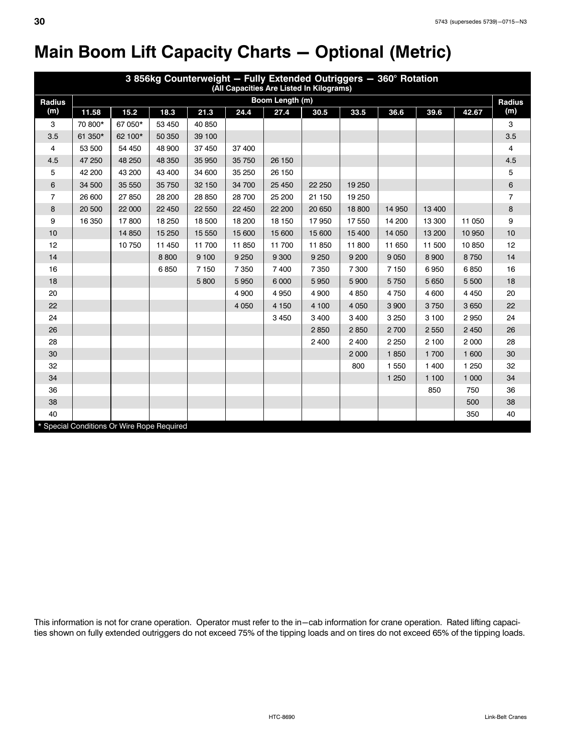# <span id="page-34-0"></span>**Main Boom Lift Capacity Charts - Optional (Metric)**

| 3 856kg Counterweight - Fully Extended Outriggers - 360° Rotation<br>(All Capacities Are Listed In Kilograms) |                                            |         |        |         |         |                 |         |         |         |         |         |                |  |
|---------------------------------------------------------------------------------------------------------------|--------------------------------------------|---------|--------|---------|---------|-----------------|---------|---------|---------|---------|---------|----------------|--|
| <b>Radius</b>                                                                                                 |                                            |         |        |         |         | Boom Length (m) |         |         |         |         |         | <b>Radius</b>  |  |
| (m)                                                                                                           | 11.58                                      | 15.2    | 18.3   | 21.3    | 24.4    | 27.4            | 30.5    | 33.5    | 36.6    | 39.6    | 42.67   | (m)            |  |
| 3                                                                                                             | 70 800*                                    | 67 050* | 53 450 | 40 850  |         |                 |         |         |         |         |         | 3              |  |
| 3.5                                                                                                           | 61 350*                                    | 62 100* | 50 350 | 39 100  |         |                 |         |         |         |         |         | 3.5            |  |
| 4                                                                                                             | 53 500                                     | 54 450  | 48 900 | 37 450  | 37 400  |                 |         |         |         |         |         | 4              |  |
| 4.5                                                                                                           | 47 250                                     | 48 250  | 48 350 | 35 950  | 35 750  | 26 150          |         |         |         |         |         | 4.5            |  |
| 5                                                                                                             | 42 200                                     | 43 200  | 43 400 | 34 600  | 35 250  | 26 150          |         |         |         |         |         | 5              |  |
| 6                                                                                                             | 34 500                                     | 35 550  | 35 750 | 32 150  | 34 700  | 25 450          | 22 250  | 19 250  |         |         |         | 6              |  |
| $\overline{7}$                                                                                                | 26 600                                     | 27850   | 28 200 | 28 850  | 28 700  | 25 200          | 21 150  | 19 250  |         |         |         | $\overline{7}$ |  |
| 8                                                                                                             | 20 500                                     | 22 000  | 22 450 | 22 550  | 22 450  | 22 200          | 20 650  | 18 800  | 14 950  | 13 400  |         | 8              |  |
| 9                                                                                                             | 16 350                                     | 17800   | 18 250 | 18 500  | 18 200  | 18 150          | 17950   | 17 550  | 14 200  | 13 300  | 11 050  | 9              |  |
| 10                                                                                                            |                                            | 14 8 50 | 15 250 | 15 550  | 15 600  | 15 600          | 15 600  | 15 400  | 14 050  | 13 200  | 10 950  | 10             |  |
| 12                                                                                                            |                                            | 10750   | 11 450 | 11700   | 11850   | 11 700          | 11850   | 11 800  | 11 650  | 11 500  | 10850   | 12             |  |
| 14                                                                                                            |                                            |         | 8800   | 9 100   | 9 2 5 0 | 9 3 0 0         | 9 2 5 0 | 9 2 0 0 | 9050    | 8 9 0 0 | 8750    | 14             |  |
| 16                                                                                                            |                                            |         | 6850   | 7 1 5 0 | 7 3 5 0 | 7400            | 7 3 5 0 | 7 300   | 7 1 5 0 | 6950    | 6850    | 16             |  |
| 18                                                                                                            |                                            |         |        | 5800    | 5950    | 6 0 0 0         | 5 9 5 0 | 5 9 0 0 | 5750    | 5 6 5 0 | 5 500   | 18             |  |
| 20                                                                                                            |                                            |         |        |         | 4 9 0 0 | 4950            | 4 9 0 0 | 4850    | 4750    | 4 600   | 4 4 5 0 | 20             |  |
| 22                                                                                                            |                                            |         |        |         | 4 0 5 0 | 4 1 5 0         | 4 100   | 4 0 5 0 | 3 9 0 0 | 3750    | 3650    | 22             |  |
| 24                                                                                                            |                                            |         |        |         |         | 3 4 5 0         | 3 4 0 0 | 3 4 0 0 | 3 2 5 0 | 3 100   | 2950    | 24             |  |
| 26                                                                                                            |                                            |         |        |         |         |                 | 2850    | 2850    | 2700    | 2 5 5 0 | 2 4 5 0 | 26             |  |
| 28                                                                                                            |                                            |         |        |         |         |                 | 2 4 0 0 | 2 4 0 0 | 2 2 5 0 | 2 100   | 2 0 0 0 | 28             |  |
| 30                                                                                                            |                                            |         |        |         |         |                 |         | 2 0 0 0 | 1850    | 1700    | 1 600   | 30             |  |
| 32                                                                                                            |                                            |         |        |         |         |                 |         | 800     | 1 550   | 1 400   | 1 2 5 0 | 32             |  |
| 34                                                                                                            |                                            |         |        |         |         |                 |         |         | 1 2 5 0 | 1 100   | 1 0 0 0 | 34             |  |
| 36                                                                                                            |                                            |         |        |         |         |                 |         |         |         | 850     | 750     | 36             |  |
| 38                                                                                                            |                                            |         |        |         |         |                 |         |         |         |         | 500     | 38             |  |
| 40                                                                                                            |                                            |         |        |         |         |                 |         |         |         |         | 350     | 40             |  |
|                                                                                                               | * Special Conditions Or Wire Rope Required |         |        |         |         |                 |         |         |         |         |         |                |  |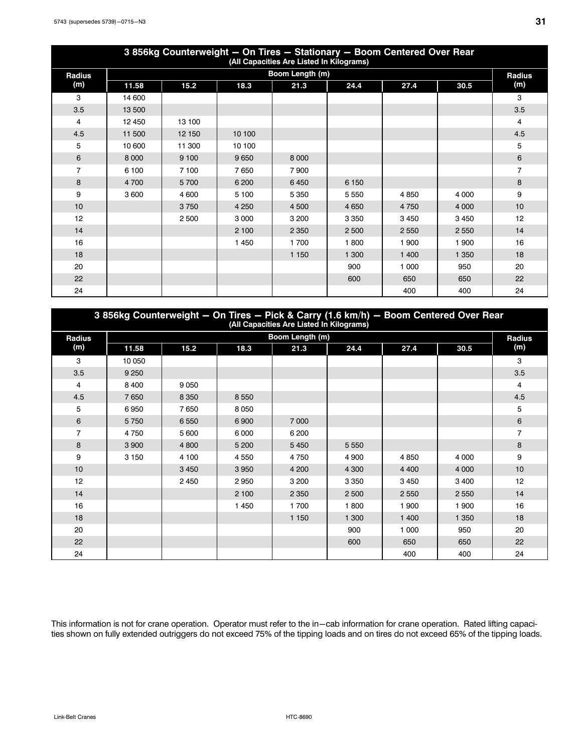<span id="page-35-0"></span>

| 3 856kg Counterweight - On Tires - Stationary - Boom Centered Over Rear<br>(All Capacities Are Listed In Kilograms) |         |        |         |                 |         |         |         |                |  |  |  |  |  |
|---------------------------------------------------------------------------------------------------------------------|---------|--------|---------|-----------------|---------|---------|---------|----------------|--|--|--|--|--|
| Radius                                                                                                              |         |        |         | Boom Length (m) |         |         |         | <b>Radius</b>  |  |  |  |  |  |
| (m)                                                                                                                 | 11.58   | 15.2   | 18.3    | 21.3            | 24.4    | 27.4    | 30.5    | (m)            |  |  |  |  |  |
| 3                                                                                                                   | 14 600  |        |         |                 |         |         |         | 3              |  |  |  |  |  |
| 3.5                                                                                                                 | 13 500  |        |         |                 |         |         |         | 3.5            |  |  |  |  |  |
| 4                                                                                                                   | 12 450  | 13 100 |         |                 |         |         |         | 4              |  |  |  |  |  |
| 4.5                                                                                                                 | 11 500  | 12 150 | 10 100  |                 |         |         |         | 4.5            |  |  |  |  |  |
| 5                                                                                                                   | 10 600  | 11 300 | 10 100  |                 |         |         |         | 5              |  |  |  |  |  |
| 6                                                                                                                   | 8 0 0 0 | 9 100  | 9650    | 8 0 0 0         |         |         |         | 6              |  |  |  |  |  |
| $\overline{7}$                                                                                                      | 6 100   | 7 100  | 7650    | 7900            |         |         |         | $\overline{7}$ |  |  |  |  |  |
| 8                                                                                                                   | 4700    | 5700   | 6 200   | 6450            | 6 1 5 0 |         |         | 8              |  |  |  |  |  |
| 9                                                                                                                   | 3600    | 4 600  | 5 100   | 5 3 5 0         | 5 5 5 0 | 4 8 5 0 | 4 0 0 0 | 9              |  |  |  |  |  |
| 10                                                                                                                  |         | 3750   | 4 2 5 0 | 4500            | 4 6 5 0 | 4750    | 4 0 0 0 | 10             |  |  |  |  |  |
| 12                                                                                                                  |         | 2 500  | 3 0 0 0 | 3 2 0 0         | 3 3 5 0 | 3 4 5 0 | 3 4 5 0 | 12             |  |  |  |  |  |
| 14                                                                                                                  |         |        | 2 100   | 2 3 5 0         | 2 500   | 2 5 5 0 | 2550    | 14             |  |  |  |  |  |
| 16                                                                                                                  |         |        | 1 4 5 0 | 1700            | 1800    | 1 900   | 1 900   | 16             |  |  |  |  |  |
| 18                                                                                                                  |         |        |         | 1 1 5 0         | 1 300   | 1 400   | 1 3 5 0 | 18             |  |  |  |  |  |
| 20                                                                                                                  |         |        |         |                 | 900     | 1 000   | 950     | 20             |  |  |  |  |  |
| 22                                                                                                                  |         |        |         |                 | 600     | 650     | 650     | 22             |  |  |  |  |  |
| 24                                                                                                                  |         |        |         |                 |         | 400     | 400     | 24             |  |  |  |  |  |

| 3 856kg Counterweight - On Tires - Pick & Carry (1.6 km/h) - Boom Centered Over Rear<br>(All Capacities Are Listed In Kilograms) |         |         |         |                 |         |         |         |                |  |  |  |  |  |
|----------------------------------------------------------------------------------------------------------------------------------|---------|---------|---------|-----------------|---------|---------|---------|----------------|--|--|--|--|--|
| Radius                                                                                                                           |         |         |         | Boom Length (m) |         |         |         | <b>Radius</b>  |  |  |  |  |  |
| (m)                                                                                                                              | 11.58   | 15.2    | 18.3    | 21.3            | 24.4    | 27.4    | 30.5    | (m)            |  |  |  |  |  |
| 3                                                                                                                                | 10 050  |         |         |                 |         |         |         | 3              |  |  |  |  |  |
| 3.5                                                                                                                              | 9 2 5 0 |         |         |                 |         |         |         | 3.5            |  |  |  |  |  |
| 4                                                                                                                                | 8400    | 9 0 5 0 |         |                 |         |         |         | 4              |  |  |  |  |  |
| 4.5                                                                                                                              | 7650    | 8 3 5 0 | 8 5 5 0 |                 |         |         |         | 4.5            |  |  |  |  |  |
| 5                                                                                                                                | 6950    | 7650    | 8 0 5 0 |                 |         |         |         | 5              |  |  |  |  |  |
| 6                                                                                                                                | 5750    | 6 5 5 0 | 6900    | 7 0 0 0         |         |         |         | 6              |  |  |  |  |  |
| $\overline{7}$                                                                                                                   | 4750    | 5 600   | 6 0 0 0 | 6 200           |         |         |         | $\overline{7}$ |  |  |  |  |  |
| 8                                                                                                                                | 3 9 0 0 | 4 800   | 5 200   | 5 4 5 0         | 5 5 5 0 |         |         | 8              |  |  |  |  |  |
| 9                                                                                                                                | 3 1 5 0 | 4 100   | 4 5 5 0 | 4750            | 4 9 0 0 | 4 8 5 0 | 4 0 0 0 | 9              |  |  |  |  |  |
| 10                                                                                                                               |         | 3 4 5 0 | 3 9 5 0 | 4 200           | 4 300   | 4 4 0 0 | 4 0 0 0 | 10             |  |  |  |  |  |
| 12                                                                                                                               |         | 2 4 5 0 | 2950    | 3 2 0 0         | 3 3 5 0 | 3 4 5 0 | 3 4 0 0 | 12             |  |  |  |  |  |
| 14                                                                                                                               |         |         | 2 100   | 2 3 5 0         | 2 500   | 2 5 5 0 | 2550    | 14             |  |  |  |  |  |
| 16                                                                                                                               |         |         | 1 450   | 1700            | 1800    | 1 900   | 1 900   | 16             |  |  |  |  |  |
| 18                                                                                                                               |         |         |         | 1 1 5 0         | 1 300   | 1 400   | 1 3 5 0 | 18             |  |  |  |  |  |
| 20                                                                                                                               |         |         |         |                 | 900     | 1 000   | 950     | 20             |  |  |  |  |  |
| 22                                                                                                                               |         |         |         |                 | 600     | 650     | 650     | 22             |  |  |  |  |  |
| 24                                                                                                                               |         |         |         |                 |         | 400     | 400     | 24             |  |  |  |  |  |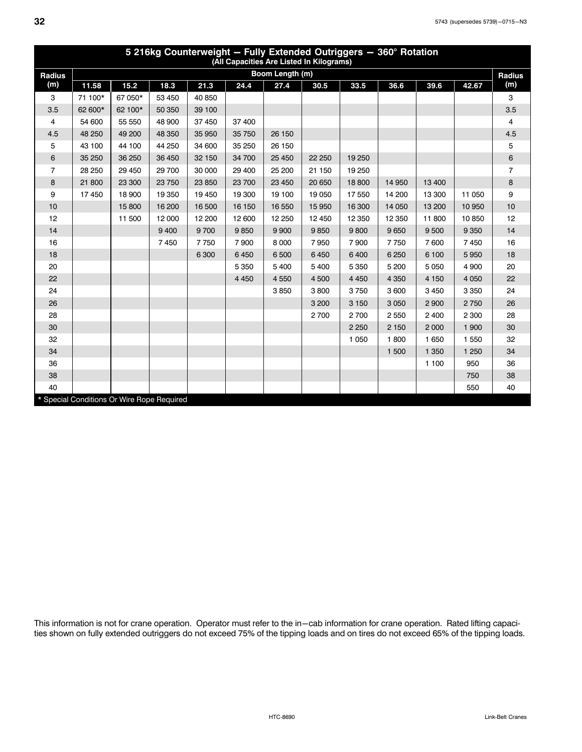<span id="page-36-0"></span>

| 5 216kg Counterweight - Fully Extended Outriggers - 360° Rotation<br>(All Capacities Are Listed In Kilograms) |         |                                            |         |        |         |                 |         |         |         |         |         |                |  |
|---------------------------------------------------------------------------------------------------------------|---------|--------------------------------------------|---------|--------|---------|-----------------|---------|---------|---------|---------|---------|----------------|--|
| <b>Radius</b>                                                                                                 |         |                                            |         |        |         | Boom Length (m) |         |         |         |         |         | <b>Radius</b>  |  |
| (m)                                                                                                           | 11.58   | 15.2                                       | 18.3    | 21.3   | 24.4    | 27.4            | 30.5    | 33.5    | 36.6    | 39.6    | 42.67   | (m)            |  |
| 3                                                                                                             | 71 100* | 67 050*                                    | 53 450  | 40 850 |         |                 |         |         |         |         |         | 3              |  |
| 3.5                                                                                                           | 62 600* | 62 100*                                    | 50 350  | 39 100 |         |                 |         |         |         |         |         | 3.5            |  |
| 4                                                                                                             | 54 600  | 55 550                                     | 48 900  | 37 450 | 37 400  |                 |         |         |         |         |         | 4              |  |
| 4.5                                                                                                           | 48 250  | 49 200                                     | 48 350  | 35 950 | 35 750  | 26 150          |         |         |         |         |         | 4.5            |  |
| 5                                                                                                             | 43 100  | 44 100                                     | 44 250  | 34 600 | 35 250  | 26 150          |         |         |         |         |         | 5              |  |
| 6                                                                                                             | 35 250  | 36 250                                     | 36 450  | 32 150 | 34 700  | 25 450          | 22 250  | 19 250  |         |         |         | 6              |  |
| $\overline{7}$                                                                                                | 28 250  | 29 450                                     | 29 700  | 30 000 | 29 400  | 25 200          | 21 150  | 19 250  |         |         |         | $\overline{7}$ |  |
| 8                                                                                                             | 21 800  | 23 300                                     | 23 750  | 23 850 | 23 700  | 23 450          | 20 650  | 18 800  | 14 950  | 13 400  |         | 8              |  |
| 9                                                                                                             | 17 450  | 18 900                                     | 19 350  | 19 450 | 19 300  | 19 100          | 19 050  | 17 550  | 14 200  | 13 300  | 11 050  | 9              |  |
| 10                                                                                                            |         | 15 800                                     | 16 200  | 16 500 | 16 150  | 16 550          | 15 950  | 16 300  | 14 050  | 13 200  | 10 950  | 10             |  |
| 12                                                                                                            |         | 11 500                                     | 12 000  | 12 200 | 12 600  | 12 250          | 12 450  | 12 350  | 12 350  | 11800   | 10850   | 12             |  |
| 14                                                                                                            |         |                                            | 9 4 0 0 | 9700   | 9850    | 9900            | 9850    | 9800    | 9650    | 9 500   | 9 3 5 0 | 14             |  |
| 16                                                                                                            |         |                                            | 7450    | 7750   | 7900    | 8 0 0 0         | 7950    | 7900    | 7750    | 7600    | 7450    | 16             |  |
| 18                                                                                                            |         |                                            |         | 6 300  | 6 4 5 0 | 6500            | 6450    | 6400    | 6 2 5 0 | 6 100   | 5 9 5 0 | 18             |  |
| 20                                                                                                            |         |                                            |         |        | 5 3 5 0 | 5 4 0 0         | 5 4 0 0 | 5 3 5 0 | 5 200   | 5 0 5 0 | 4 9 0 0 | 20             |  |
| 22                                                                                                            |         |                                            |         |        | 4 4 5 0 | 4550            | 4 500   | 4 4 5 0 | 4 3 5 0 | 4 1 5 0 | 4 0 5 0 | 22             |  |
| 24                                                                                                            |         |                                            |         |        |         | 3850            | 3800    | 3750    | 3600    | 3 4 5 0 | 3 3 5 0 | 24             |  |
| 26                                                                                                            |         |                                            |         |        |         |                 | 3 200   | 3 1 5 0 | 3 0 5 0 | 2 9 0 0 | 2750    | 26             |  |
| 28                                                                                                            |         |                                            |         |        |         |                 | 2700    | 2700    | 2550    | 2 4 0 0 | 2 3 0 0 | 28             |  |
| 30                                                                                                            |         |                                            |         |        |         |                 |         | 2 2 5 0 | 2 1 5 0 | 2 0 0 0 | 1 900   | 30             |  |
| 32                                                                                                            |         |                                            |         |        |         |                 |         | 1 0 5 0 | 1800    | 1 650   | 1 5 5 0 | 32             |  |
| 34                                                                                                            |         |                                            |         |        |         |                 |         |         | 1 500   | 1 3 5 0 | 1 2 5 0 | 34             |  |
| 36                                                                                                            |         |                                            |         |        |         |                 |         |         |         | 1 100   | 950     | 36             |  |
| 38                                                                                                            |         |                                            |         |        |         |                 |         |         |         |         | 750     | 38             |  |
| 40                                                                                                            |         |                                            |         |        |         |                 |         |         |         |         | 550     | 40             |  |
|                                                                                                               |         | * Special Conditions Or Wire Rope Required |         |        |         |                 |         |         |         |         |         |                |  |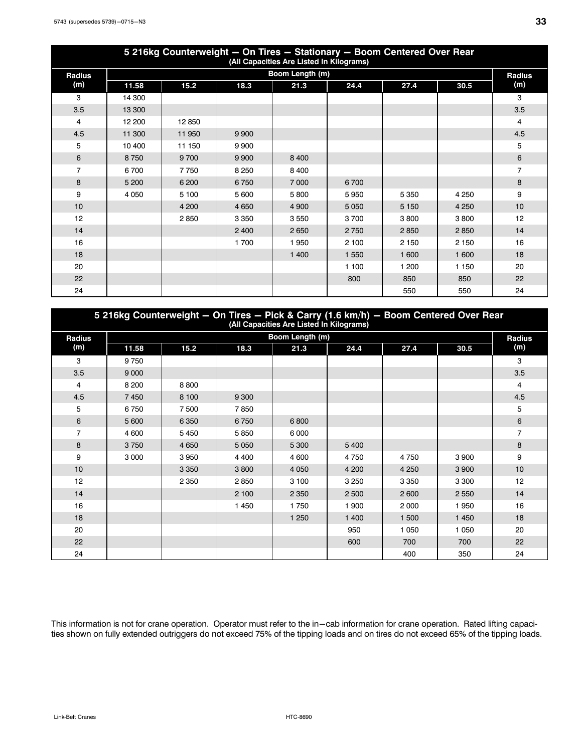<span id="page-37-0"></span>

| 5 216kg Counterweight - On Tires - Stationary - Boom Centered Over Rear<br>(All Capacities Are Listed In Kilograms) |         |        |         |                 |         |         |         |                |  |  |  |  |  |
|---------------------------------------------------------------------------------------------------------------------|---------|--------|---------|-----------------|---------|---------|---------|----------------|--|--|--|--|--|
| Radius                                                                                                              |         |        |         | Boom Length (m) |         |         |         | <b>Radius</b>  |  |  |  |  |  |
| (m)                                                                                                                 | 11.58   | 15.2   | 18.3    | 21.3            | 24.4    | 27.4    | 30.5    | (m)            |  |  |  |  |  |
| 3                                                                                                                   | 14 300  |        |         |                 |         |         |         | 3              |  |  |  |  |  |
| 3.5                                                                                                                 | 13 300  |        |         |                 |         |         |         | 3.5            |  |  |  |  |  |
| 4                                                                                                                   | 12 200  | 12850  |         |                 |         |         |         | 4              |  |  |  |  |  |
| 4.5                                                                                                                 | 11 300  | 11 950 | 9 9 0 0 |                 |         |         |         | 4.5            |  |  |  |  |  |
| 5                                                                                                                   | 10 400  | 11 150 | 9 9 0 0 |                 |         |         |         | 5              |  |  |  |  |  |
| 6                                                                                                                   | 8750    | 9700   | 9 9 0 0 | 8 4 0 0         |         |         |         | 6              |  |  |  |  |  |
| $\overline{7}$                                                                                                      | 6700    | 7750   | 8 2 5 0 | 8400            |         |         |         | $\overline{7}$ |  |  |  |  |  |
| 8                                                                                                                   | 5 200   | 6 200  | 6750    | 7 0 0 0         | 6700    |         |         | 8              |  |  |  |  |  |
| 9                                                                                                                   | 4 0 5 0 | 5 100  | 5 600   | 5800            | 5950    | 5 3 5 0 | 4 2 5 0 | 9              |  |  |  |  |  |
| 10                                                                                                                  |         | 4 200  | 4 6 5 0 | 4 9 0 0         | 5 0 5 0 | 5 1 5 0 | 4 2 5 0 | 10             |  |  |  |  |  |
| 12                                                                                                                  |         | 2850   | 3 3 5 0 | 3550            | 3700    | 3800    | 3800    | 12             |  |  |  |  |  |
| 14                                                                                                                  |         |        | 2 4 0 0 | 2650            | 2750    | 2850    | 2850    | 14             |  |  |  |  |  |
| 16                                                                                                                  |         |        | 1700    | 1950            | 2 100   | 2 1 5 0 | 2 1 5 0 | 16             |  |  |  |  |  |
| 18                                                                                                                  |         |        |         | 1 400           | 1 550   | 1 600   | 1 600   | 18             |  |  |  |  |  |
| 20                                                                                                                  |         |        |         |                 | 1 100   | 1 200   | 1 1 5 0 | 20             |  |  |  |  |  |
| 22                                                                                                                  |         |        |         |                 | 800     | 850     | 850     | 22             |  |  |  |  |  |
| 24                                                                                                                  |         |        |         |                 |         | 550     | 550     | 24             |  |  |  |  |  |

| 5 216kg Counterweight - On Tires - Pick & Carry (1.6 km/h) - Boom Centered Over Rear<br>(All Capacities Are Listed In Kilograms) |         |         |         |                 |         |         |         |                |  |  |  |  |  |
|----------------------------------------------------------------------------------------------------------------------------------|---------|---------|---------|-----------------|---------|---------|---------|----------------|--|--|--|--|--|
| Radius                                                                                                                           |         |         |         | Boom Length (m) |         |         |         | <b>Radius</b>  |  |  |  |  |  |
| (m)                                                                                                                              | 11.58   | 15.2    | 18.3    | 21.3            | 24.4    | 27.4    | 30.5    | (m)            |  |  |  |  |  |
| 3                                                                                                                                | 9750    |         |         |                 |         |         |         | 3              |  |  |  |  |  |
| 3.5                                                                                                                              | 9 0 0 0 |         |         |                 |         |         |         | 3.5            |  |  |  |  |  |
| 4                                                                                                                                | 8 2 0 0 | 8800    |         |                 |         |         |         | 4              |  |  |  |  |  |
| 4.5                                                                                                                              | 7450    | 8 100   | 9 3 0 0 |                 |         |         |         | 4.5            |  |  |  |  |  |
| 5                                                                                                                                | 6750    | 7500    | 7850    |                 |         |         |         | 5              |  |  |  |  |  |
| 6                                                                                                                                | 5 600   | 6 3 5 0 | 6750    | 6800            |         |         |         | 6              |  |  |  |  |  |
| $\overline{7}$                                                                                                                   | 4600    | 5 4 5 0 | 5850    | 6000            |         |         |         | $\overline{7}$ |  |  |  |  |  |
| 8                                                                                                                                | 3750    | 4 6 5 0 | 5 0 5 0 | 5 300           | 5 4 0 0 |         |         | 8              |  |  |  |  |  |
| 9                                                                                                                                | 3 0 0 0 | 3950    | 4 4 0 0 | 4 600           | 4 7 5 0 | 4750    | 3 9 0 0 | 9              |  |  |  |  |  |
| 10                                                                                                                               |         | 3 3 5 0 | 3800    | 4 0 5 0         | 4 200   | 4 2 5 0 | 3 9 0 0 | 10             |  |  |  |  |  |
| 12                                                                                                                               |         | 2 3 5 0 | 2850    | 3 1 0 0         | 3 2 5 0 | 3 3 5 0 | 3 3 0 0 | 12             |  |  |  |  |  |
| 14                                                                                                                               |         |         | 2 100   | 2 3 5 0         | 2 500   | 2 600   | 2550    | 14             |  |  |  |  |  |
| 16                                                                                                                               |         |         | 1 450   | 1750            | 1 900   | 2 0 0 0 | 1950    | 16             |  |  |  |  |  |
| 18                                                                                                                               |         |         |         | 1 2 5 0         | 1 400   | 1 500   | 1 4 5 0 | 18             |  |  |  |  |  |
| 20                                                                                                                               |         |         |         |                 | 950     | 1 0 5 0 | 1 0 5 0 | 20             |  |  |  |  |  |
| 22                                                                                                                               |         |         |         |                 | 600     | 700     | 700     | 22             |  |  |  |  |  |
| 24                                                                                                                               |         |         |         |                 |         | 400     | 350     | 24             |  |  |  |  |  |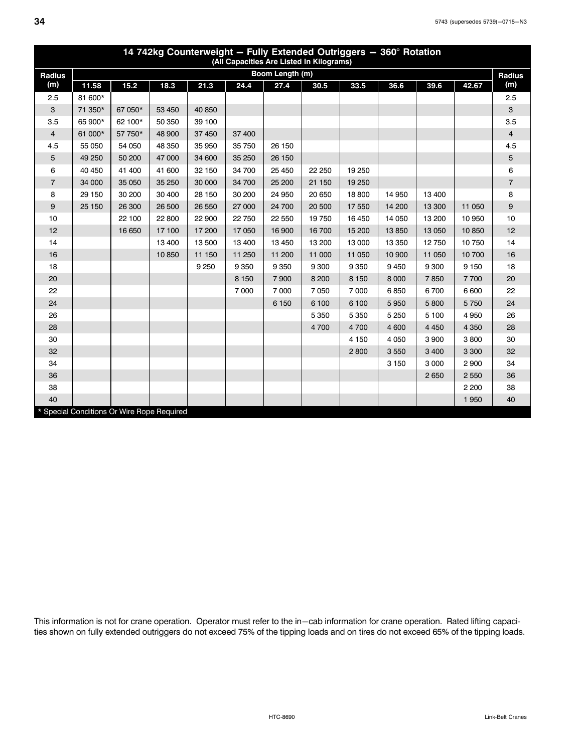<span id="page-38-0"></span>

| 14 742kg Counterweight - Fully Extended Outriggers - 360° Rotation<br>(All Capacities Are Listed In Kilograms) |         |         |        |         |         |                 |         |         |         |         |         |                |
|----------------------------------------------------------------------------------------------------------------|---------|---------|--------|---------|---------|-----------------|---------|---------|---------|---------|---------|----------------|
| <b>Radius</b>                                                                                                  |         |         |        |         |         | Boom Length (m) |         |         |         |         |         | <b>Radius</b>  |
| (m)                                                                                                            | 11.58   | 15.2    | 18.3   | 21.3    | 24.4    | 27.4            | 30.5    | 33.5    | 36.6    | 39.6    | 42.67   | (m)            |
| 2.5                                                                                                            | 81 600* |         |        |         |         |                 |         |         |         |         |         | 2.5            |
| 3                                                                                                              | 71 350* | 67 050* | 53 450 | 40 850  |         |                 |         |         |         |         |         | 3              |
| 3.5                                                                                                            | 65 900* | 62 100* | 50 350 | 39 100  |         |                 |         |         |         |         |         | 3.5            |
| $\overline{4}$                                                                                                 | 61 000* | 57 750* | 48 900 | 37 450  | 37 400  |                 |         |         |         |         |         | $\overline{4}$ |
| 4.5                                                                                                            | 55 050  | 54 050  | 48 350 | 35 950  | 35 750  | 26 150          |         |         |         |         |         | 4.5            |
| 5                                                                                                              | 49 250  | 50 200  | 47 000 | 34 600  | 35 250  | 26 150          |         |         |         |         |         | 5              |
| 6                                                                                                              | 40 450  | 41 400  | 41 600 | 32 150  | 34 700  | 25 450          | 22 250  | 19 250  |         |         |         | 6              |
| $\overline{7}$                                                                                                 | 34 000  | 35 050  | 35 250 | 30 000  | 34 700  | 25 200          | 21 150  | 19 250  |         |         |         | $\overline{7}$ |
| 8                                                                                                              | 29 150  | 30 200  | 30 400 | 28 150  | 30 200  | 24 950          | 20 650  | 18 800  | 14 950  | 13 400  |         | 8              |
| 9                                                                                                              | 25 150  | 26 300  | 26 500 | 26 550  | 27 000  | 24 700          | 20 500  | 17 550  | 14 200  | 13 300  | 11 050  | 9              |
| 10                                                                                                             |         | 22 100  | 22 800 | 22 900  | 22 750  | 22 550          | 19750   | 16 450  | 14 050  | 13 200  | 10 950  | 10             |
| 12                                                                                                             |         | 16 650  | 17 100 | 17 200  | 17 050  | 16 900          | 16700   | 15 200  | 13850   | 13 0 50 | 10850   | 12             |
| 14                                                                                                             |         |         | 13 400 | 13 500  | 13 400  | 13 450          | 13 200  | 13 000  | 13 350  | 12750   | 10750   | 14             |
| 16                                                                                                             |         |         | 10850  | 11 150  | 11 250  | 11 200          | 11 000  | 11 050  | 10 900  | 11 050  | 10 700  | 16             |
| 18                                                                                                             |         |         |        | 9 2 5 0 | 9 3 5 0 | 9 3 5 0         | 9 3 0 0 | 9 3 5 0 | 9450    | 9 3 0 0 | 9 1 5 0 | 18             |
| 20                                                                                                             |         |         |        |         | 8 1 5 0 | 7900            | 8 2 0 0 | 8 1 5 0 | 8 0 0 0 | 7850    | 7700    | 20             |
| 22                                                                                                             |         |         |        |         | 7 0 0 0 | 7 0 0 0         | 7 0 5 0 | 7 0 0 0 | 6850    | 6700    | 6 600   | 22             |
| 24                                                                                                             |         |         |        |         |         | 6 1 5 0         | 6 100   | 6 100   | 5950    | 5 800   | 5750    | 24             |
| 26                                                                                                             |         |         |        |         |         |                 | 5 3 5 0 | 5 3 5 0 | 5 2 5 0 | 5 100   | 4 9 5 0 | 26             |
| 28                                                                                                             |         |         |        |         |         |                 | 4700    | 4700    | 4 600   | 4 4 5 0 | 4 3 5 0 | 28             |
| 30                                                                                                             |         |         |        |         |         |                 |         | 4 1 5 0 | 4 0 5 0 | 3 9 0 0 | 3800    | 30             |
| 32                                                                                                             |         |         |        |         |         |                 |         | 2800    | 3550    | 3 4 0 0 | 3 3 0 0 | 32             |
| 34                                                                                                             |         |         |        |         |         |                 |         |         | 3 1 5 0 | 3 0 0 0 | 2 9 0 0 | 34             |
| 36                                                                                                             |         |         |        |         |         |                 |         |         |         | 2650    | 2 5 5 0 | 36             |
| 38                                                                                                             |         |         |        |         |         |                 |         |         |         |         | 2 2 0 0 | 38             |
| 40                                                                                                             |         |         |        |         |         |                 |         |         |         |         | 1 9 5 0 | 40             |
| * Special Conditions Or Wire Rope Required                                                                     |         |         |        |         |         |                 |         |         |         |         |         |                |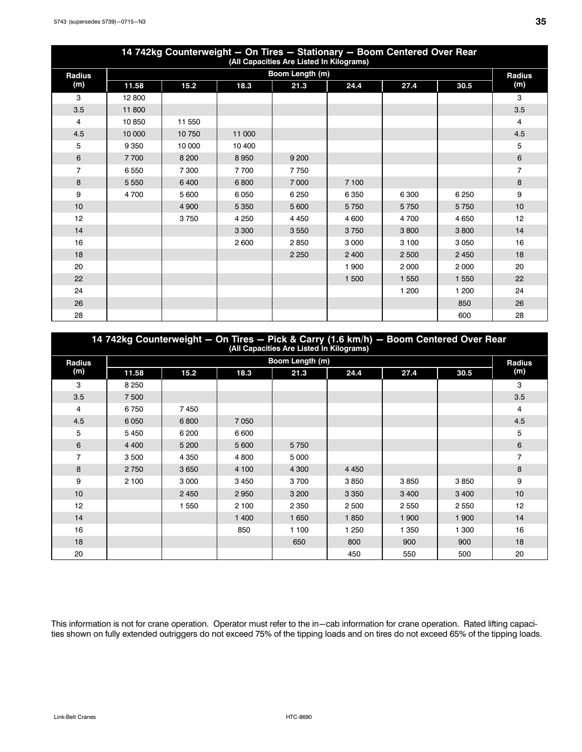<span id="page-39-0"></span>

|                | 14 742kg Counterweight - On Tires - Stationary - Boom Centered Over Rear<br>(All Capacities Are Listed In Kilograms) |         |         |                 |         |         |         |               |  |  |  |  |  |
|----------------|----------------------------------------------------------------------------------------------------------------------|---------|---------|-----------------|---------|---------|---------|---------------|--|--|--|--|--|
| Radius         |                                                                                                                      |         |         | Boom Length (m) |         |         |         | <b>Radius</b> |  |  |  |  |  |
| (m)            | 11.58                                                                                                                | 15.2    | 18.3    | 21.3            | 24.4    | 27.4    | 30.5    | (m)           |  |  |  |  |  |
| 3              | 12 800                                                                                                               |         |         |                 |         |         |         | 3             |  |  |  |  |  |
| 3.5            | 11 800                                                                                                               |         |         |                 |         |         |         | 3.5           |  |  |  |  |  |
| 4              | 10850                                                                                                                | 11 550  |         |                 |         |         |         | 4             |  |  |  |  |  |
| 4.5            | 10 000                                                                                                               | 10750   | 11 000  |                 |         |         |         | 4.5           |  |  |  |  |  |
| 5              | 9 3 5 0                                                                                                              | 10 000  | 10 400  |                 |         |         |         | 5             |  |  |  |  |  |
| 6              | 7700                                                                                                                 | 8 200   | 8950    | 9 2 0 0         |         |         |         | 6             |  |  |  |  |  |
| $\overline{7}$ | 6550                                                                                                                 | 7 300   | 7700    | 7750            |         |         |         | 7             |  |  |  |  |  |
| 8              | 5 5 5 0                                                                                                              | 6400    | 6800    | 7 0 0 0         | 7 100   |         |         | 8             |  |  |  |  |  |
| 9              | 4 700                                                                                                                | 5 600   | 6050    | 6 2 5 0         | 6 3 5 0 | 6 300   | 6 2 5 0 | 9             |  |  |  |  |  |
| 10             |                                                                                                                      | 4 9 0 0 | 5 3 5 0 | 5 600           | 5750    | 5750    | 5750    | 10            |  |  |  |  |  |
| 12             |                                                                                                                      | 3750    | 4 2 5 0 | 4 4 5 0         | 4 600   | 4 700   | 4650    | 12            |  |  |  |  |  |
| 14             |                                                                                                                      |         | 3 3 0 0 | 3550            | 3750    | 3800    | 3800    | 14            |  |  |  |  |  |
| 16             |                                                                                                                      |         | 2600    | 2850            | 3 0 0 0 | 3 100   | 3 0 5 0 | 16            |  |  |  |  |  |
| 18             |                                                                                                                      |         |         | 2 2 5 0         | 2 400   | 2 500   | 2 4 5 0 | 18            |  |  |  |  |  |
| 20             |                                                                                                                      |         |         |                 | 1 900   | 2 0 0 0 | 2000    | 20            |  |  |  |  |  |
| 22             |                                                                                                                      |         |         |                 | 1 500   | 1 5 5 0 | 1 5 5 0 | 22            |  |  |  |  |  |
| 24             |                                                                                                                      |         |         |                 |         | 1 200   | 1 200   | 24            |  |  |  |  |  |
| 26             |                                                                                                                      |         |         |                 |         |         | 850     | 26            |  |  |  |  |  |
| 28             |                                                                                                                      |         |         |                 |         |         | 600     | 28            |  |  |  |  |  |

|                | 14 742kg Counterweight - On Tires - Pick & Carry (1.6 km/h) - Boom Centered Over Rear<br>(All Capacities Are Listed In Kilograms) |         |         |                 |         |         |         |                |  |  |  |  |  |
|----------------|-----------------------------------------------------------------------------------------------------------------------------------|---------|---------|-----------------|---------|---------|---------|----------------|--|--|--|--|--|
| Radius         |                                                                                                                                   |         |         | Boom Length (m) |         |         |         | <b>Radius</b>  |  |  |  |  |  |
| (m)            | 11.58                                                                                                                             | 15.2    | 18.3    | 21.3            | 24.4    | 27.4    | 30.5    | (m)            |  |  |  |  |  |
| 3              | 8 2 5 0                                                                                                                           |         |         |                 |         |         |         | 3              |  |  |  |  |  |
| 3.5            | 7500                                                                                                                              |         |         |                 |         |         |         | 3.5            |  |  |  |  |  |
| 4              | 6750                                                                                                                              | 7450    |         |                 |         |         |         | 4              |  |  |  |  |  |
| 4.5            | 6050                                                                                                                              | 6800    | 7 0 5 0 |                 |         |         |         | 4.5            |  |  |  |  |  |
| 5              | 5450                                                                                                                              | 6 200   | 6 600   |                 |         |         |         | 5              |  |  |  |  |  |
| 6              | 4 4 0 0                                                                                                                           | 5 200   | 5 600   | 5750            |         |         |         | 6              |  |  |  |  |  |
| $\overline{7}$ | 3500                                                                                                                              | 4 3 5 0 | 4 800   | 5 0 0 0         |         |         |         | $\overline{7}$ |  |  |  |  |  |
| 8              | 2750                                                                                                                              | 3650    | 4 100   | 4 3 0 0         | 4 4 5 0 |         |         | 8              |  |  |  |  |  |
| 9              | 2 100                                                                                                                             | 3 0 0 0 | 3 4 5 0 | 3700            | 3850    | 3850    | 3850    | 9              |  |  |  |  |  |
| 10             |                                                                                                                                   | 2 4 5 0 | 2950    | 3 2 0 0         | 3 3 5 0 | 3 4 0 0 | 3 4 0 0 | 10             |  |  |  |  |  |
| 12             |                                                                                                                                   | 1 550   | 2 100   | 2 3 5 0         | 2 500   | 2 5 5 0 | 2550    | 12             |  |  |  |  |  |
| 14             |                                                                                                                                   |         | 1 400   | 1650            | 1850    | 1 900   | 1 900   | 14             |  |  |  |  |  |
| 16             |                                                                                                                                   |         | 850     | 1 100           | 1 250   | 1 350   | 1 300   | 16             |  |  |  |  |  |
| 18             |                                                                                                                                   |         |         | 650             | 800     | 900     | 900     | 18             |  |  |  |  |  |
| 20             |                                                                                                                                   |         |         |                 | 450     | 550     | 500     | 20             |  |  |  |  |  |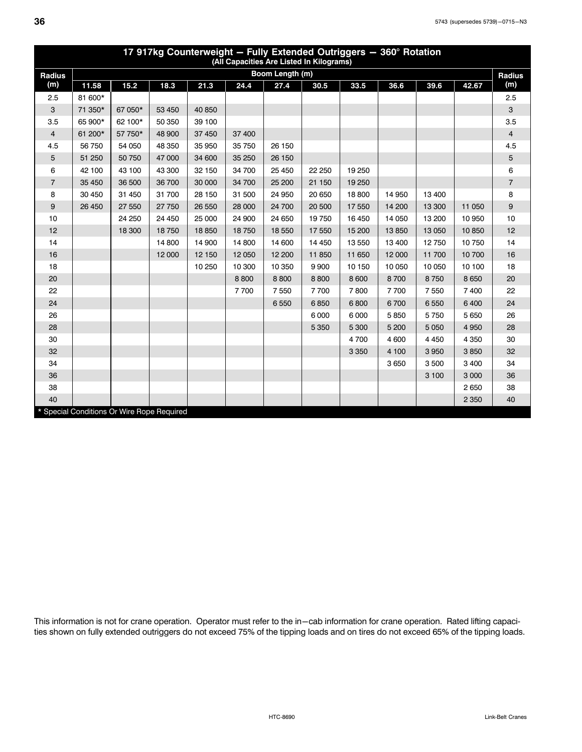<span id="page-40-0"></span>

| 17 917kg Counterweight - Fully Extended Outriggers - 360° Rotation<br>(All Capacities Are Listed In Kilograms) |         |         |        |        |        |                 |         |         |        |         |         |                |
|----------------------------------------------------------------------------------------------------------------|---------|---------|--------|--------|--------|-----------------|---------|---------|--------|---------|---------|----------------|
| <b>Radius</b>                                                                                                  |         |         |        |        |        | Boom Length (m) |         |         |        |         |         | <b>Radius</b>  |
| (m)                                                                                                            | 11.58   | 15.2    | 18.3   | 21.3   | 24.4   | 27.4            | 30.5    | 33.5    | 36.6   | 39.6    | 42.67   | (m)            |
| 2.5                                                                                                            | 81 600* |         |        |        |        |                 |         |         |        |         |         | 2.5            |
| 3                                                                                                              | 71 350* | 67 050* | 53 450 | 40 850 |        |                 |         |         |        |         |         | 3              |
| 3.5                                                                                                            | 65 900* | 62 100* | 50 350 | 39 100 |        |                 |         |         |        |         |         | 3.5            |
| $\overline{4}$                                                                                                 | 61 200* | 57 750* | 48 900 | 37 450 | 37 400 |                 |         |         |        |         |         | $\overline{4}$ |
| 4.5                                                                                                            | 56 750  | 54 050  | 48 350 | 35 950 | 35 750 | 26 150          |         |         |        |         |         | 4.5            |
| 5                                                                                                              | 51 250  | 50 750  | 47 000 | 34 600 | 35 250 | 26 150          |         |         |        |         |         | 5              |
| 6                                                                                                              | 42 100  | 43 100  | 43 300 | 32 150 | 34 700 | 25 450          | 22 250  | 19 250  |        |         |         | 6              |
| $\overline{7}$                                                                                                 | 35 450  | 36 500  | 36 700 | 30 000 | 34 700 | 25 200          | 21 150  | 19 250  |        |         |         | $\overline{7}$ |
| 8                                                                                                              | 30 450  | 31 450  | 31 700 | 28 150 | 31 500 | 24 950          | 20 650  | 18 800  | 14 950 | 13 400  |         | 8              |
| 9                                                                                                              | 26 450  | 27 550  | 27 750 | 26 550 | 28 000 | 24 700          | 20 500  | 17 550  | 14 200 | 13 300  | 11 050  | 9              |
| 10                                                                                                             |         | 24 250  | 24 450 | 25 000 | 24 900 | 24 650          | 19750   | 16 450  | 14 050 | 13 200  | 10 950  | 10             |
| 12                                                                                                             |         | 18 300  | 18750  | 18850  | 18750  | 18 550          | 17550   | 15 200  | 13850  | 13 0 50 | 10850   | 12             |
| 14                                                                                                             |         |         | 14 800 | 14 900 | 14 800 | 14 600          | 14 450  | 13 550  | 13 400 | 12750   | 10750   | 14             |
| 16                                                                                                             |         |         | 12 000 | 12 150 | 12 050 | 12 200          | 11850   | 11 650  | 12 000 | 11700   | 10 700  | 16             |
| 18                                                                                                             |         |         |        | 10 250 | 10 300 | 10 350          | 9 9 0 0 | 10 150  | 10 050 | 10 050  | 10 100  | 18             |
| 20                                                                                                             |         |         |        |        | 8800   | 8800            | 8800    | 8 600   | 8700   | 8750    | 8 6 5 0 | 20             |
| 22                                                                                                             |         |         |        |        | 7700   | 7550            | 7700    | 7800    | 7700   | 7 5 5 0 | 7400    | 22             |
| 24                                                                                                             |         |         |        |        |        | 6550            | 6850    | 6800    | 6700   | 6 5 5 0 | 6 4 0 0 | 24             |
| 26                                                                                                             |         |         |        |        |        |                 | 6 0 0 0 | 6 0 0 0 | 5850   | 5750    | 5 6 5 0 | 26             |
| 28                                                                                                             |         |         |        |        |        |                 | 5 3 5 0 | 5 300   | 5 200  | 5 0 5 0 | 4 9 5 0 | 28             |
| 30                                                                                                             |         |         |        |        |        |                 |         | 4700    | 4600   | 4 4 5 0 | 4 3 5 0 | 30             |
| 32                                                                                                             |         |         |        |        |        |                 |         | 3 3 5 0 | 4 100  | 3 9 5 0 | 3850    | 32             |
| 34                                                                                                             |         |         |        |        |        |                 |         |         | 3650   | 3500    | 3 4 0 0 | 34             |
| 36                                                                                                             |         |         |        |        |        |                 |         |         |        | 3 100   | 3 0 0 0 | 36             |
| 38                                                                                                             |         |         |        |        |        |                 |         |         |        |         | 2650    | 38             |
| 40                                                                                                             |         |         |        |        |        |                 |         |         |        |         | 2 3 5 0 | 40             |
| * Special Conditions Or Wire Rope Required                                                                     |         |         |        |        |        |                 |         |         |        |         |         |                |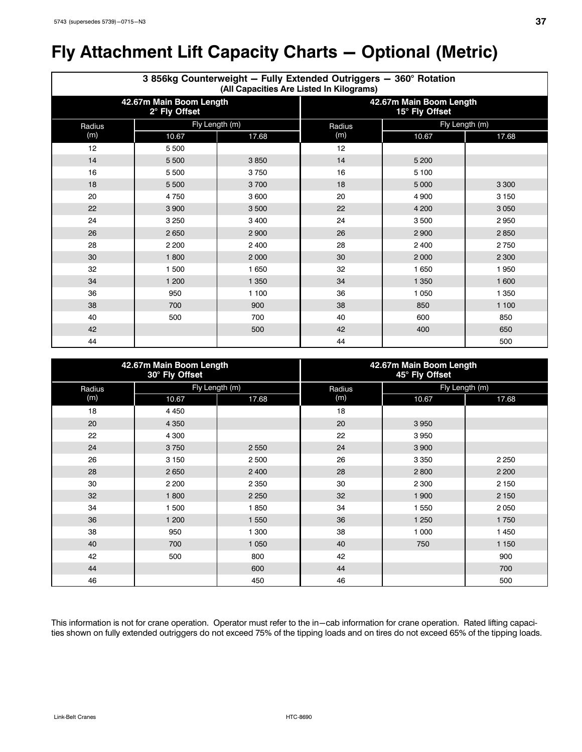# <span id="page-41-0"></span>**Fly Attachment Lift Capacity Charts - Optional (Metric)**

| 3 856kg Counterweight - Fully Extended Outriggers - 360° Rotation<br>(All Capacities Are Listed In Kilograms) |                                          |                |        |                                           |         |  |  |  |  |  |
|---------------------------------------------------------------------------------------------------------------|------------------------------------------|----------------|--------|-------------------------------------------|---------|--|--|--|--|--|
|                                                                                                               | 42.67m Main Boom Length<br>2° Fly Offset |                |        | 42.67m Main Boom Length<br>15° Fly Offset |         |  |  |  |  |  |
| Radius                                                                                                        |                                          | Fly Length (m) | Radius | Fly Length (m)                            |         |  |  |  |  |  |
| (m)                                                                                                           | 10.67                                    | 17.68          | (m)    | 10.67                                     | 17.68   |  |  |  |  |  |
| 12                                                                                                            | 5 500                                    |                | 12     |                                           |         |  |  |  |  |  |
| 14                                                                                                            | 5 500                                    | 3850           | 14     | 5 200                                     |         |  |  |  |  |  |
| 16                                                                                                            | 5 500                                    | 3750           | 16     | 5 100                                     |         |  |  |  |  |  |
| 18                                                                                                            | 5 500                                    | 3700           | 18     | 5 0 0 0                                   | 3 3 0 0 |  |  |  |  |  |
| 20                                                                                                            | 4750                                     | 3 600          | 20     | 4 9 0 0                                   | 3 1 5 0 |  |  |  |  |  |
| 22                                                                                                            | 3 9 0 0                                  | 3 500          | 22     | 4 200                                     | 3 0 5 0 |  |  |  |  |  |
| 24                                                                                                            | 3 2 5 0                                  | 3 4 0 0        | 24     | 3500                                      | 2950    |  |  |  |  |  |
| 26                                                                                                            | 2 6 5 0                                  | 2 9 0 0        | 26     | 2 9 0 0                                   | 2850    |  |  |  |  |  |
| 28                                                                                                            | 2 2 0 0                                  | 2 400          | 28     | 2 4 0 0                                   | 2750    |  |  |  |  |  |
| 30                                                                                                            | 1800                                     | 2 0 0 0        | 30     | 2 0 0 0                                   | 2 3 0 0 |  |  |  |  |  |
| 32                                                                                                            | 1 500                                    | 1 650          | 32     | 1 650                                     | 1950    |  |  |  |  |  |
| 34                                                                                                            | 1 200                                    | 1 3 5 0        | 34     | 1 3 5 0                                   | 1 600   |  |  |  |  |  |
| 36                                                                                                            | 950                                      | 1 100          | 36     | 1 0 5 0                                   | 1 3 5 0 |  |  |  |  |  |
| 38                                                                                                            | 700                                      | 900            | 38     | 850                                       | 1 100   |  |  |  |  |  |
| 40                                                                                                            | 500                                      | 700            | 40     | 600                                       | 850     |  |  |  |  |  |
| 42                                                                                                            |                                          | 500            | 42     | 400                                       | 650     |  |  |  |  |  |
| 44                                                                                                            |                                          |                | 44     |                                           | 500     |  |  |  |  |  |

|        | 42.67m Main Boom Length<br>30° Fly Offset |         |        | 42.67m Main Boom Length<br>45° Fly Offset |         |  |
|--------|-------------------------------------------|---------|--------|-------------------------------------------|---------|--|
| Radius | Fly Length (m)                            |         | Radius | Fly Length (m)                            |         |  |
| (m)    | 10.67                                     | 17.68   | (m)    | 10.67                                     | 17.68   |  |
| 18     | 4 4 5 0                                   |         | 18     |                                           |         |  |
| 20     | 4 3 5 0                                   |         | 20     | 3 9 5 0                                   |         |  |
| 22     | 4 300                                     |         | 22     | 3 9 5 0                                   |         |  |
| 24     | 3750                                      | 2 5 5 0 | 24     | 3 9 0 0                                   |         |  |
| 26     | 3 1 5 0                                   | 2 500   | 26     | 3 3 5 0                                   | 2 2 5 0 |  |
| 28     | 2650                                      | 2 4 0 0 | 28     | 2800                                      | 2 2 0 0 |  |
| 30     | 2 2 0 0                                   | 2 3 5 0 | 30     | 2 3 0 0                                   | 2 1 5 0 |  |
| 32     | 1800                                      | 2 2 5 0 | 32     | 1 900                                     | 2 1 5 0 |  |
| 34     | 1 500                                     | 1850    | 34     | 1 550                                     | 2 0 5 0 |  |
| 36     | 1 200                                     | 1 550   | 36     | 1 2 5 0                                   | 1750    |  |
| 38     | 950                                       | 1 300   | 38     | 1 000                                     | 1 450   |  |
| 40     | 700                                       | 1 0 5 0 | 40     | 750                                       | 1 1 5 0 |  |
| 42     | 500                                       | 800     | 42     |                                           | 900     |  |
| 44     |                                           | 600     | 44     |                                           | 700     |  |
| 46     |                                           | 450     | 46     |                                           | 500     |  |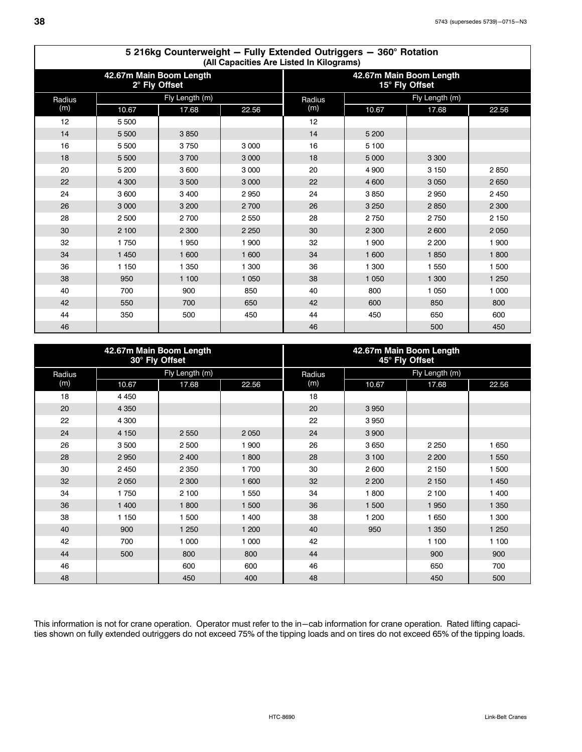┑

|        | J ZTONG COUNTERWEIGHT - FUITY EXTERIORE OUTIGGETS - JOU MUTATION<br>(All Capacities Are Listed In Kilograms) |                                          |         |        |         |                                           |         |  |  |  |  |  |  |
|--------|--------------------------------------------------------------------------------------------------------------|------------------------------------------|---------|--------|---------|-------------------------------------------|---------|--|--|--|--|--|--|
|        |                                                                                                              | 42.67m Main Boom Length<br>2° Fly Offset |         |        |         | 42.67m Main Boom Length<br>15° Fly Offset |         |  |  |  |  |  |  |
| Radius |                                                                                                              | Fly Length (m)                           |         | Radius |         | Fly Length (m)                            |         |  |  |  |  |  |  |
| (m)    | 10.67                                                                                                        | 17.68                                    | 22.56   | (m)    | 10.67   | 17.68                                     | 22.56   |  |  |  |  |  |  |
| 12     | 5 500                                                                                                        |                                          |         | 12     |         |                                           |         |  |  |  |  |  |  |
| 14     | 5 500                                                                                                        | 3850                                     |         | 14     | 5 200   |                                           |         |  |  |  |  |  |  |
| 16     | 5 500                                                                                                        | 3750                                     | 3 0 0 0 | 16     | 5 100   |                                           |         |  |  |  |  |  |  |
| 18     | 5 500                                                                                                        | 3700                                     | 3 0 0 0 | 18     | 5 0 0 0 | 3 3 0 0                                   |         |  |  |  |  |  |  |
| 20     | 5 200                                                                                                        | 3600                                     | 3 0 0 0 | 20     | 4 9 0 0 | 3 1 5 0                                   | 2850    |  |  |  |  |  |  |
| 22     | 4 300                                                                                                        | 3500                                     | 3 0 0 0 | 22     | 4 600   | 3 0 5 0                                   | 2650    |  |  |  |  |  |  |
| 24     | 3600                                                                                                         | 3 4 0 0                                  | 2950    | 24     | 3850    | 2950                                      | 2450    |  |  |  |  |  |  |
| 26     | 3 0 0 0                                                                                                      | 3 200                                    | 2700    | 26     | 3 2 5 0 | 2850                                      | 2 3 0 0 |  |  |  |  |  |  |
| 28     | 2 500                                                                                                        | 2700                                     | 2 5 5 0 | 28     | 2 7 5 0 | 2750                                      | 2 1 5 0 |  |  |  |  |  |  |
| 30     | 2 100                                                                                                        | 2 3 0 0                                  | 2 2 5 0 | 30     | 2 3 0 0 | 2600                                      | 2050    |  |  |  |  |  |  |
| 32     | 1750                                                                                                         | 1950                                     | 1 900   | 32     | 1 900   | 2 2 0 0                                   | 1 900   |  |  |  |  |  |  |
| 34     | 1 4 5 0                                                                                                      | 1 600                                    | 1 600   | 34     | 1 600   | 1850                                      | 1800    |  |  |  |  |  |  |
| 36     | 1 150                                                                                                        | 1 350                                    | 1 300   | 36     | 1 300   | 1 5 5 0                                   | 1500    |  |  |  |  |  |  |
| 38     | 950                                                                                                          | 1 100                                    | 1 0 5 0 | 38     | 1 0 5 0 | 1 300                                     | 1 2 5 0 |  |  |  |  |  |  |
| 40     | 700                                                                                                          | 900                                      | 850     | 40     | 800     | 1 0 5 0                                   | 1 0 0 0 |  |  |  |  |  |  |
| 42     | 550                                                                                                          | 700                                      | 650     | 42     | 600     | 850                                       | 800     |  |  |  |  |  |  |
| 44     | 350                                                                                                          | 500                                      | 450     | 44     | 450     | 650                                       | 600     |  |  |  |  |  |  |
| 46     |                                                                                                              |                                          |         | 46     |         | 500                                       | 450     |  |  |  |  |  |  |

# **5 216kg Counterweight - Fully Extended Outriggers - 360° Rotation**

|        | 42.67m Main Boom Length<br>30° Fly Offset |                |         |        | 42.67m Main Boom Length<br>45° Fly Offset |                |         |  |  |
|--------|-------------------------------------------|----------------|---------|--------|-------------------------------------------|----------------|---------|--|--|
| Radius |                                           | Fly Length (m) |         | Radius |                                           | Fly Length (m) |         |  |  |
| (m)    | 10.67                                     | 17.68          | 22.56   | (m)    | 10.67                                     | 17.68          | 22.56   |  |  |
| 18     | 4 4 5 0                                   |                |         | 18     |                                           |                |         |  |  |
| 20     | 4 3 5 0                                   |                |         | 20     | 3 9 5 0                                   |                |         |  |  |
| 22     | 4 300                                     |                |         | 22     | 3 9 5 0                                   |                |         |  |  |
| 24     | 4 1 5 0                                   | 2 5 5 0        | 2050    | 24     | 3 900                                     |                |         |  |  |
| 26     | 3500                                      | 2 500          | 1 900   | 26     | 3650                                      | 2 2 5 0        | 1650    |  |  |
| 28     | 2950                                      | 2 4 0 0        | 1800    | 28     | 3 100                                     | 2 2 0 0        | 1 5 5 0 |  |  |
| 30     | 2 4 5 0                                   | 2 3 5 0        | 1700    | 30     | 2600                                      | 2 1 5 0        | 1500    |  |  |
| 32     | 2 0 5 0                                   | 2 3 0 0        | 1 600   | 32     | 2 2 0 0                                   | 2 1 5 0        | 1 4 5 0 |  |  |
| 34     | 1750                                      | 2 100          | 1550    | 34     | 1800                                      | 2 100          | 1 400   |  |  |
| 36     | 1 400                                     | 1800           | 1500    | 36     | 1 500                                     | 1950           | 1 3 5 0 |  |  |
| 38     | 1 1 5 0                                   | 1 500          | 1 400   | 38     | 1 200                                     | 1650           | 1 300   |  |  |
| 40     | 900                                       | 1 2 5 0        | 1 200   | 40     | 950                                       | 1 3 5 0        | 1 2 5 0 |  |  |
| 42     | 700                                       | 1 0 0 0        | 1 0 0 0 | 42     |                                           | 1 100          | 1 100   |  |  |
| 44     | 500                                       | 800            | 800     | 44     |                                           | 900            | 900     |  |  |
| 46     |                                           | 600            | 600     | 46     |                                           | 650            | 700     |  |  |
| 48     |                                           | 450            | 400     | 48     |                                           | 450            | 500     |  |  |

This information is not for crane operation. Operator must refer to the in-cab information for crane operation. Rated lifting capacities shown on fully extended outriggers do not exceed 75% of the tipping loads and on tires do not exceed 65% of the tipping loads.

<span id="page-42-0"></span> $\Gamma$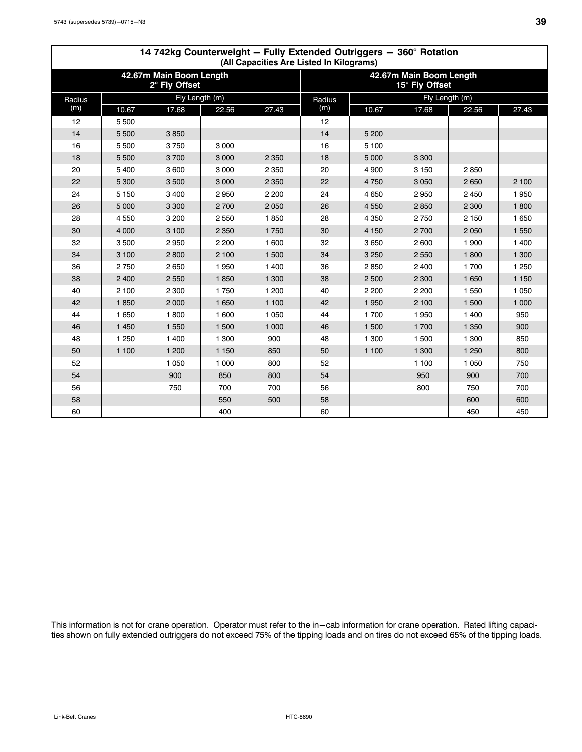Г

<span id="page-43-0"></span>

| 14 742kg Counterweight - Fully Extended Outriggers - 360° Rotation<br>(All Capacities Are Listed In Kilograms) |         |                                          |         |         |        |         |                                           |         |         |  |  |
|----------------------------------------------------------------------------------------------------------------|---------|------------------------------------------|---------|---------|--------|---------|-------------------------------------------|---------|---------|--|--|
|                                                                                                                |         | 42.67m Main Boom Length<br>2° Fly Offset |         |         |        |         | 42.67m Main Boom Length<br>15° Fly Offset |         |         |  |  |
| Radius                                                                                                         |         | Fly Length (m)                           |         |         | Radius |         | Fly Length (m)                            |         |         |  |  |
| (m)                                                                                                            | 10.67   | 17.68                                    | 22.56   | 27.43   | (m)    | 10.67   | 17.68                                     | 22.56   | 27.43   |  |  |
| 12                                                                                                             | 5 500   |                                          |         |         | 12     |         |                                           |         |         |  |  |
| 14                                                                                                             | 5 500   | 3850                                     |         |         | 14     | 5 200   |                                           |         |         |  |  |
| 16                                                                                                             | 5 500   | 3750                                     | 3 0 0 0 |         | 16     | 5 100   |                                           |         |         |  |  |
| 18                                                                                                             | 5 500   | 3700                                     | 3 0 0 0 | 2 3 5 0 | 18     | 5 0 0 0 | 3 3 0 0                                   |         |         |  |  |
| 20                                                                                                             | 5400    | 3 600                                    | 3 0 0 0 | 2 3 5 0 | 20     | 4 9 0 0 | 3 1 5 0                                   | 2850    |         |  |  |
| 22                                                                                                             | 5 300   | 3500                                     | 3 0 0 0 | 2 3 5 0 | 22     | 4750    | 3 0 5 0                                   | 2650    | 2 100   |  |  |
| 24                                                                                                             | 5 1 5 0 | 3 4 0 0                                  | 2950    | 2 2 0 0 | 24     | 4650    | 2950                                      | 2 4 5 0 | 1950    |  |  |
| 26                                                                                                             | 5 0 0 0 | 3 3 0 0                                  | 2700    | 2 0 5 0 | 26     | 4 5 5 0 | 2850                                      | 2 3 0 0 | 1800    |  |  |
| 28                                                                                                             | 4550    | 3 200                                    | 2550    | 1850    | 28     | 4 3 5 0 | 2750                                      | 2 1 5 0 | 1 650   |  |  |
| 30                                                                                                             | 4 0 0 0 | 3 100                                    | 2 3 5 0 | 1 750   | 30     | 4 1 5 0 | 2700                                      | 2 0 5 0 | 1 5 5 0 |  |  |
| 32                                                                                                             | 3500    | 2950                                     | 2 2 0 0 | 1 600   | 32     | 3650    | 2600                                      | 1 900   | 1 400   |  |  |
| 34                                                                                                             | 3 100   | 2800                                     | 2 100   | 1 500   | 34     | 3 2 5 0 | 2 5 5 0                                   | 1800    | 1 300   |  |  |
| 36                                                                                                             | 2750    | 2650                                     | 1950    | 1 400   | 36     | 2850    | 2 4 0 0                                   | 1700    | 1 2 5 0 |  |  |
| 38                                                                                                             | 2 4 0 0 | 2 5 5 0                                  | 1850    | 1 300   | 38     | 2 500   | 2 3 0 0                                   | 1 6 5 0 | 1 1 5 0 |  |  |
| 40                                                                                                             | 2 100   | 2 3 0 0                                  | 1750    | 1 200   | 40     | 2 2 0 0 | 2 2 0 0                                   | 1 5 5 0 | 1 0 5 0 |  |  |
| 42                                                                                                             | 1850    | 2 0 0 0                                  | 1 6 5 0 | 1 100   | 42     | 1950    | 2 100                                     | 1 500   | 1 0 0 0 |  |  |
| 44                                                                                                             | 1650    | 1800                                     | 1 600   | 1 0 5 0 | 44     | 1700    | 1950                                      | 1 400   | 950     |  |  |
| 46                                                                                                             | 1 4 5 0 | 1 550                                    | 1500    | 1 000   | 46     | 1 500   | 1700                                      | 1 3 5 0 | 900     |  |  |
| 48                                                                                                             | 1 2 5 0 | 1 400                                    | 1 300   | 900     | 48     | 1 300   | 1 500                                     | 1 300   | 850     |  |  |
| 50                                                                                                             | 1 100   | 1 200                                    | 1 1 5 0 | 850     | 50     | 1 100   | 1 300                                     | 1 2 5 0 | 800     |  |  |
| 52                                                                                                             |         | 1 0 5 0                                  | 1 0 0 0 | 800     | 52     |         | 1 100                                     | 1 0 5 0 | 750     |  |  |
| 54                                                                                                             |         | 900                                      | 850     | 800     | 54     |         | 950                                       | 900     | 700     |  |  |
| 56                                                                                                             |         | 750                                      | 700     | 700     | 56     |         | 800                                       | 750     | 700     |  |  |
| 58                                                                                                             |         |                                          | 550     | 500     | 58     |         |                                           | 600     | 600     |  |  |
| 60                                                                                                             |         |                                          | 400     |         | 60     |         |                                           | 450     | 450     |  |  |

# **14 742kg Counterweight - Fully Extended Outriggers - 360° Rotation**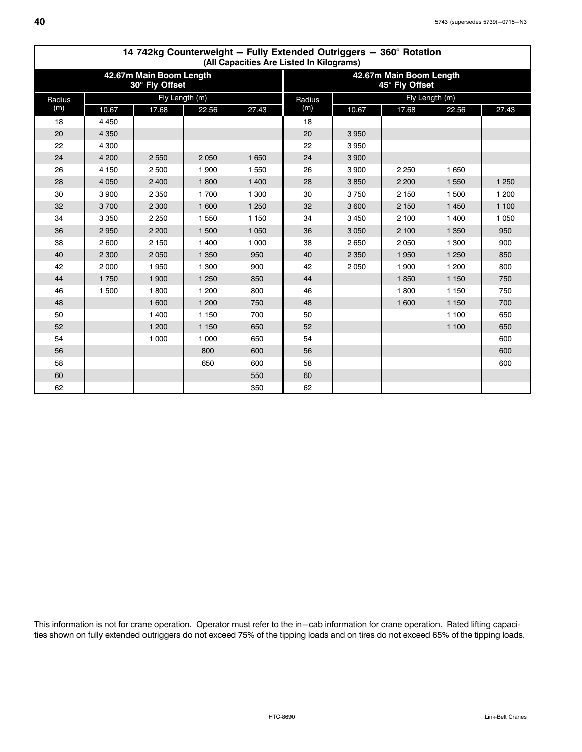|        | 14 742kg Counterweight - Fully Extended Outriggers - 360° Rotation<br>(All Capacities Are Listed In Kilograms) |                                           |         |                          |     |         |                                           |         |         |  |  |  |
|--------|----------------------------------------------------------------------------------------------------------------|-------------------------------------------|---------|--------------------------|-----|---------|-------------------------------------------|---------|---------|--|--|--|
|        |                                                                                                                | 42.67m Main Boom Length<br>30° Fly Offset |         |                          |     |         | 42.67m Main Boom Length<br>45° Fly Offset |         |         |  |  |  |
| Radius |                                                                                                                | Fly Length (m)                            |         | Fly Length (m)<br>Radius |     |         |                                           |         |         |  |  |  |
| (m)    | 10.67                                                                                                          | 17.68                                     | 22.56   | 27.43                    | (m) | 10.67   | 17.68                                     | 22.56   | 27.43   |  |  |  |
| 18     | 4 4 5 0                                                                                                        |                                           |         |                          | 18  |         |                                           |         |         |  |  |  |
| 20     | 4 3 5 0                                                                                                        |                                           |         |                          | 20  | 3950    |                                           |         |         |  |  |  |
| 22     | 4 3 0 0                                                                                                        |                                           |         |                          | 22  | 3950    |                                           |         |         |  |  |  |
| 24     | 4 200                                                                                                          | 2 5 5 0                                   | 2050    | 1 6 5 0                  | 24  | 3 9 0 0 |                                           |         |         |  |  |  |
| 26     | 4 1 5 0                                                                                                        | 2 500                                     | 1 900   | 1 550                    | 26  | 3 9 0 0 | 2 2 5 0                                   | 1650    |         |  |  |  |
| 28     | 4 0 5 0                                                                                                        | 2 4 0 0                                   | 1800    | 1 400                    | 28  | 3850    | 2 2 0 0                                   | 1 550   | 1 2 5 0 |  |  |  |
| 30     | 3900                                                                                                           | 2 3 5 0                                   | 1700    | 1 300                    | 30  | 3750    | 2 1 5 0                                   | 1 500   | 1 200   |  |  |  |
| 32     | 3700                                                                                                           | 2 3 0 0                                   | 1 600   | 1 2 5 0                  | 32  | 3600    | 2 1 5 0                                   | 1 4 5 0 | 1 100   |  |  |  |
| 34     | 3 3 5 0                                                                                                        | 2 2 5 0                                   | 1550    | 1 1 5 0                  | 34  | 3 4 5 0 | 2 100                                     | 1 400   | 1 0 5 0 |  |  |  |
| 36     | 2950                                                                                                           | 2 2 0 0                                   | 1 500   | 1 0 5 0                  | 36  | 3 0 5 0 | 2 100                                     | 1 3 5 0 | 950     |  |  |  |
| 38     | 2600                                                                                                           | 2 1 5 0                                   | 1 400   | 1 0 0 0                  | 38  | 2650    | 2 0 5 0                                   | 1 300   | 900     |  |  |  |
| 40     | 2 3 0 0                                                                                                        | 2 0 5 0                                   | 1 3 5 0 | 950                      | 40  | 2 3 5 0 | 1950                                      | 1 2 5 0 | 850     |  |  |  |
| 42     | 2000                                                                                                           | 1950                                      | 1 300   | 900                      | 42  | 2050    | 1 900                                     | 1 200   | 800     |  |  |  |
| 44     | 1750                                                                                                           | 1 900                                     | 1 2 5 0 | 850                      | 44  |         | 1850                                      | 1 1 5 0 | 750     |  |  |  |
| 46     | 1500                                                                                                           | 1800                                      | 1 200   | 800                      | 46  |         | 1800                                      | 1 1 5 0 | 750     |  |  |  |
| 48     |                                                                                                                | 1 600                                     | 1 200   | 750                      | 48  |         | 1 600                                     | 1 1 5 0 | 700     |  |  |  |
| 50     |                                                                                                                | 1 400                                     | 1 1 5 0 | 700                      | 50  |         |                                           | 1 100   | 650     |  |  |  |
| 52     |                                                                                                                | 1 200                                     | 1 1 5 0 | 650                      | 52  |         |                                           | 1 100   | 650     |  |  |  |
| 54     |                                                                                                                | 1 000                                     | 1 0 0 0 | 650                      | 54  |         |                                           |         | 600     |  |  |  |
| 56     |                                                                                                                |                                           | 800     | 600                      | 56  |         |                                           |         | 600     |  |  |  |
| 58     |                                                                                                                |                                           | 650     | 600                      | 58  |         |                                           |         | 600     |  |  |  |
| 60     |                                                                                                                |                                           |         | 550                      | 60  |         |                                           |         |         |  |  |  |
| 62     |                                                                                                                |                                           |         | 350                      | 62  |         |                                           |         |         |  |  |  |

# **14 742kg Counterweight - Fully Extended Outriggers - 360° Rotation**

This information is not for crane operation. Operator must refer to the in-cab information for crane operation. Rated lifting capacities shown on fully extended outriggers do not exceed 75% of the tipping loads and on tires do not exceed 65% of the tipping loads.

<span id="page-44-0"></span> $\mathsf{r}$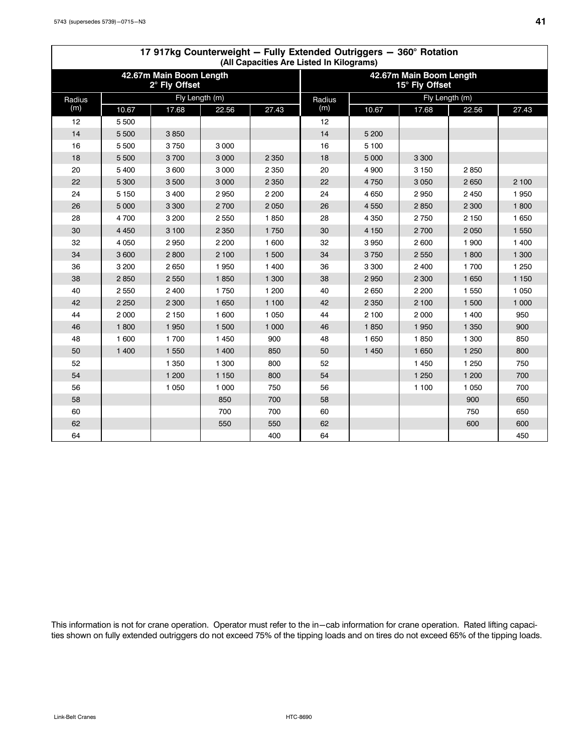<span id="page-45-0"></span>

|        | 17 917kg Counterweight - Fully Extended Outriggers - 360° Rotation<br>(All Capacities Are Listed In Kilograms) |                                          |         |         |        |         |                                           |         |         |  |  |  |  |
|--------|----------------------------------------------------------------------------------------------------------------|------------------------------------------|---------|---------|--------|---------|-------------------------------------------|---------|---------|--|--|--|--|
|        |                                                                                                                | 42.67m Main Boom Length<br>2° Fly Offset |         |         |        |         | 42.67m Main Boom Length<br>15° Fly Offset |         |         |  |  |  |  |
| Radius |                                                                                                                | Fly Length (m)                           |         |         | Radius |         | Fly Length (m)                            |         |         |  |  |  |  |
| (m)    | 10.67                                                                                                          | 17.68                                    | 22.56   | 27.43   | (m)    | 10.67   | 17.68                                     | 22.56   | 27.43   |  |  |  |  |
| 12     | 5 5 0 0                                                                                                        |                                          |         |         | 12     |         |                                           |         |         |  |  |  |  |
| 14     | 5 5 0 0                                                                                                        | 3850                                     |         |         | 14     | 5 200   |                                           |         |         |  |  |  |  |
| 16     | 5 500                                                                                                          | 3750                                     | 3 0 0 0 |         | 16     | 5 100   |                                           |         |         |  |  |  |  |
| 18     | 5 500                                                                                                          | 3700                                     | 3 0 0 0 | 2 3 5 0 | 18     | 5 0 0 0 | 3 3 0 0                                   |         |         |  |  |  |  |
| 20     | 5400                                                                                                           | 3 600                                    | 3 0 0 0 | 2 3 5 0 | 20     | 4 9 0 0 | 3 1 5 0                                   | 2850    |         |  |  |  |  |
| 22     | 5 3 0 0                                                                                                        | 3500                                     | 3 0 0 0 | 2 3 5 0 | 22     | 4750    | 3 0 5 0                                   | 2650    | 2 100   |  |  |  |  |
| 24     | 5 1 5 0                                                                                                        | 3 400                                    | 2950    | 2 2 0 0 | 24     | 4650    | 2950                                      | 2 4 5 0 | 1 9 5 0 |  |  |  |  |
| 26     | 5 0 0 0                                                                                                        | 3 3 0 0                                  | 2700    | 2 0 5 0 | 26     | 4 5 5 0 | 2850                                      | 2 3 0 0 | 1800    |  |  |  |  |
| 28     | 4700                                                                                                           | 3 200                                    | 2550    | 1850    | 28     | 4 3 5 0 | 2750                                      | 2 1 5 0 | 1 650   |  |  |  |  |
| 30     | 4 4 5 0                                                                                                        | 3 100                                    | 2 3 5 0 | 1750    | 30     | 4 1 5 0 | 2700                                      | 2 0 5 0 | 1 5 5 0 |  |  |  |  |
| 32     | 4 0 5 0                                                                                                        | 2950                                     | 2 2 0 0 | 1 600   | 32     | 3950    | 2600                                      | 1 900   | 1 400   |  |  |  |  |
| 34     | 3600                                                                                                           | 2800                                     | 2 100   | 1 500   | 34     | 3750    | 2 5 5 0                                   | 1800    | 1 300   |  |  |  |  |
| 36     | 3 2 0 0                                                                                                        | 2 6 5 0                                  | 1950    | 1 400   | 36     | 3 3 0 0 | 2 4 0 0                                   | 1700    | 1 2 5 0 |  |  |  |  |
| 38     | 2850                                                                                                           | 2 5 5 0                                  | 1850    | 1 300   | 38     | 2950    | 2 3 0 0                                   | 1650    | 1 1 5 0 |  |  |  |  |
| 40     | 2550                                                                                                           | 2 4 0 0                                  | 1750    | 1 200   | 40     | 2650    | 2 2 0 0                                   | 1 550   | 1 0 5 0 |  |  |  |  |
| 42     | 2 2 5 0                                                                                                        | 2 3 0 0                                  | 1650    | 1 100   | 42     | 2 3 5 0 | 2 100                                     | 1 500   | 1 0 0 0 |  |  |  |  |
| 44     | 2000                                                                                                           | 2 1 5 0                                  | 1 600   | 1 0 5 0 | 44     | 2 100   | 2 0 0 0                                   | 1 400   | 950     |  |  |  |  |
| 46     | 1800                                                                                                           | 1 9 5 0                                  | 1 500   | 1 000   | 46     | 1850    | 1 9 5 0                                   | 1 3 5 0 | 900     |  |  |  |  |
| 48     | 1 600                                                                                                          | 1700                                     | 1 4 5 0 | 900     | 48     | 1 650   | 1850                                      | 1 300   | 850     |  |  |  |  |
| 50     | 1 400                                                                                                          | 1 550                                    | 1 400   | 850     | 50     | 1 4 5 0 | 1 6 5 0                                   | 1 2 5 0 | 800     |  |  |  |  |
| 52     |                                                                                                                | 1 3 5 0                                  | 1 300   | 800     | 52     |         | 1 4 5 0                                   | 1 2 5 0 | 750     |  |  |  |  |
| 54     |                                                                                                                | 1 200                                    | 1 1 5 0 | 800     | 54     |         | 1 2 5 0                                   | 1 200   | 700     |  |  |  |  |
| 56     |                                                                                                                | 1 0 5 0                                  | 1 000   | 750     | 56     |         | 1 100                                     | 1 0 5 0 | 700     |  |  |  |  |
| 58     |                                                                                                                |                                          | 850     | 700     | 58     |         |                                           | 900     | 650     |  |  |  |  |
| 60     |                                                                                                                |                                          | 700     | 700     | 60     |         |                                           | 750     | 650     |  |  |  |  |
| 62     |                                                                                                                |                                          | 550     | 550     | 62     |         |                                           | 600     | 600     |  |  |  |  |
| 64     |                                                                                                                |                                          |         | 400     | 64     |         |                                           |         | 450     |  |  |  |  |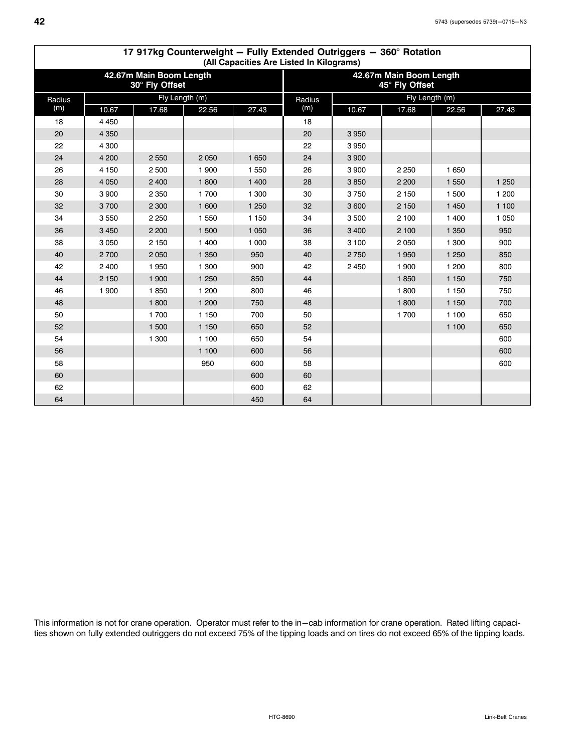<span id="page-46-0"></span>

|        | 17 917kg Counterweight - Fully Extended Outriggers - 360° Rotation<br>(All Capacities Are Listed In Kilograms) |                                           |         |         |        |         |                                           |         |                                                                    |  |  |  |
|--------|----------------------------------------------------------------------------------------------------------------|-------------------------------------------|---------|---------|--------|---------|-------------------------------------------|---------|--------------------------------------------------------------------|--|--|--|
|        |                                                                                                                | 42.67m Main Boom Length<br>30° Fly Offset |         |         |        |         | 42.67m Main Boom Length<br>45° Fly Offset |         | 27.43<br>1 2 5 0<br>1 200<br>1 100<br>1 0 5 0<br>950<br>900<br>850 |  |  |  |
| Radius |                                                                                                                | Fly Length (m)                            |         |         | Radius |         | Fly Length (m)                            |         |                                                                    |  |  |  |
| (m)    | 10.67                                                                                                          | 17.68                                     | 22.56   | 27.43   | (m)    | 10.67   | 17.68                                     | 22.56   |                                                                    |  |  |  |
| 18     | 4 4 5 0                                                                                                        |                                           |         |         | 18     |         |                                           |         |                                                                    |  |  |  |
| 20     | 4 3 5 0                                                                                                        |                                           |         |         | 20     | 3 9 5 0 |                                           |         |                                                                    |  |  |  |
| 22     | 4 300                                                                                                          |                                           |         |         | 22     | 3950    |                                           |         |                                                                    |  |  |  |
| 24     | 4 200                                                                                                          | 2 5 5 0                                   | 2050    | 1 650   | 24     | 3 9 0 0 |                                           |         |                                                                    |  |  |  |
| 26     | 4 1 5 0                                                                                                        | 2 500                                     | 1 900   | 1 550   | 26     | 3 9 0 0 | 2 2 5 0                                   | 1 650   |                                                                    |  |  |  |
| 28     | 4 0 5 0                                                                                                        | 2 4 0 0                                   | 1800    | 1 400   | 28     | 3850    | 2 2 0 0                                   | 1 550   |                                                                    |  |  |  |
| 30     | 3 9 0 0                                                                                                        | 2 3 5 0                                   | 1700    | 1 300   | 30     | 3750    | 2 1 5 0                                   | 1 500   |                                                                    |  |  |  |
| 32     | 3700                                                                                                           | 2 3 0 0                                   | 1 600   | 1 250   | 32     | 3600    | 2 1 5 0                                   | 1 4 5 0 |                                                                    |  |  |  |
| 34     | 3550                                                                                                           | 2 2 5 0                                   | 1 5 5 0 | 1 1 5 0 | 34     | 3500    | 2 100                                     | 1 400   |                                                                    |  |  |  |
| 36     | 3 4 5 0                                                                                                        | 2 2 0 0                                   | 1 500   | 1 0 5 0 | 36     | 3 4 0 0 | 2 100                                     | 1 3 5 0 |                                                                    |  |  |  |
| 38     | 3 0 5 0                                                                                                        | 2 1 5 0                                   | 1 400   | 1 000   | 38     | 3 100   | 2 0 5 0                                   | 1 300   |                                                                    |  |  |  |
| 40     | 2700                                                                                                           | 2 0 5 0                                   | 1 3 5 0 | 950     | 40     | 2750    | 1 9 5 0                                   | 1 2 5 0 |                                                                    |  |  |  |
| 42     | 2 4 0 0                                                                                                        | 1950                                      | 1 300   | 900     | 42     | 2450    | 1 900                                     | 1 200   | 800                                                                |  |  |  |
| 44     | 2 1 5 0                                                                                                        | 1 900                                     | 1 2 5 0 | 850     | 44     |         | 1850                                      | 1 1 5 0 | 750                                                                |  |  |  |
| 46     | 1 900                                                                                                          | 1850                                      | 1 200   | 800     | 46     |         | 1800                                      | 1 1 5 0 | 750                                                                |  |  |  |
| 48     |                                                                                                                | 1800                                      | 1 200   | 750     | 48     |         | 1800                                      | 1 1 5 0 | 700                                                                |  |  |  |
| 50     |                                                                                                                | 1700                                      | 1 1 5 0 | 700     | 50     |         | 1700                                      | 1 100   | 650                                                                |  |  |  |
| 52     |                                                                                                                | 1 500                                     | 1 1 5 0 | 650     | 52     |         |                                           | 1 100   | 650                                                                |  |  |  |
| 54     |                                                                                                                | 1 300                                     | 1 100   | 650     | 54     |         |                                           |         | 600                                                                |  |  |  |
| 56     |                                                                                                                |                                           | 1 1 0 0 | 600     | 56     |         |                                           |         | 600                                                                |  |  |  |
| 58     |                                                                                                                |                                           | 950     | 600     | 58     |         |                                           |         | 600                                                                |  |  |  |
| 60     |                                                                                                                |                                           |         | 600     | 60     |         |                                           |         |                                                                    |  |  |  |
| 62     |                                                                                                                |                                           |         | 600     | 62     |         |                                           |         |                                                                    |  |  |  |
| 64     |                                                                                                                |                                           |         | 450     | 64     |         |                                           |         |                                                                    |  |  |  |

# **17 917kg Counterweight - Fully Extended Outriggers - 360° Rotation**